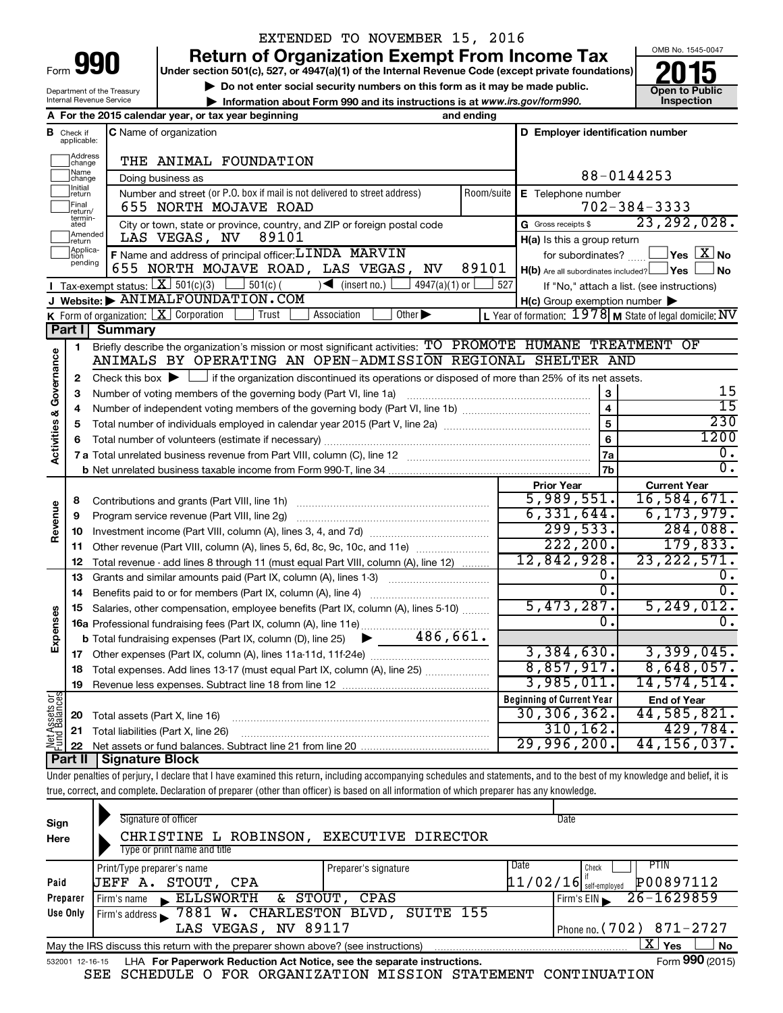| Form |  |
|------|--|

### EXTENDED TO NOVEMBER 15, 2016

**990 Return of Organization Exempt From Income Tax 1990 2015**<br>
Under section 501(c), 527, or 4947(a)(1) of the Internal Revenue Code (except private foundations) **2015** 

**Under section 501(c), 527, or 4947(a)(1) of the Internal Revenue Code (except private foundations) Example 10** Do not enter social security numbers on this form as it may be made public.<br> **Do not enter social security numbers on this form as it may be made public.**<br> **Do not enter social security numbers on this form as** 

*www.irs.gov/form990.*



Department of the Treasury Internal Revenue Service

| Internal Revenue Service |                                                     | Information about Form 990 and its instructions is at www.irs.gov/form990. | Inspection |
|--------------------------|-----------------------------------------------------|----------------------------------------------------------------------------|------------|
|                          | A For the 2015 calendar year, or tax year beginning | and ending                                                                 |            |

| в                       | Check if<br>applicable: | <b>C</b> Name of organization                                                                                                                          |            | D Employer identification number                        |                                                                               |  |
|-------------------------|-------------------------|--------------------------------------------------------------------------------------------------------------------------------------------------------|------------|---------------------------------------------------------|-------------------------------------------------------------------------------|--|
|                         | Address<br>change       | THE ANIMAL FOUNDATION                                                                                                                                  |            |                                                         |                                                                               |  |
|                         | Name<br> change         | Doing business as                                                                                                                                      | 88-0144253 |                                                         |                                                                               |  |
|                         | Initial<br> return      | Number and street (or P.O. box if mail is not delivered to street address)                                                                             | Room/suite | E Telephone number                                      |                                                                               |  |
|                         | Final<br>return/        | 655 NORTH MOJAVE ROAD                                                                                                                                  |            |                                                         | $702 - 384 - 3333$                                                            |  |
|                         | termin-<br>ated         | City or town, state or province, country, and ZIP or foreign postal code                                                                               |            | G Gross receipts \$                                     | 23, 292, 028.                                                                 |  |
|                         | Amended<br>Ireturn      | LAS VEGAS, NV<br>89101                                                                                                                                 |            | H(a) Is this a group return                             |                                                                               |  |
|                         | Applica-                | F Name and address of principal officer: LINDA MARVIN                                                                                                  |            | for subordinates?                                       | $\overline{\ }$ Yes $\overline{\rm \ }X$ No                                   |  |
|                         | pending                 | 655 NORTH MOJAVE ROAD, LAS VEGAS,<br>NV                                                                                                                | 89101      | $H(b)$ Are all subordinates included? $\Box$ Yes $\Box$ | <b>No</b>                                                                     |  |
|                         |                         | <b>I</b> Tax-exempt status: $X \ 501(c)(3)$ 501(c)(<br>$\overline{\phantom{a}}$ (insert no.)<br>4947(a)(1) or $\lfloor$                                | 527        |                                                         | If "No," attach a list. (see instructions)                                    |  |
|                         |                         | J Website: MIMALFOUNDATION.COM                                                                                                                         |            | $H(c)$ Group exemption number $\blacktriangleright$     |                                                                               |  |
|                         |                         | K Form of organization: $X$ Corporation<br>Other $\blacktriangleright$<br>Trust<br>Association                                                         |            |                                                         | L Year of formation: $1978$ M State of legal domicile: $\overline{\text{NV}}$ |  |
|                         | Part I                  | Summary                                                                                                                                                |            |                                                         |                                                                               |  |
|                         | 1                       | Briefly describe the organization's mission or most significant activities: TO PROMOTE HUMANE TREATMENT OF                                             |            |                                                         |                                                                               |  |
| Activities & Governance |                         | ANIMALS BY OPERATING AN OPEN-ADMISSION REGIONAL SHELTER AND                                                                                            |            |                                                         |                                                                               |  |
|                         | $\mathbf{2}$            | Check this box $\blacktriangleright$ $\Box$ if the organization discontinued its operations or disposed of more than 25% of its net assets.            |            |                                                         |                                                                               |  |
|                         | 3                       | Number of voting members of the governing body (Part VI, line 1a)                                                                                      |            | 3                                                       | 15                                                                            |  |
|                         | 4                       |                                                                                                                                                        |            | $\overline{\mathbf{4}}$                                 | $\overline{15}$                                                               |  |
|                         | 5                       |                                                                                                                                                        |            | $\overline{5}$<br>$\overline{6}$                        | 230                                                                           |  |
|                         | 6                       |                                                                                                                                                        |            |                                                         | 1200                                                                          |  |
|                         |                         |                                                                                                                                                        |            |                                                         | $\overline{0}$ .                                                              |  |
|                         |                         |                                                                                                                                                        |            | 7b                                                      | $\overline{0}$ .                                                              |  |
|                         |                         |                                                                                                                                                        |            | <b>Prior Year</b>                                       | <b>Current Year</b>                                                           |  |
|                         | 8                       |                                                                                                                                                        |            | 5,989,551.<br>6,331,644.                                | 16,584,671.<br>6, 173, 979.                                                   |  |
| Revenue                 | 9                       | Program service revenue (Part VIII, line 2g)                                                                                                           |            | 299,533.                                                | 284,088.                                                                      |  |
|                         | 10                      |                                                                                                                                                        |            | 222, 200.                                               | 179,833.                                                                      |  |
|                         | 11                      | Other revenue (Part VIII, column (A), lines 5, 6d, 8c, 9c, 10c, and 11e)                                                                               |            | 12,842,928.                                             | 23, 222, 571.                                                                 |  |
|                         | 12<br>13                | Total revenue - add lines 8 through 11 (must equal Part VIII, column (A), line 12)<br>Grants and similar amounts paid (Part IX, column (A), lines 1-3) |            | 0.                                                      | $0$ .                                                                         |  |
|                         | 14                      |                                                                                                                                                        |            | $\overline{0}$ .                                        | $\overline{0}$ .                                                              |  |
|                         | 15                      | Salaries, other compensation, employee benefits (Part IX, column (A), lines 5-10)                                                                      |            | 5,473,287.                                              | 5, 249, 012.                                                                  |  |
| Expenses                |                         |                                                                                                                                                        |            | 0.                                                      | 0.                                                                            |  |
|                         |                         | 486,661.<br><b>b</b> Total fundraising expenses (Part IX, column (D), line 25) $\triangleright$                                                        |            |                                                         |                                                                               |  |
|                         |                         |                                                                                                                                                        |            | 3,384,630.                                              | 3,399,045.                                                                    |  |
|                         | 18                      | Total expenses. Add lines 13-17 (must equal Part IX, column (A), line 25) <i></i>                                                                      |            | 8,857,917.                                              | 8,648,057.                                                                    |  |
|                         | 19                      |                                                                                                                                                        |            | 3,985,011.                                              | 14,574,514.                                                                   |  |
|                         |                         |                                                                                                                                                        |            | <b>Beginning of Current Year</b>                        | <b>End of Year</b>                                                            |  |
| Assets or               | 20                      | Total assets (Part X, line 16)                                                                                                                         |            | 30, 306, 362.                                           | 44,585,821.                                                                   |  |
|                         |                         | 21 Total liabilities (Part X, line 26)                                                                                                                 |            | 310, 162.                                               | 429,784.                                                                      |  |
| 호급<br>스                 |                         |                                                                                                                                                        |            | 29,996,200.                                             | 44, 156, 037.                                                                 |  |
|                         |                         | Dart II Signature Block                                                                                                                                |            |                                                         |                                                                               |  |

**Part II Signature Block**

┯

Under penalties of perjury, I declare that I have examined this return, including accompanying schedules and statements, and to the best of my knowledge and belief, it is true, correct, and complete. Declaration of preparer (other than officer) is based on all information of which preparer has any knowledge.

| Sign                                              | Signature of officer                                                                                         |                      | Date                                  |  |  |  |  |
|---------------------------------------------------|--------------------------------------------------------------------------------------------------------------|----------------------|---------------------------------------|--|--|--|--|
| Here                                              | CHRISTINE L<br>ROBINSON,                                                                                     | EXECUTIVE DIRECTOR   |                                       |  |  |  |  |
|                                                   | Type or print name and title                                                                                 |                      |                                       |  |  |  |  |
|                                                   | Print/Type preparer's name                                                                                   | Preparer's signature | Date<br><b>PTIN</b><br>Check          |  |  |  |  |
| Paid                                              | <b>JEFF A. STOUT, CPA</b>                                                                                    |                      | P00897112<br>$11/02/16$ self-employed |  |  |  |  |
| Preparer                                          | ELLSWORTH<br>Firm's name                                                                                     | & STOUT, CPAS        | $26 - 1629859$<br>Firm's $EIN$        |  |  |  |  |
| Use Only                                          | Firm's address 3 7881 W. CHARLESTON BLVD, SUITE 155                                                          |                      |                                       |  |  |  |  |
| LAS VEGAS, NV 89117<br>Phone no. $(702)$ 871-2727 |                                                                                                              |                      |                                       |  |  |  |  |
|                                                   | x<br><b>No</b><br>Yes<br>May the IRS discuss this return with the preparer shown above? (see instructions)   |                      |                                       |  |  |  |  |
|                                                   | Form 990 (2015)<br>LHA For Paperwork Reduction Act Notice, see the separate instructions.<br>532001 12-16-15 |                      |                                       |  |  |  |  |

SEE SCHEDULE O FOR ORGANIZATION MISSION STATEMENT CONTINUATION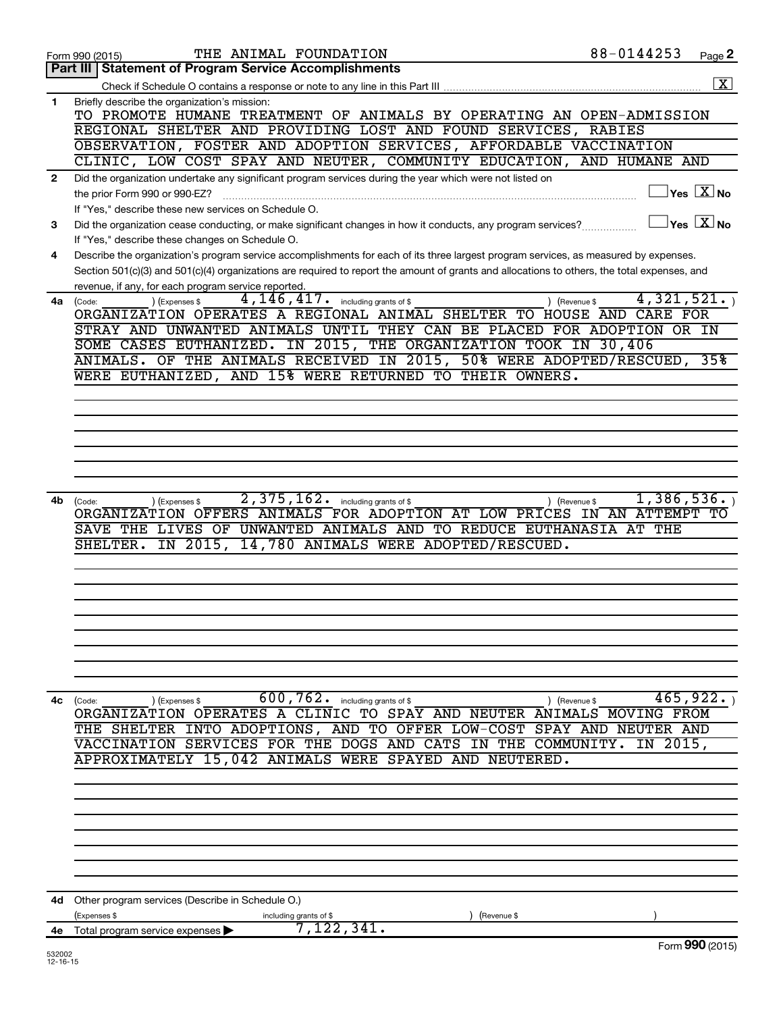|              | THE ANIMAL FOUNDATION<br>Form 990 (2015)                                                                                                                                                                                                                                                                                                                                                                                               | 88-0144253                              | Page 2                                         |
|--------------|----------------------------------------------------------------------------------------------------------------------------------------------------------------------------------------------------------------------------------------------------------------------------------------------------------------------------------------------------------------------------------------------------------------------------------------|-----------------------------------------|------------------------------------------------|
|              | <b>Statement of Program Service Accomplishments</b><br>Part III                                                                                                                                                                                                                                                                                                                                                                        |                                         |                                                |
|              |                                                                                                                                                                                                                                                                                                                                                                                                                                        |                                         | $\overline{\mathbf{X}}$                        |
| 1            | Briefly describe the organization's mission:<br>TO PROMOTE HUMANE TREATMENT OF ANIMALS BY OPERATING AN OPEN-ADMISSION<br>REGIONAL SHELTER AND PROVIDING LOST AND FOUND SERVICES, RABIES<br>OBSERVATION, FOSTER AND ADOPTION SERVICES, AFFORDABLE VACCINATION<br>CLINIC, LOW COST SPAY AND NEUTER, COMMUNITY EDUCATION, AND HUMANE AND                                                                                                  |                                         |                                                |
|              | Did the organization undertake any significant program services during the year which were not listed on                                                                                                                                                                                                                                                                                                                               |                                         |                                                |
| $\mathbf{2}$ | the prior Form 990 or 990-EZ?<br>If "Yes," describe these new services on Schedule O.                                                                                                                                                                                                                                                                                                                                                  |                                         | $\vert$ Yes $\vert$ $\overline{\mathrm{X}}$ No |
| 3            | Did the organization cease conducting, or make significant changes in how it conducts, any program services?                                                                                                                                                                                                                                                                                                                           |                                         | $\gamma$ es $\boxed{X}$ No                     |
|              | If "Yes," describe these changes on Schedule O.                                                                                                                                                                                                                                                                                                                                                                                        |                                         |                                                |
| 4            | Describe the organization's program service accomplishments for each of its three largest program services, as measured by expenses.<br>Section 501(c)(3) and 501(c)(4) organizations are required to report the amount of grants and allocations to others, the total expenses, and<br>revenue, if any, for each program service reported.                                                                                            |                                         |                                                |
| 4a l         | $\overline{4,146}$ , $417$ $\cdot$ including grants of \$<br>(Expenses \$<br>(Code:<br>ORGANIZATION OPERATES A REGIONAL ANIMAL SHELTER TO HOUSE AND<br>STRAY AND UNWANTED ANIMALS UNTIL THEY CAN BE PLACED FOR ADOPTION OR IN<br>SOME CASES EUTHANIZED. IN 2015, THE ORGANIZATION TOOK IN 30,406<br>ANIMALS. OF THE ANIMALS RECEIVED IN 2015, 50% WERE ADOPTED/RESCUED, 35%<br>WERE EUTHANIZED, AND 15% WERE RETURNED TO THEIR OWNERS. | 4,321,521.<br>) (Revenue \$<br>CARE FOR |                                                |
|              |                                                                                                                                                                                                                                                                                                                                                                                                                                        |                                         |                                                |
|              |                                                                                                                                                                                                                                                                                                                                                                                                                                        |                                         |                                                |
|              |                                                                                                                                                                                                                                                                                                                                                                                                                                        |                                         |                                                |
|              |                                                                                                                                                                                                                                                                                                                                                                                                                                        |                                         |                                                |
|              |                                                                                                                                                                                                                                                                                                                                                                                                                                        |                                         |                                                |
|              |                                                                                                                                                                                                                                                                                                                                                                                                                                        |                                         |                                                |
| 4b           | 2,375,162.<br>including grants of \$<br>) (Expenses \$<br>(Code:<br>ORGANIZATION OFFERS ANIMALS FOR ADOPTION AT LOW PRICES IN AN ATTEMPT TO<br>SAVE THE LIVES OF UNWANTED ANIMALS AND TO REDUCE EUTHANASIA AT THE<br>2015,<br>14,780 ANIMALS WERE ADOPTED/RESCUED.<br>SHELTER.<br>IN                                                                                                                                                   | 1, 386, 536.<br>) (Revenue \$           |                                                |
|              |                                                                                                                                                                                                                                                                                                                                                                                                                                        |                                         |                                                |
|              |                                                                                                                                                                                                                                                                                                                                                                                                                                        |                                         |                                                |
|              |                                                                                                                                                                                                                                                                                                                                                                                                                                        |                                         |                                                |
|              |                                                                                                                                                                                                                                                                                                                                                                                                                                        |                                         |                                                |
|              |                                                                                                                                                                                                                                                                                                                                                                                                                                        |                                         |                                                |
| 4с           | 600, 762. including grants of \$<br>) (Expenses \$<br>(Code:<br>ORGANIZATION OPERATES A CLINIC TO SPAY AND NEUTER ANIMALS MOVING FROM<br>THE SHELTER INTO ADOPTIONS, AND TO OFFER LOW-COST SPAY AND NEUTER AND<br>VACCINATION SERVICES FOR THE DOGS AND CATS IN THE COMMUNITY.                                                                                                                                                         | ) (Revenue \$<br>IN 2015,               | 465,922.                                       |
|              | APPROXIMATELY 15,042 ANIMALS WERE SPAYED AND NEUTERED.                                                                                                                                                                                                                                                                                                                                                                                 |                                         |                                                |
|              |                                                                                                                                                                                                                                                                                                                                                                                                                                        |                                         |                                                |
|              |                                                                                                                                                                                                                                                                                                                                                                                                                                        |                                         |                                                |
|              |                                                                                                                                                                                                                                                                                                                                                                                                                                        |                                         |                                                |
|              |                                                                                                                                                                                                                                                                                                                                                                                                                                        |                                         |                                                |
|              |                                                                                                                                                                                                                                                                                                                                                                                                                                        |                                         |                                                |
|              |                                                                                                                                                                                                                                                                                                                                                                                                                                        |                                         |                                                |
|              |                                                                                                                                                                                                                                                                                                                                                                                                                                        |                                         |                                                |
| 4d -         | Other program services (Describe in Schedule O.)<br>(Expenses \$<br>(Revenue \$                                                                                                                                                                                                                                                                                                                                                        |                                         |                                                |
| 4е           | including grants of \$<br>7,122,341.<br>Total program service expenses                                                                                                                                                                                                                                                                                                                                                                 |                                         |                                                |
|              |                                                                                                                                                                                                                                                                                                                                                                                                                                        |                                         | Form 990 (2015)                                |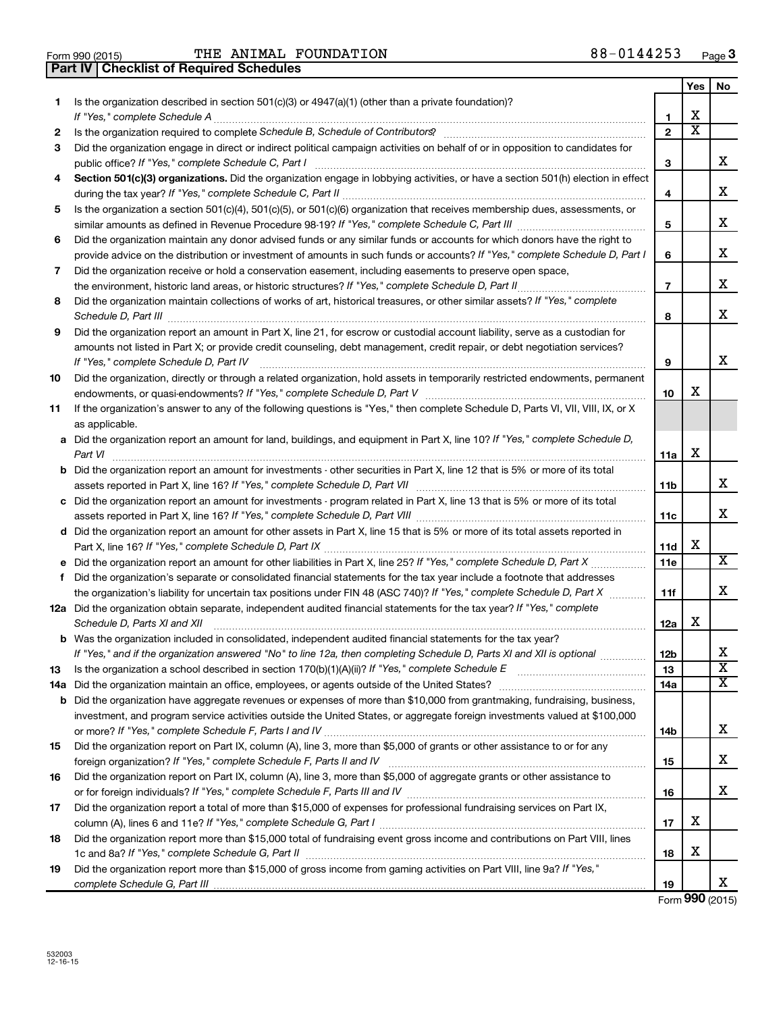| Form 990 (2015) |  |  |
|-----------------|--|--|

Form 990 (2015)  $\qquad$  THE ANIMAL FOUNDATION  $88-0144253$   $_{\text{Page}}$ **Part IV Checklist of Required Schedules**

|    |                                                                                                                                                                                                                                     |                | Yes                   | No                           |
|----|-------------------------------------------------------------------------------------------------------------------------------------------------------------------------------------------------------------------------------------|----------------|-----------------------|------------------------------|
| 1  | Is the organization described in section $501(c)(3)$ or $4947(a)(1)$ (other than a private foundation)?                                                                                                                             |                |                       |                              |
|    |                                                                                                                                                                                                                                     | 1              | х                     |                              |
| 2  |                                                                                                                                                                                                                                     | $\mathbf{2}$   | $\overline{\text{x}}$ |                              |
| 3  | Did the organization engage in direct or indirect political campaign activities on behalf of or in opposition to candidates for                                                                                                     | З              |                       | х                            |
| 4  | Section 501(c)(3) organizations. Did the organization engage in lobbying activities, or have a section 501(h) election in effect                                                                                                    | 4              |                       | х                            |
| 5  | Is the organization a section 501(c)(4), 501(c)(5), or 501(c)(6) organization that receives membership dues, assessments, or                                                                                                        |                |                       |                              |
|    |                                                                                                                                                                                                                                     | 5              |                       | х                            |
| 6  | Did the organization maintain any donor advised funds or any similar funds or accounts for which donors have the right to                                                                                                           |                |                       |                              |
|    | provide advice on the distribution or investment of amounts in such funds or accounts? If "Yes," complete Schedule D, Part I                                                                                                        | 6              |                       | х                            |
| 7  | Did the organization receive or hold a conservation easement, including easements to preserve open space,                                                                                                                           |                |                       |                              |
|    | the environment, historic land areas, or historic structures? If "Yes," complete Schedule D, Part II                                                                                                                                | $\overline{7}$ |                       | х                            |
| 8  | Did the organization maintain collections of works of art, historical treasures, or other similar assets? If "Yes," complete                                                                                                        | 8              |                       | х                            |
| 9  | Did the organization report an amount in Part X, line 21, for escrow or custodial account liability, serve as a custodian for                                                                                                       |                |                       |                              |
|    | amounts not listed in Part X; or provide credit counseling, debt management, credit repair, or debt negotiation services?<br>If "Yes," complete Schedule D, Part IV                                                                 | 9              |                       | X                            |
| 10 | Did the organization, directly or through a related organization, hold assets in temporarily restricted endowments, permanent                                                                                                       |                |                       |                              |
|    |                                                                                                                                                                                                                                     | 10             | х                     |                              |
| 11 | If the organization's answer to any of the following questions is "Yes," then complete Schedule D, Parts VI, VII, VIII, IX, or X                                                                                                    |                |                       |                              |
|    | as applicable.                                                                                                                                                                                                                      |                |                       |                              |
|    | a Did the organization report an amount for land, buildings, and equipment in Part X, line 10? If "Yes," complete Schedule D,<br>Part VI                                                                                            | 11a            | х                     |                              |
|    | <b>b</b> Did the organization report an amount for investments - other securities in Part X, line 12 that is 5% or more of its total                                                                                                | 11b            |                       | х                            |
|    | c Did the organization report an amount for investments - program related in Part X, line 13 that is 5% or more of its total                                                                                                        |                |                       |                              |
|    |                                                                                                                                                                                                                                     | 11c            |                       | x                            |
|    | d Did the organization report an amount for other assets in Part X, line 15 that is 5% or more of its total assets reported in                                                                                                      |                |                       |                              |
|    |                                                                                                                                                                                                                                     | <b>11d</b>     | X                     |                              |
|    |                                                                                                                                                                                                                                     | 11e            |                       | $\overline{\mathbf{X}}$      |
| f  | Did the organization's separate or consolidated financial statements for the tax year include a footnote that addresses                                                                                                             |                |                       | х                            |
|    | the organization's liability for uncertain tax positions under FIN 48 (ASC 740)? If "Yes," complete Schedule D, Part X                                                                                                              | 11f            |                       |                              |
|    | 12a Did the organization obtain separate, independent audited financial statements for the tax year? If "Yes," complete<br>Schedule D, Parts XI and XII                                                                             | 12a            | х                     |                              |
|    | <b>b</b> Was the organization included in consolidated, independent audited financial statements for the tax year?                                                                                                                  |                |                       |                              |
|    | If "Yes," and if the organization answered "No" to line 12a, then completing Schedule D, Parts XI and XII is optional                                                                                                               | 12b            |                       | Χ<br>$\overline{\textbf{x}}$ |
| 13 |                                                                                                                                                                                                                                     | 13             |                       | х                            |
|    | 14a Did the organization maintain an office, employees, or agents outside of the United States?<br><b>b</b> Did the organization have aggregate revenues or expenses of more than \$10,000 from grantmaking, fundraising, business, | 14a            |                       |                              |
|    | investment, and program service activities outside the United States, or aggregate foreign investments valued at \$100,000                                                                                                          |                |                       |                              |
|    |                                                                                                                                                                                                                                     | 14b            |                       | х                            |
| 15 | Did the organization report on Part IX, column (A), line 3, more than \$5,000 of grants or other assistance to or for any                                                                                                           |                |                       |                              |
|    |                                                                                                                                                                                                                                     | 15             |                       | х                            |
| 16 | Did the organization report on Part IX, column (A), line 3, more than \$5,000 of aggregate grants or other assistance to                                                                                                            |                |                       |                              |
|    |                                                                                                                                                                                                                                     | 16             |                       | х                            |
| 17 | Did the organization report a total of more than \$15,000 of expenses for professional fundraising services on Part IX,                                                                                                             |                |                       |                              |
|    |                                                                                                                                                                                                                                     | 17             | х                     |                              |
| 18 | Did the organization report more than \$15,000 total of fundraising event gross income and contributions on Part VIII, lines                                                                                                        |                |                       |                              |
|    |                                                                                                                                                                                                                                     | 18             | х                     |                              |
| 19 | Did the organization report more than \$15,000 of gross income from gaming activities on Part VIII, line 9a? If "Yes,"                                                                                                              |                |                       | x                            |
|    |                                                                                                                                                                                                                                     | 19             |                       |                              |

Form **990** (2015)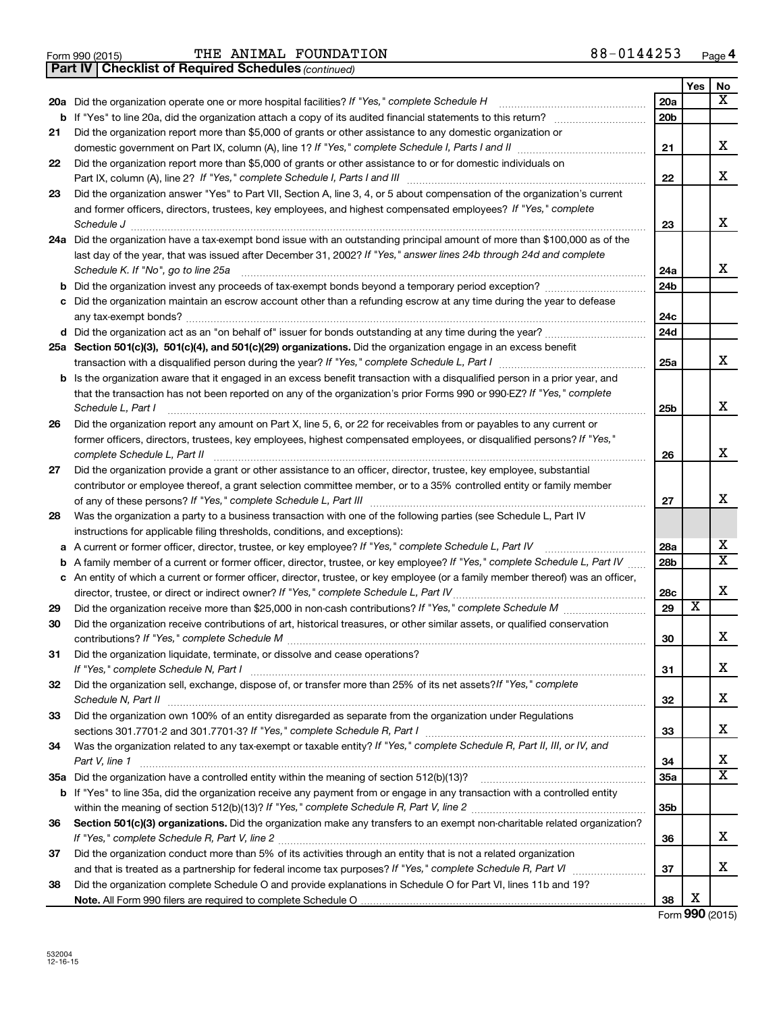Form 990 (2015)  $\qquad$  THE ANIMAL FOUNDATION  $88-0144253$   $_{\text{Page}}$ 

*(continued)* **Part IV Checklist of Required Schedules**

|    |                                                                                                                                                      |                 | Yes | No                      |
|----|------------------------------------------------------------------------------------------------------------------------------------------------------|-----------------|-----|-------------------------|
|    | 20a Did the organization operate one or more hospital facilities? If "Yes," complete Schedule H                                                      | 20a             |     | х                       |
| b  |                                                                                                                                                      | 20b             |     |                         |
| 21 | Did the organization report more than \$5,000 of grants or other assistance to any domestic organization or                                          |                 |     |                         |
|    |                                                                                                                                                      | 21              |     | х                       |
| 22 | Did the organization report more than \$5,000 of grants or other assistance to or for domestic individuals on                                        |                 |     |                         |
|    |                                                                                                                                                      | 22              |     | х                       |
| 23 | Did the organization answer "Yes" to Part VII, Section A, line 3, 4, or 5 about compensation of the organization's current                           |                 |     |                         |
|    | and former officers, directors, trustees, key employees, and highest compensated employees? If "Yes," complete                                       |                 |     |                         |
|    | Schedule J <b>Execute Schedule J Execute Schedule J</b>                                                                                              | 23              |     | х                       |
|    | 24a Did the organization have a tax-exempt bond issue with an outstanding principal amount of more than \$100,000 as of the                          |                 |     |                         |
|    | last day of the year, that was issued after December 31, 2002? If "Yes," answer lines 24b through 24d and complete                                   |                 |     |                         |
|    | Schedule K. If "No", go to line 25a                                                                                                                  | 24a             |     | х                       |
| b  |                                                                                                                                                      | 24 <sub>b</sub> |     |                         |
|    | Did the organization maintain an escrow account other than a refunding escrow at any time during the year to defease                                 |                 |     |                         |
|    |                                                                                                                                                      | 24с             |     |                         |
|    |                                                                                                                                                      | 24d             |     |                         |
|    | 25a Section 501(c)(3), 501(c)(4), and 501(c)(29) organizations. Did the organization engage in an excess benefit                                     |                 |     |                         |
|    |                                                                                                                                                      | 25a             |     | х                       |
| b  | Is the organization aware that it engaged in an excess benefit transaction with a disqualified person in a prior year, and                           |                 |     |                         |
|    | that the transaction has not been reported on any of the organization's prior Forms 990 or 990-EZ? If "Yes," complete                                |                 |     | X                       |
|    | Schedule L, Part I                                                                                                                                   | 25b             |     |                         |
| 26 | Did the organization report any amount on Part X, line 5, 6, or 22 for receivables from or payables to any current or                                |                 |     |                         |
|    | former officers, directors, trustees, key employees, highest compensated employees, or disqualified persons? If "Yes,"                               |                 |     | X                       |
|    | complete Schedule L, Part II<br>Did the organization provide a grant or other assistance to an officer, director, trustee, key employee, substantial | 26              |     |                         |
| 27 | contributor or employee thereof, a grant selection committee member, or to a 35% controlled entity or family member                                  |                 |     |                         |
|    |                                                                                                                                                      | 27              |     | X                       |
| 28 | Was the organization a party to a business transaction with one of the following parties (see Schedule L, Part IV                                    |                 |     |                         |
|    | instructions for applicable filing thresholds, conditions, and exceptions):                                                                          |                 |     |                         |
| а  | A current or former officer, director, trustee, or key employee? If "Yes," complete Schedule L, Part IV                                              | 28a             |     | x                       |
| b  | A family member of a current or former officer, director, trustee, or key employee? If "Yes," complete Schedule L, Part IV                           | 28b             |     | $\overline{\textbf{x}}$ |
|    | c An entity of which a current or former officer, director, trustee, or key employee (or a family member thereof) was an officer,                    |                 |     |                         |
|    | director, trustee, or direct or indirect owner? If "Yes," complete Schedule L, Part IV                                                               | 28c             |     | X                       |
| 29 |                                                                                                                                                      | 29              | х   |                         |
| 30 | Did the organization receive contributions of art, historical treasures, or other similar assets, or qualified conservation                          |                 |     |                         |
|    |                                                                                                                                                      | 30              |     | х                       |
| 31 | Did the organization liquidate, terminate, or dissolve and cease operations?                                                                         |                 |     |                         |
|    | If "Yes," complete Schedule N, Part I                                                                                                                | 31              |     | х                       |
| 32 | Did the organization sell, exchange, dispose of, or transfer more than 25% of its net assets? If "Yes," complete                                     |                 |     |                         |
|    |                                                                                                                                                      | 32              |     | x                       |
| 33 | Did the organization own 100% of an entity disregarded as separate from the organization under Regulations                                           |                 |     |                         |
|    |                                                                                                                                                      | 33              |     | x                       |
| 34 | Was the organization related to any tax-exempt or taxable entity? If "Yes," complete Schedule R, Part II, III, or IV, and                            |                 |     |                         |
|    | Part V, line 1                                                                                                                                       | 34              |     | х                       |
|    |                                                                                                                                                      | 35a             |     | $\overline{\mathbf{X}}$ |
|    | b If "Yes" to line 35a, did the organization receive any payment from or engage in any transaction with a controlled entity                          |                 |     |                         |
|    |                                                                                                                                                      | 35b             |     |                         |
| 36 | Section 501(c)(3) organizations. Did the organization make any transfers to an exempt non-charitable related organization?                           |                 |     |                         |
|    |                                                                                                                                                      | 36              |     | x                       |
| 37 | Did the organization conduct more than 5% of its activities through an entity that is not a related organization                                     |                 |     |                         |
|    |                                                                                                                                                      | 37              |     | х                       |
| 38 | Did the organization complete Schedule O and provide explanations in Schedule O for Part VI, lines 11b and 19?                                       |                 | X   |                         |
|    |                                                                                                                                                      | 38              |     |                         |

Form **990** (2015)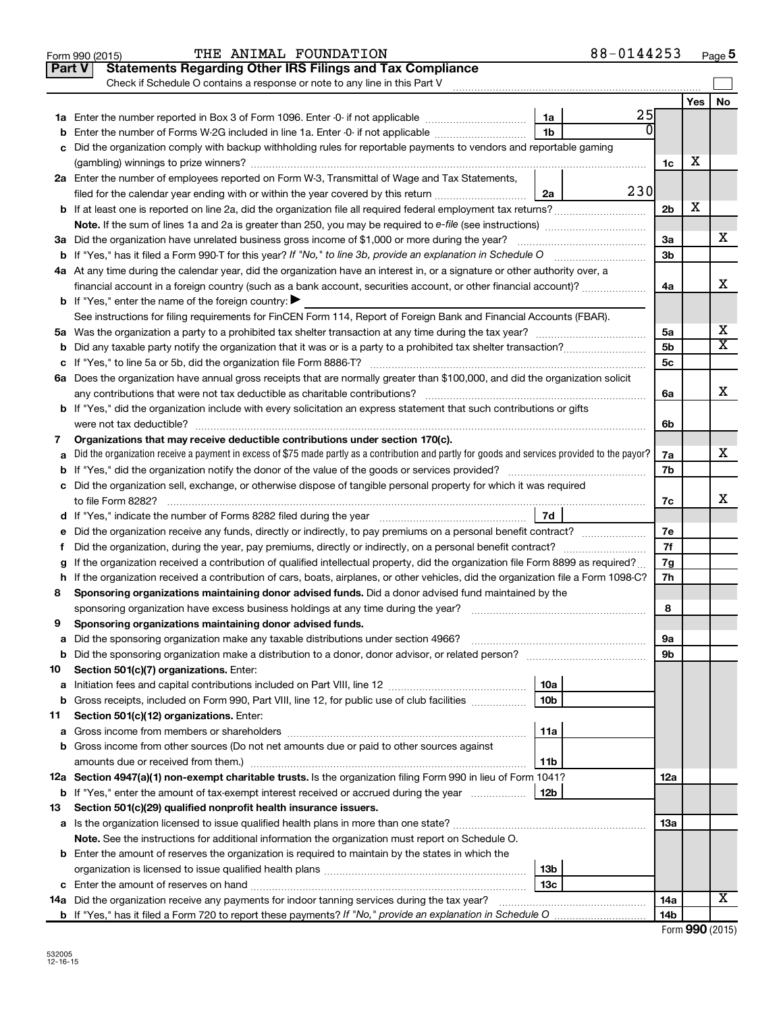|    | THE ANIMAL FOUNDATION<br>Form 990 (2015)                                                                                                        |                 | 88-0144253 |                 |     | Page 5                       |
|----|-------------------------------------------------------------------------------------------------------------------------------------------------|-----------------|------------|-----------------|-----|------------------------------|
|    | <b>Statements Regarding Other IRS Filings and Tax Compliance</b><br><b>Part V</b>                                                               |                 |            |                 |     |                              |
|    | Check if Schedule O contains a response or note to any line in this Part V                                                                      |                 |            |                 |     |                              |
|    |                                                                                                                                                 |                 |            |                 | Yes | No                           |
|    |                                                                                                                                                 | 1a              | 25         |                 |     |                              |
| b  | Enter the number of Forms W-2G included in line 1a. Enter -0- if not applicable                                                                 | 1 <sub>b</sub>  |            |                 |     |                              |
|    | c Did the organization comply with backup withholding rules for reportable payments to vendors and reportable gaming                            |                 |            |                 |     |                              |
|    |                                                                                                                                                 |                 |            | 1c              | х   |                              |
|    | 2a Enter the number of employees reported on Form W-3, Transmittal of Wage and Tax Statements,                                                  |                 |            |                 |     |                              |
|    | filed for the calendar year ending with or within the year covered by this return                                                               | 2a              | 230        |                 |     |                              |
|    | <b>b</b> If at least one is reported on line 2a, did the organization file all required federal employment tax returns?                         |                 |            | 2 <sub>b</sub>  | х   |                              |
|    |                                                                                                                                                 |                 |            |                 |     |                              |
|    |                                                                                                                                                 |                 |            | 3a              |     | х                            |
|    |                                                                                                                                                 |                 |            | 3b              |     |                              |
|    | 4a At any time during the calendar year, did the organization have an interest in, or a signature or other authority over, a                    |                 |            |                 |     |                              |
|    | financial account in a foreign country (such as a bank account, securities account, or other financial account)?                                |                 |            | 4a              |     | X                            |
|    | <b>b</b> If "Yes," enter the name of the foreign country: $\blacktriangleright$                                                                 |                 |            |                 |     |                              |
|    | See instructions for filing requirements for FinCEN Form 114, Report of Foreign Bank and Financial Accounts (FBAR).                             |                 |            |                 |     |                              |
|    |                                                                                                                                                 |                 |            | 5a              |     | х<br>$\overline{\texttt{X}}$ |
|    |                                                                                                                                                 |                 |            | 5 <sub>b</sub>  |     |                              |
|    |                                                                                                                                                 |                 |            | 5c              |     |                              |
|    | 6a Does the organization have annual gross receipts that are normally greater than \$100,000, and did the organization solicit                  |                 |            |                 |     | X                            |
|    |                                                                                                                                                 |                 |            | 6a              |     |                              |
|    | <b>b</b> If "Yes," did the organization include with every solicitation an express statement that such contributions or gifts                   |                 |            |                 |     |                              |
|    |                                                                                                                                                 |                 |            | 6b              |     |                              |
| 7  | Organizations that may receive deductible contributions under section 170(c).                                                                   |                 |            |                 |     | X                            |
| a  | Did the organization receive a payment in excess of \$75 made partly as a contribution and partly for goods and services provided to the payor? |                 |            | 7a<br>7b        |     |                              |
|    | c Did the organization sell, exchange, or otherwise dispose of tangible personal property for which it was required                             |                 |            |                 |     |                              |
|    |                                                                                                                                                 |                 |            | 7c              |     | x                            |
|    |                                                                                                                                                 |                 |            |                 |     |                              |
|    |                                                                                                                                                 |                 |            | 7e              |     |                              |
| f. |                                                                                                                                                 |                 |            | 7f              |     |                              |
|    | If the organization received a contribution of qualified intellectual property, did the organization file Form 8899 as required?                |                 |            | 7g              |     |                              |
|    | h If the organization received a contribution of cars, boats, airplanes, or other vehicles, did the organization file a Form 1098-C?            |                 |            | 7h              |     |                              |
| 8  | Sponsoring organizations maintaining donor advised funds. Did a donor advised fund maintained by the                                            |                 |            |                 |     |                              |
|    |                                                                                                                                                 |                 |            | 8               |     |                              |
|    | Sponsoring organizations maintaining donor advised funds.                                                                                       |                 |            |                 |     |                              |
| а  | Did the sponsoring organization make any taxable distributions under section 4966?                                                              |                 |            | 9а              |     |                              |
| b  |                                                                                                                                                 |                 |            | 9b              |     |                              |
| 10 | Section 501(c)(7) organizations. Enter:                                                                                                         |                 |            |                 |     |                              |
| a  |                                                                                                                                                 | 10a             |            |                 |     |                              |
| b  | Gross receipts, included on Form 990, Part VIII, line 12, for public use of club facilities                                                     | 10 <sub>b</sub> |            |                 |     |                              |
| 11 | Section 501(c)(12) organizations. Enter:                                                                                                        |                 |            |                 |     |                              |
| а  |                                                                                                                                                 | 11a             |            |                 |     |                              |
|    | b Gross income from other sources (Do not net amounts due or paid to other sources against                                                      |                 |            |                 |     |                              |
|    | amounts due or received from them.)                                                                                                             | 11b             |            |                 |     |                              |
|    | 12a Section 4947(a)(1) non-exempt charitable trusts. Is the organization filing Form 990 in lieu of Form 1041?                                  |                 |            | 12a             |     |                              |
|    | <b>b</b> If "Yes," enter the amount of tax-exempt interest received or accrued during the year                                                  | 12b             |            |                 |     |                              |
| 13 | Section 501(c)(29) qualified nonprofit health insurance issuers.                                                                                |                 |            |                 |     |                              |
|    | a Is the organization licensed to issue qualified health plans in more than one state?                                                          |                 |            | 13a             |     |                              |
|    | Note. See the instructions for additional information the organization must report on Schedule O.                                               |                 |            |                 |     |                              |
|    | <b>b</b> Enter the amount of reserves the organization is required to maintain by the states in which the                                       |                 |            |                 |     |                              |
|    |                                                                                                                                                 | 13b             |            |                 |     |                              |
|    |                                                                                                                                                 | 13 <sub>c</sub> |            |                 |     |                              |
|    | 14a Did the organization receive any payments for indoor tanning services during the tax year?                                                  |                 |            | 14a             |     | x                            |
|    |                                                                                                                                                 |                 |            | 14 <sub>b</sub> |     |                              |

| Form 990 (2015) |  |
|-----------------|--|
|-----------------|--|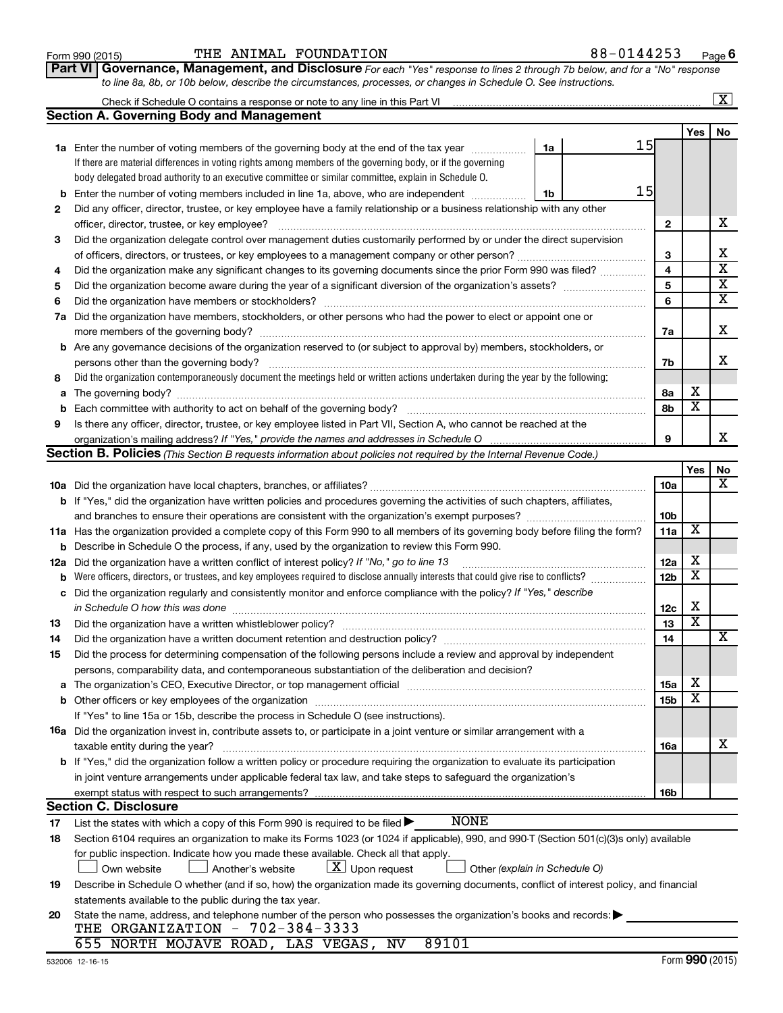|      | VI | I |
|------|----|---|
| Part |    |   |

#### $\frac{1}{100}$   $\frac{1}{100}$   $\frac{1}{100}$   $\frac{1}{100}$   $\frac{1}{100}$   $\frac{1}{100}$   $\frac{1}{100}$   $\frac{1}{100}$   $\frac{1}{100}$   $\frac{1}{100}$   $\frac{1}{100}$   $\frac{1}{100}$   $\frac{1}{100}$   $\frac{1}{100}$   $\frac{1}{100}$   $\frac{1}{100}$   $\frac{1}{100}$   $\frac{1}{100}$   $\frac{1$ THE ANIMAL FOUNDATION 88-0144253

*For each "Yes" response to lines 2 through 7b below, and for a "No" response to line 8a, 8b, or 10b below, describe the circumstances, processes, or changes in Schedule O. See instructions.* **Part VI Governance, Management, and Disclosure** 

|     | Check if Schedule O contains a response or note to any line in this Part VI                                                                                                                                                    |                         |                         | $\overline{\mathbf{x}}$ |
|-----|--------------------------------------------------------------------------------------------------------------------------------------------------------------------------------------------------------------------------------|-------------------------|-------------------------|-------------------------|
|     | <b>Section A. Governing Body and Management</b>                                                                                                                                                                                |                         |                         |                         |
|     |                                                                                                                                                                                                                                |                         | Yes                     | No                      |
|     | 15<br>1a<br><b>1a</b> Enter the number of voting members of the governing body at the end of the tax year                                                                                                                      |                         |                         |                         |
|     | If there are material differences in voting rights among members of the governing body, or if the governing                                                                                                                    |                         |                         |                         |
|     | body delegated broad authority to an executive committee or similar committee, explain in Schedule O.                                                                                                                          |                         |                         |                         |
| b   | 15<br>Enter the number of voting members included in line 1a, above, who are independent<br>1b                                                                                                                                 |                         |                         |                         |
| 2   | Did any officer, director, trustee, or key employee have a family relationship or a business relationship with any other                                                                                                       |                         |                         |                         |
|     | officer, director, trustee, or key employee?                                                                                                                                                                                   | 2                       |                         | x                       |
| 3   | Did the organization delegate control over management duties customarily performed by or under the direct supervision                                                                                                          |                         |                         |                         |
|     | of officers, directors, or trustees, or key employees to a management company or other person?                                                                                                                                 | З                       |                         | х                       |
| 4   | Did the organization make any significant changes to its governing documents since the prior Form 990 was filed?                                                                                                               | $\overline{\mathbf{4}}$ |                         | $\overline{\textbf{x}}$ |
| 5   |                                                                                                                                                                                                                                | 5                       |                         | $\overline{\mathbf{x}}$ |
| 6   |                                                                                                                                                                                                                                | 6                       |                         | $\overline{\textbf{x}}$ |
| 7a  | Did the organization have members, stockholders, or other persons who had the power to elect or appoint one or                                                                                                                 |                         |                         |                         |
|     |                                                                                                                                                                                                                                | 7a                      |                         | x                       |
| b   | Are any governance decisions of the organization reserved to (or subject to approval by) members, stockholders, or                                                                                                             |                         |                         |                         |
|     | persons other than the governing body?                                                                                                                                                                                         | 7b                      |                         | x                       |
| 8   | Did the organization contemporaneously document the meetings held or written actions undertaken during the year by the following:                                                                                              |                         |                         |                         |
| a   |                                                                                                                                                                                                                                | 8а                      | х                       |                         |
| b   |                                                                                                                                                                                                                                | 8b                      | $\overline{\textbf{x}}$ |                         |
| 9   | Is there any officer, director, trustee, or key employee listed in Part VII, Section A, who cannot be reached at the                                                                                                           |                         |                         |                         |
|     | organization's mailing address? If "Yes," provide the names and addresses in Schedule O                                                                                                                                        | 9                       |                         | x                       |
|     | Section B. Policies (This Section B requests information about policies not required by the Internal Revenue Code.)                                                                                                            |                         |                         |                         |
|     |                                                                                                                                                                                                                                |                         | Yes                     | No                      |
|     |                                                                                                                                                                                                                                | 10a                     |                         | х                       |
|     | <b>b</b> If "Yes," did the organization have written policies and procedures governing the activities of such chapters, affiliates,                                                                                            |                         |                         |                         |
|     |                                                                                                                                                                                                                                | 10 <sub>b</sub>         |                         |                         |
|     | 11a Has the organization provided a complete copy of this Form 990 to all members of its governing body before filing the form?                                                                                                | 11a                     | $\overline{\textbf{x}}$ |                         |
| b   | Describe in Schedule O the process, if any, used by the organization to review this Form 990.                                                                                                                                  |                         |                         |                         |
| 12a | Did the organization have a written conflict of interest policy? If "No," go to line 13                                                                                                                                        | 12a                     | х                       |                         |
| b   | Were officers, directors, or trustees, and key employees required to disclose annually interests that could give rise to conflicts?                                                                                            | 12 <sub>b</sub>         | $\overline{\text{x}}$   |                         |
| с   | Did the organization regularly and consistently monitor and enforce compliance with the policy? If "Yes," describe                                                                                                             |                         |                         |                         |
|     | in Schedule O how this was done                                                                                                                                                                                                | 12 <sub>c</sub>         | х                       |                         |
| 13  | Did the organization have a written whistleblower policy?                                                                                                                                                                      | 13                      | $\overline{\text{x}}$   |                         |
| 14  |                                                                                                                                                                                                                                | 14                      |                         | x                       |
| 15  | Did the process for determining compensation of the following persons include a review and approval by independent                                                                                                             |                         |                         |                         |
|     | persons, comparability data, and contemporaneous substantiation of the deliberation and decision?                                                                                                                              |                         |                         |                         |
| а   | The organization's CEO, Executive Director, or top management official manufactured content of the organization's CEO, Executive Director, or top management official manufactured content of the state of the state of the st | 15a                     | х                       |                         |
|     |                                                                                                                                                                                                                                | 15 <sub>b</sub>         | $\overline{\textbf{x}}$ |                         |
|     | If "Yes" to line 15a or 15b, describe the process in Schedule O (see instructions).                                                                                                                                            |                         |                         |                         |
|     | 16a Did the organization invest in, contribute assets to, or participate in a joint venture or similar arrangement with a                                                                                                      |                         |                         |                         |
|     | taxable entity during the year?                                                                                                                                                                                                | 16a                     |                         | х                       |
|     | b If "Yes," did the organization follow a written policy or procedure requiring the organization to evaluate its participation                                                                                                 |                         |                         |                         |
|     | in joint venture arrangements under applicable federal tax law, and take steps to safeguard the organization's                                                                                                                 |                         |                         |                         |
|     | exempt status with respect to such arrangements?                                                                                                                                                                               | 16 <sub>b</sub>         |                         |                         |
|     | <b>Section C. Disclosure</b>                                                                                                                                                                                                   |                         |                         |                         |
| 17  | <b>NONE</b><br>List the states with which a copy of this Form 990 is required to be filed >                                                                                                                                    |                         |                         |                         |
| 18  | Section 6104 requires an organization to make its Forms 1023 (or 1024 if applicable), 990, and 990-T (Section 501(c)(3)s only) available                                                                                       |                         |                         |                         |
|     | for public inspection. Indicate how you made these available. Check all that apply.                                                                                                                                            |                         |                         |                         |
|     | $X$ Upon request<br>Own website<br>Another's website<br>Other (explain in Schedule O)                                                                                                                                          |                         |                         |                         |
| 19  | Describe in Schedule O whether (and if so, how) the organization made its governing documents, conflict of interest policy, and financial                                                                                      |                         |                         |                         |
|     | statements available to the public during the tax year.                                                                                                                                                                        |                         |                         |                         |
| 20  | State the name, address, and telephone number of the person who possesses the organization's books and records:                                                                                                                |                         |                         |                         |
|     | THE ORGANIZATION - 702-384-3333                                                                                                                                                                                                |                         |                         |                         |
|     | 655 NORTH MOJAVE ROAD, LAS VEGAS, NV<br>89101                                                                                                                                                                                  |                         |                         |                         |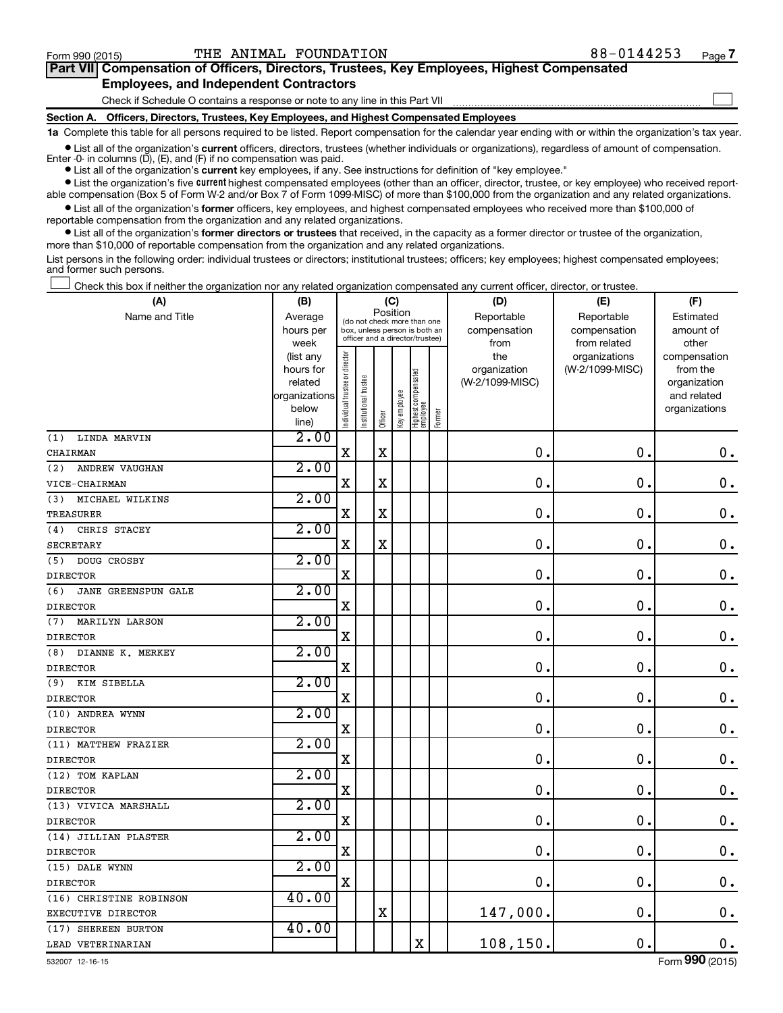$\Box$ 

| Part VII Compensation of Officers, Directors, Trustees, Key Employees, Highest Compensated |  |  |  |  |
|--------------------------------------------------------------------------------------------|--|--|--|--|
| <b>Employees, and Independent Contractors</b>                                              |  |  |  |  |

Check if Schedule O contains a response or note to any line in this Part VII

**Section A. Officers, Directors, Trustees, Key Employees, and Highest Compensated Employees**

**1a**  Complete this table for all persons required to be listed. Report compensation for the calendar year ending with or within the organization's tax year.

**•** List all of the organization's current officers, directors, trustees (whether individuals or organizations), regardless of amount of compensation. Enter -0- in columns  $(D)$ ,  $(E)$ , and  $(F)$  if no compensation was paid.

**•** List all of the organization's **current** key employees, if any. See instructions for definition of "key employee."

**•** List the organization's five current highest compensated employees (other than an officer, director, trustee, or key employee) who received reportable compensation (Box 5 of Form W-2 and/or Box 7 of Form 1099-MISC) of more than \$100,000 from the organization and any related organizations.

**•** List all of the organization's former officers, key employees, and highest compensated employees who received more than \$100,000 of reportable compensation from the organization and any related organizations.

**•** List all of the organization's former directors or trustees that received, in the capacity as a former director or trustee of the organization, more than \$10,000 of reportable compensation from the organization and any related organizations.

List persons in the following order: individual trustees or directors; institutional trustees; officers; key employees; highest compensated employees; and former such persons.

Check this box if neither the organization nor any related organization compensated any current officer, director, or trustee.  $\Box$ 

| (A)                        | (B)                    |                                |                                                                  | (C)         |              |                                 |        | (D)             | (E)                              | (F)                      |
|----------------------------|------------------------|--------------------------------|------------------------------------------------------------------|-------------|--------------|---------------------------------|--------|-----------------|----------------------------------|--------------------------|
| Name and Title             | Average                |                                | (do not check more than one                                      | Position    |              |                                 |        | Reportable      | Reportable                       | Estimated                |
|                            | hours per              |                                | box, unless person is both an<br>officer and a director/trustee) |             |              |                                 |        | compensation    | compensation                     | amount of                |
|                            | week                   |                                |                                                                  |             |              |                                 |        | from<br>the     | from related                     | other                    |
|                            | (list any<br>hours for |                                |                                                                  |             |              |                                 |        | organization    | organizations<br>(W-2/1099-MISC) | compensation<br>from the |
|                            | related                |                                |                                                                  |             |              |                                 |        | (W-2/1099-MISC) |                                  | organization             |
|                            | organizations          |                                |                                                                  |             |              |                                 |        |                 |                                  | and related              |
|                            | below                  | Individual trustee or director | Institutional trustee                                            |             | Key employee | Highest compensated<br>employee |        |                 |                                  | organizations            |
|                            | line)                  |                                |                                                                  | Officer     |              |                                 | Former |                 |                                  |                          |
| (1)<br>LINDA MARVIN        | 2.00                   |                                |                                                                  |             |              |                                 |        |                 |                                  |                          |
| CHAIRMAN                   |                        | X                              |                                                                  | $\mathbf X$ |              |                                 |        | $\mathbf 0$ .   | $\mathbf 0$ .                    | $\mathbf 0$ .            |
| (2)<br>ANDREW VAUGHAN      | 2.00                   |                                |                                                                  |             |              |                                 |        |                 |                                  |                          |
| VICE-CHAIRMAN              |                        | X                              |                                                                  | X           |              |                                 |        | 0               | $\mathbf 0$ .                    | $\boldsymbol{0}$ .       |
| MICHAEL WILKINS<br>(3)     | 2.00                   |                                |                                                                  |             |              |                                 |        |                 |                                  |                          |
| <b>TREASURER</b>           |                        | $\mathbf X$                    |                                                                  | $\mathbf X$ |              |                                 |        | 0               | $\mathbf 0$                      | $\mathbf 0$ .            |
| CHRIS STACEY<br>(4)        | 2.00                   |                                |                                                                  |             |              |                                 |        |                 |                                  |                          |
| <b>SECRETARY</b>           |                        | X                              |                                                                  | X           |              |                                 |        | $\mathbf 0$ .   | $\mathbf 0$ .                    | $\mathbf 0$ .            |
| DOUG CROSBY<br>(5)         | 2.00                   |                                |                                                                  |             |              |                                 |        |                 |                                  |                          |
| <b>DIRECTOR</b>            |                        | X                              |                                                                  |             |              |                                 |        | $\mathbf 0$     | $\mathbf 0$ .                    | $\mathbf 0$ .            |
| (6)<br>JANE GREENSPUN GALE | 2.00                   |                                |                                                                  |             |              |                                 |        |                 |                                  |                          |
| <b>DIRECTOR</b>            |                        | X                              |                                                                  |             |              |                                 |        | $\mathbf 0$     | $\mathbf 0$ .                    | $\mathbf 0$ .            |
| (7) MARILYN LARSON         | 2.00                   |                                |                                                                  |             |              |                                 |        |                 |                                  |                          |
| <b>DIRECTOR</b>            |                        | X                              |                                                                  |             |              |                                 |        | $\mathbf 0$     | $\mathbf 0$ .                    | $\mathbf 0$ .            |
| (8) DIANNE K. MERKEY       | 2.00                   |                                |                                                                  |             |              |                                 |        |                 |                                  |                          |
| <b>DIRECTOR</b>            |                        | $\mathbf X$                    |                                                                  |             |              |                                 |        | $\mathbf 0$ .   | $\mathbf 0$ .                    | $\mathbf 0$ .            |
| (9) KIM SIBELLA            | 2.00                   |                                |                                                                  |             |              |                                 |        |                 |                                  |                          |
| <b>DIRECTOR</b>            |                        | $\mathbf X$                    |                                                                  |             |              |                                 |        | $\mathbf 0$ .   | $\mathbf 0$ .                    | $\mathbf 0$ .            |
| (10) ANDREA WYNN           | 2.00                   |                                |                                                                  |             |              |                                 |        |                 |                                  |                          |
| <b>DIRECTOR</b>            |                        | $\mathbf X$                    |                                                                  |             |              |                                 |        | $\mathbf 0$     | $\mathbf 0$ .                    | $\mathbf 0$ .            |
| (11) MATTHEW FRAZIER       | 2.00                   |                                |                                                                  |             |              |                                 |        |                 |                                  |                          |
| <b>DIRECTOR</b>            |                        | $\mathbf X$                    |                                                                  |             |              |                                 |        | $\mathbf 0$ .   | $\mathbf 0$ .                    | $\mathbf 0$ .            |
| (12) TOM KAPLAN            | 2.00                   |                                |                                                                  |             |              |                                 |        |                 |                                  |                          |
| <b>DIRECTOR</b>            |                        | $\rm X$                        |                                                                  |             |              |                                 |        | $\mathbf 0$ .   | $\mathbf 0$ .                    | $\mathbf 0$ .            |
| (13) VIVICA MARSHALL       | 2.00                   |                                |                                                                  |             |              |                                 |        |                 |                                  |                          |
| <b>DIRECTOR</b>            |                        | X                              |                                                                  |             |              |                                 |        | $\mathbf 0$ .   | $\mathbf 0$ .                    | $\mathbf 0$ .            |
| (14) JILLIAN PLASTER       | 2.00                   |                                |                                                                  |             |              |                                 |        |                 |                                  |                          |
| <b>DIRECTOR</b>            |                        | $\mathbf X$                    |                                                                  |             |              |                                 |        | 0               | $\mathbf 0$ .                    | $\boldsymbol{0}$ .       |
| (15) DALE WYNN             | 2.00                   |                                |                                                                  |             |              |                                 |        |                 |                                  |                          |
| <b>DIRECTOR</b>            |                        | $\mathbf X$                    |                                                                  |             |              |                                 |        | $\mathbf 0$ .   | $\mathbf 0$ .                    | $\boldsymbol{0}$ .       |
| (16) CHRISTINE ROBINSON    | 40.00                  |                                |                                                                  |             |              |                                 |        |                 |                                  |                          |
| EXECUTIVE DIRECTOR         |                        |                                |                                                                  | $\mathbf X$ |              |                                 |        | 147,000.        | $\mathbf 0$ .                    | $\mathbf 0$ .            |
| (17) SHEREEN BURTON        | 40.00                  |                                |                                                                  |             |              |                                 |        |                 |                                  |                          |
| LEAD VETERINARIAN          |                        |                                |                                                                  |             |              | $\mathbf x$                     |        | 108, 150.       | $\mathbf 0$ .                    | $\mathbf 0$ .            |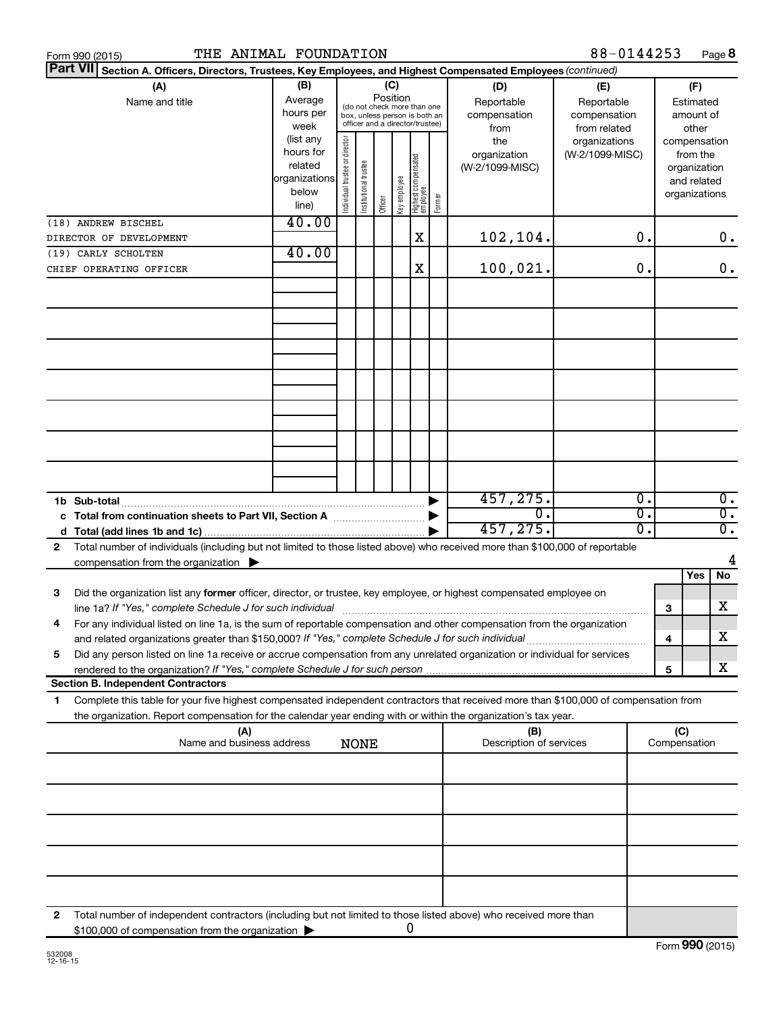|   | THE ANIMAL FOUNDATION<br>Form 990 (2015)                                                                                                                                                                                                               |                                                                      |                                |                       |                                                                                                                    |              |                                   |        |                                           | 88-0144253                                        |   |                                        | Page 8                                                                   |
|---|--------------------------------------------------------------------------------------------------------------------------------------------------------------------------------------------------------------------------------------------------------|----------------------------------------------------------------------|--------------------------------|-----------------------|--------------------------------------------------------------------------------------------------------------------|--------------|-----------------------------------|--------|-------------------------------------------|---------------------------------------------------|---|----------------------------------------|--------------------------------------------------------------------------|
|   | <b>Part VII</b><br>Section A. Officers, Directors, Trustees, Key Employees, and Highest Compensated Employees (continued)                                                                                                                              |                                                                      |                                |                       |                                                                                                                    |              |                                   |        |                                           |                                                   |   |                                        |                                                                          |
|   | (A)<br>Name and title                                                                                                                                                                                                                                  | (B)<br>Average<br>hours per<br>week                                  |                                |                       | (C)<br>Position<br>(do not check more than one<br>box, unless person is both an<br>officer and a director/trustee) |              |                                   |        | (D)<br>Reportable<br>compensation<br>from | (E)<br>Reportable<br>compensation<br>from related |   | (F)<br>Estimated<br>amount of<br>other |                                                                          |
|   |                                                                                                                                                                                                                                                        | (list any<br>hours for<br>related<br>organizations<br>below<br>line) | Individual trustee or director | Institutional trustee | Officer                                                                                                            | Key employee | Highest compensated<br>  employee | Former | the<br>organization<br>(W-2/1099-MISC)    | organizations<br>(W-2/1099-MISC)                  |   |                                        | compensation<br>from the<br>organization<br>and related<br>organizations |
|   | (18) ANDREW BISCHEL                                                                                                                                                                                                                                    | 40.00                                                                |                                |                       |                                                                                                                    |              |                                   |        |                                           |                                                   |   |                                        |                                                                          |
|   | DIRECTOR OF DEVELOPMENT                                                                                                                                                                                                                                |                                                                      |                                |                       |                                                                                                                    |              | X                                 |        | 102,104.                                  | 0.                                                |   |                                        | $0$ .                                                                    |
|   | (19) CARLY SCHOLTEN                                                                                                                                                                                                                                    | 40.00                                                                |                                |                       |                                                                                                                    |              |                                   |        |                                           |                                                   |   |                                        |                                                                          |
|   | CHIEF OPERATING OFFICER                                                                                                                                                                                                                                |                                                                      |                                |                       |                                                                                                                    |              | X                                 |        | 100,021.                                  | 0.                                                |   |                                        | 0.                                                                       |
|   |                                                                                                                                                                                                                                                        |                                                                      |                                |                       |                                                                                                                    |              |                                   |        |                                           |                                                   |   |                                        |                                                                          |
|   |                                                                                                                                                                                                                                                        |                                                                      |                                |                       |                                                                                                                    |              |                                   |        |                                           |                                                   |   |                                        |                                                                          |
|   |                                                                                                                                                                                                                                                        |                                                                      |                                |                       |                                                                                                                    |              |                                   |        |                                           |                                                   |   |                                        |                                                                          |
|   | 1b Sub-total                                                                                                                                                                                                                                           |                                                                      |                                |                       |                                                                                                                    |              |                                   |        | 457, 275.                                 | σ.                                                |   |                                        | $\overline{0}$ .                                                         |
|   | c Total from continuation sheets to Part VII, Section A manufactured by                                                                                                                                                                                |                                                                      |                                |                       |                                                                                                                    |              |                                   |        | σ.                                        | σ.                                                |   |                                        | $\overline{0}$ .                                                         |
|   |                                                                                                                                                                                                                                                        |                                                                      |                                |                       |                                                                                                                    |              |                                   |        | 457,275.                                  | σ.                                                |   |                                        | $\overline{0}$ .                                                         |
| 2 | Total number of individuals (including but not limited to those listed above) who received more than \$100,000 of reportable                                                                                                                           |                                                                      |                                |                       |                                                                                                                    |              |                                   |        |                                           |                                                   |   |                                        | 4                                                                        |
|   | compensation from the organization $\blacktriangleright$                                                                                                                                                                                               |                                                                      |                                |                       |                                                                                                                    |              |                                   |        |                                           |                                                   |   | Yes                                    | No                                                                       |
| 3 | Did the organization list any former officer, director, or trustee, key employee, or highest compensated employee on                                                                                                                                   |                                                                      |                                |                       |                                                                                                                    |              |                                   |        |                                           |                                                   | 3 |                                        | х                                                                        |
|   | For any individual listed on line 1a, is the sum of reportable compensation and other compensation from the organization                                                                                                                               |                                                                      |                                |                       |                                                                                                                    |              |                                   |        |                                           |                                                   |   |                                        | х                                                                        |
| 5 | and related organizations greater than \$150,000? If "Yes," complete Schedule J for such individual<br>Did any person listed on line 1a receive or accrue compensation from any unrelated organization or individual for services                      |                                                                      |                                |                       |                                                                                                                    |              |                                   |        |                                           |                                                   | 4 |                                        |                                                                          |
|   |                                                                                                                                                                                                                                                        |                                                                      |                                |                       |                                                                                                                    |              |                                   |        |                                           |                                                   | 5 |                                        | х                                                                        |
|   | <b>Section B. Independent Contractors</b>                                                                                                                                                                                                              |                                                                      |                                |                       |                                                                                                                    |              |                                   |        |                                           |                                                   |   |                                        |                                                                          |
| 1 | Complete this table for your five highest compensated independent contractors that received more than \$100,000 of compensation from<br>the organization. Report compensation for the calendar year ending with or within the organization's tax year. |                                                                      |                                |                       |                                                                                                                    |              |                                   |        |                                           |                                                   |   |                                        |                                                                          |
|   | (A)<br>Name and business address                                                                                                                                                                                                                       |                                                                      |                                | <b>NONE</b>           |                                                                                                                    |              |                                   |        | (B)<br>Description of services            |                                                   |   | (C)<br>Compensation                    |                                                                          |
|   |                                                                                                                                                                                                                                                        |                                                                      |                                |                       |                                                                                                                    |              |                                   |        |                                           |                                                   |   |                                        |                                                                          |
|   |                                                                                                                                                                                                                                                        |                                                                      |                                |                       |                                                                                                                    |              |                                   |        |                                           |                                                   |   |                                        |                                                                          |
|   |                                                                                                                                                                                                                                                        |                                                                      |                                |                       |                                                                                                                    |              |                                   |        |                                           |                                                   |   |                                        |                                                                          |
|   |                                                                                                                                                                                                                                                        |                                                                      |                                |                       |                                                                                                                    |              |                                   |        |                                           |                                                   |   |                                        |                                                                          |
|   |                                                                                                                                                                                                                                                        |                                                                      |                                |                       |                                                                                                                    |              |                                   |        |                                           |                                                   |   |                                        |                                                                          |
| 2 | Total number of independent contractors (including but not limited to those listed above) who received more than<br>\$100,000 of compensation from the organization                                                                                    |                                                                      |                                |                       |                                                                                                                    | 0            |                                   |        |                                           |                                                   |   |                                        |                                                                          |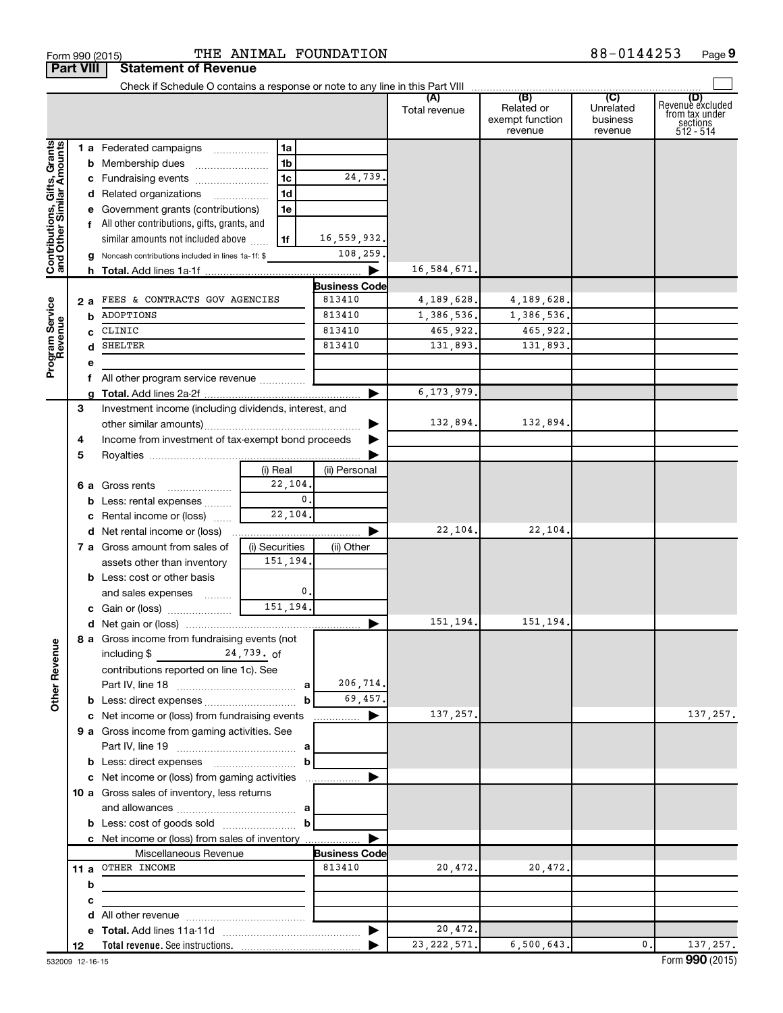|                                                           |     | Check if Schedule O contains a response or note to any line in this Part VIII |                |                      |               |                                                 |                                         |                                                             |
|-----------------------------------------------------------|-----|-------------------------------------------------------------------------------|----------------|----------------------|---------------|-------------------------------------------------|-----------------------------------------|-------------------------------------------------------------|
|                                                           |     |                                                                               |                |                      | Total revenue | (B)<br>Related or<br>exempt function<br>revenue | (C)<br>Unrelated<br>business<br>revenue | Revenue excluded<br>trom tax under<br>sections<br>512 - 514 |
|                                                           |     | <b>1 a</b> Federated campaigns                                                | 1a             |                      |               |                                                 |                                         |                                                             |
| Contributions, Gifts, Grants<br>and Other Similar Amounts |     | <b>b</b> Membership dues                                                      | 1 <sub>b</sub> |                      |               |                                                 |                                         |                                                             |
|                                                           |     | c Fundraising events                                                          | 1 <sub>c</sub> | 24,739.              |               |                                                 |                                         |                                                             |
|                                                           |     | d Related organizations                                                       | 1 <sub>d</sub> |                      |               |                                                 |                                         |                                                             |
|                                                           |     | e Government grants (contributions)                                           | 1e             |                      |               |                                                 |                                         |                                                             |
|                                                           |     | f All other contributions, gifts, grants, and                                 |                |                      |               |                                                 |                                         |                                                             |
|                                                           |     | similar amounts not included above                                            | 1f             | 16,559,932.          |               |                                                 |                                         |                                                             |
|                                                           |     | g Noncash contributions included in lines 1a-1f: \$                           |                | 108,259.             |               |                                                 |                                         |                                                             |
|                                                           |     |                                                                               |                |                      | 16,584,671.   |                                                 |                                         |                                                             |
|                                                           |     |                                                                               |                | <b>Business Code</b> |               |                                                 |                                         |                                                             |
|                                                           | 2 a | FEES & CONTRACTS GOV AGENCIES                                                 |                | 813410               | 4,189,628.    | 4,189,628.                                      |                                         |                                                             |
|                                                           |     | ADOPTIONS                                                                     |                | 813410               | 1,386,536.    | 1,386,536.                                      |                                         |                                                             |
|                                                           | c   | CLINIC                                                                        |                | 813410               | 465,922.      | 465,922.                                        |                                         |                                                             |
|                                                           | d   | SHELTER                                                                       |                | 813410               | 131,893.      | 131,893.                                        |                                         |                                                             |
| Program Service<br>Revenue                                | е   |                                                                               |                |                      |               |                                                 |                                         |                                                             |
|                                                           |     | f All other program service revenue                                           |                |                      |               |                                                 |                                         |                                                             |
|                                                           |     |                                                                               |                |                      | 6, 173, 979.  |                                                 |                                         |                                                             |
|                                                           | 3   | Investment income (including dividends, interest, and                         |                |                      |               |                                                 |                                         |                                                             |
|                                                           |     |                                                                               |                |                      | 132,894.      | 132,894.                                        |                                         |                                                             |
|                                                           | 4   | Income from investment of tax-exempt bond proceeds                            |                |                      |               |                                                 |                                         |                                                             |
|                                                           | 5   |                                                                               |                |                      |               |                                                 |                                         |                                                             |
|                                                           |     |                                                                               | (i) Real       | (ii) Personal        |               |                                                 |                                         |                                                             |
|                                                           |     | 6 a Gross rents                                                               | 22,104.        |                      |               |                                                 |                                         |                                                             |
|                                                           |     | <b>b</b> Less: rental expenses                                                | $\mathbf{0}$   |                      |               |                                                 |                                         |                                                             |
|                                                           |     | c Rental income or (loss)                                                     | 22,104.        |                      |               |                                                 |                                         |                                                             |
|                                                           |     | <b>d</b> Net rental income or (loss)                                          |                |                      | 22,104.       | 22,104.                                         |                                         |                                                             |
|                                                           |     | 7 a Gross amount from sales of                                                | (i) Securities | (ii) Other           |               |                                                 |                                         |                                                             |
|                                                           |     | assets other than inventory                                                   | 151,194.       |                      |               |                                                 |                                         |                                                             |
|                                                           |     | <b>b</b> Less: cost or other basis                                            |                |                      |               |                                                 |                                         |                                                             |
|                                                           |     | and sales expenses                                                            | 0.             |                      |               |                                                 |                                         |                                                             |
|                                                           |     | <b>c</b> Gain or (loss) $\ldots$ $\ldots$ $\ldots$                            | 151,194.       |                      |               |                                                 |                                         |                                                             |
|                                                           |     |                                                                               |                | ▶                    | 151,194.      | 151,194.                                        |                                         |                                                             |
| φ                                                         |     | 8 a Gross income from fundraising events (not                                 |                |                      |               |                                                 |                                         |                                                             |
|                                                           |     | including \$<br>24,739. of                                                    |                |                      |               |                                                 |                                         |                                                             |
| Other Reven                                               |     | contributions reported on line 1c). See                                       |                |                      |               |                                                 |                                         |                                                             |
|                                                           |     |                                                                               |                | 206,714.             |               |                                                 |                                         |                                                             |
|                                                           |     |                                                                               | b              | 69,457.              |               |                                                 |                                         |                                                             |
|                                                           |     | c Net income or (loss) from fundraising events                                |                | ▶<br>.               | 137,257.      |                                                 |                                         | 137,257.                                                    |
|                                                           |     | 9 a Gross income from gaming activities. See                                  |                |                      |               |                                                 |                                         |                                                             |
|                                                           |     |                                                                               |                |                      |               |                                                 |                                         |                                                             |
|                                                           |     | <b>b</b> Less: direct expenses <b>manually contained</b>                      | b              |                      |               |                                                 |                                         |                                                             |
|                                                           |     | c Net income or (loss) from gaming activities                                 |                | ▶                    |               |                                                 |                                         |                                                             |
|                                                           |     | 10 a Gross sales of inventory, less returns                                   |                |                      |               |                                                 |                                         |                                                             |
|                                                           |     |                                                                               |                |                      |               |                                                 |                                         |                                                             |
|                                                           |     |                                                                               | b              |                      |               |                                                 |                                         |                                                             |
|                                                           |     | c Net income or (loss) from sales of inventory                                |                |                      |               |                                                 |                                         |                                                             |
|                                                           |     | Miscellaneous Revenue                                                         |                | <b>Business Code</b> |               |                                                 |                                         |                                                             |
|                                                           |     | 11 a OTHER INCOME                                                             |                | 813410               | 20,472.       | 20,472.                                         |                                         |                                                             |
|                                                           | b   |                                                                               |                |                      |               |                                                 |                                         |                                                             |
|                                                           | с   |                                                                               |                |                      |               |                                                 |                                         |                                                             |
|                                                           |     |                                                                               |                |                      |               |                                                 |                                         |                                                             |
|                                                           |     |                                                                               |                | ▶                    | 20,472.       |                                                 |                                         |                                                             |
|                                                           | 12  |                                                                               |                |                      | 23, 222, 571. | 6, 500, 643.                                    | 0.                                      | 137,257.                                                    |

#### $\frac{1}{100}$   $\frac{1}{100}$   $\frac{1}{100}$   $\frac{1}{100}$   $\frac{1}{100}$   $\frac{1}{100}$   $\frac{1}{100}$   $\frac{1}{100}$   $\frac{1}{100}$   $\frac{1}{100}$   $\frac{1}{100}$   $\frac{1}{100}$   $\frac{1}{100}$   $\frac{1}{100}$   $\frac{1}{100}$   $\frac{1}{100}$   $\frac{1}{100}$   $\frac{1}{100}$   $\frac{1$ THE ANIMAL FOUNDATION 88-0144253

**Part VIII Statement of Revenue**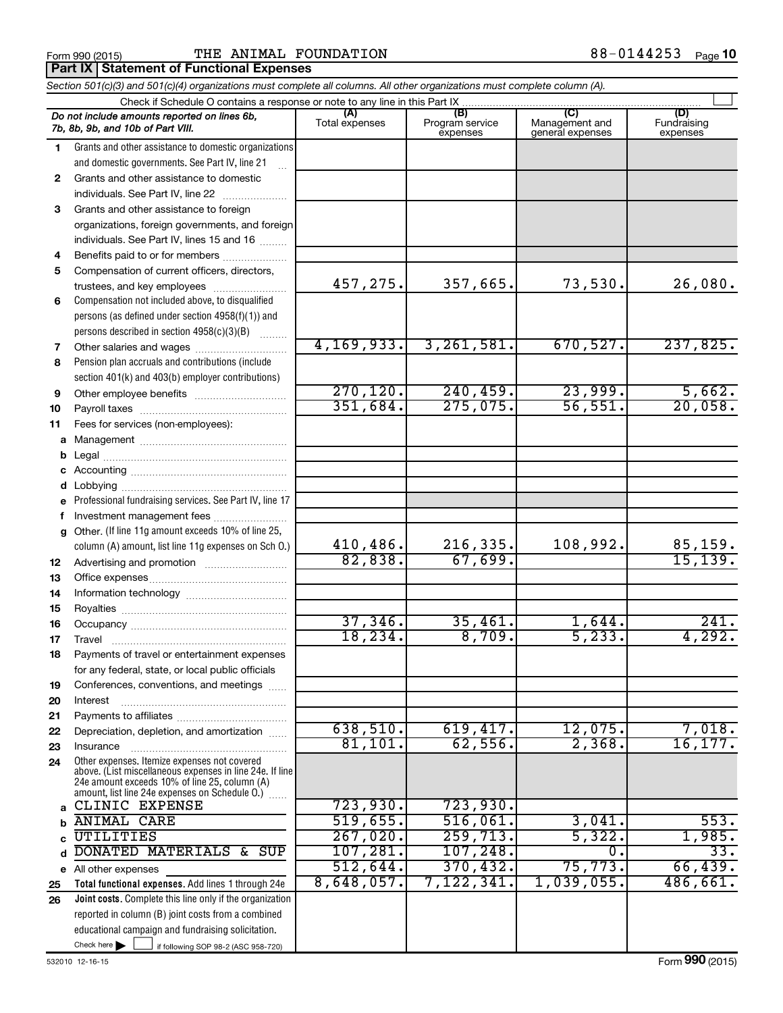#### Form 990 (2015) **THE ANIMAL FOUNDATION**  $88-0144253$  Page **Part IX Statement of Functional Expenses**

|              | Section 501(c)(3) and 501(c)(4) organizations must complete all columns. All other organizations must complete column (A).                                                                                  |                       |                                    |                                           |                                |
|--------------|-------------------------------------------------------------------------------------------------------------------------------------------------------------------------------------------------------------|-----------------------|------------------------------------|-------------------------------------------|--------------------------------|
|              | Check if Schedule O contains a response or note to any line in this Part IX                                                                                                                                 |                       |                                    |                                           |                                |
|              | Do not include amounts reported on lines 6b,<br>7b, 8b, 9b, and 10b of Part VIII.                                                                                                                           | (A)<br>Total expenses | (B)<br>Program service<br>expenses | (C)<br>Management and<br>general expenses | (D)<br>Fundraising<br>expenses |
| 1            | Grants and other assistance to domestic organizations                                                                                                                                                       |                       |                                    |                                           |                                |
|              | and domestic governments. See Part IV, line 21<br>$\mathbf{r}$                                                                                                                                              |                       |                                    |                                           |                                |
| $\mathbf{2}$ | Grants and other assistance to domestic                                                                                                                                                                     |                       |                                    |                                           |                                |
|              | individuals. See Part IV, line 22<br>$\overline{\phantom{a}}$                                                                                                                                               |                       |                                    |                                           |                                |
| 3            | Grants and other assistance to foreign                                                                                                                                                                      |                       |                                    |                                           |                                |
|              | organizations, foreign governments, and foreign                                                                                                                                                             |                       |                                    |                                           |                                |
|              | individuals. See Part IV, lines 15 and 16                                                                                                                                                                   |                       |                                    |                                           |                                |
| 4            | Benefits paid to or for members                                                                                                                                                                             |                       |                                    |                                           |                                |
| 5            | Compensation of current officers, directors,                                                                                                                                                                |                       |                                    |                                           |                                |
|              | trustees, and key employees                                                                                                                                                                                 | 457,275.              | 357,665.                           | 73,530.                                   | 26,080.                        |
| 6            | Compensation not included above, to disqualified                                                                                                                                                            |                       |                                    |                                           |                                |
|              | persons (as defined under section 4958(f)(1)) and                                                                                                                                                           |                       |                                    |                                           |                                |
|              | persons described in section 4958(c)(3)(B)<br>1.1.1.1.1.1.1                                                                                                                                                 |                       |                                    |                                           |                                |
| 7            |                                                                                                                                                                                                             | 4, 169, 933.          | 3, 261, 581.                       | 670,527.                                  | 237,825.                       |
| 8            | Pension plan accruals and contributions (include                                                                                                                                                            |                       |                                    |                                           |                                |
|              | section 401(k) and 403(b) employer contributions)                                                                                                                                                           |                       |                                    |                                           |                                |
| 9            | Other employee benefits                                                                                                                                                                                     | 270, 120.             | 240, 459.                          | 23,999.                                   | 5,662.                         |
| 10           |                                                                                                                                                                                                             | 351,684.              | 275,075.                           | 56,551.                                   | 20,058.                        |
| 11           | Fees for services (non-employees):                                                                                                                                                                          |                       |                                    |                                           |                                |
|              |                                                                                                                                                                                                             |                       |                                    |                                           |                                |
| b            |                                                                                                                                                                                                             |                       |                                    |                                           |                                |
|              |                                                                                                                                                                                                             |                       |                                    |                                           |                                |
| d            |                                                                                                                                                                                                             |                       |                                    |                                           |                                |
| е            | Professional fundraising services. See Part IV, line 17                                                                                                                                                     |                       |                                    |                                           |                                |
| f            | Investment management fees                                                                                                                                                                                  |                       |                                    |                                           |                                |
| g            | Other. (If line 11g amount exceeds 10% of line 25,                                                                                                                                                          |                       |                                    |                                           |                                |
|              | column (A) amount, list line 11g expenses on Sch 0.)                                                                                                                                                        | 410,486.              | 216,335.                           | 108,992.                                  | 85,159.                        |
| 12           |                                                                                                                                                                                                             | 82,838.               | 67,699.                            |                                           | 15, 139.                       |
| 13           |                                                                                                                                                                                                             |                       |                                    |                                           |                                |
| 14           |                                                                                                                                                                                                             |                       |                                    |                                           |                                |
| 15           |                                                                                                                                                                                                             |                       |                                    |                                           |                                |
| 16           |                                                                                                                                                                                                             | 37,346.               | 35,461.                            | 1,644.                                    | 241.                           |
| 17           |                                                                                                                                                                                                             | 18, 234.              | 8,709.                             | 5, 233.                                   | 4,292.                         |
| 18           | Payments of travel or entertainment expenses                                                                                                                                                                |                       |                                    |                                           |                                |
|              | for any federal, state, or local public officials                                                                                                                                                           |                       |                                    |                                           |                                |
| 19           | Conferences, conventions, and meetings                                                                                                                                                                      |                       |                                    |                                           |                                |
| 20           | Interest                                                                                                                                                                                                    |                       |                                    |                                           |                                |
| 21           |                                                                                                                                                                                                             |                       |                                    | 12,075.                                   |                                |
| 22           | Depreciation, depletion, and amortization                                                                                                                                                                   | 638,510.<br>81,101.   | 619,417.<br>62,556.                | 2,368.                                    | 7,018.<br>16, 177.             |
| 23           | Insurance                                                                                                                                                                                                   |                       |                                    |                                           |                                |
| 24           | Other expenses. Itemize expenses not covered<br>above. (List miscellaneous expenses in line 24e. If line<br>24e amount exceeds 10% of line 25, column (A)<br>amount, list line 24e expenses on Schedule O.) |                       |                                    |                                           |                                |
|              | CLINIC EXPENSE                                                                                                                                                                                              | 723,930.              | 723,930.                           |                                           |                                |
| b            | <b>ANIMAL CARE</b>                                                                                                                                                                                          | 519,655.              | 516,061.                           | 3,041.                                    | 553.                           |
|              | UTILITIES                                                                                                                                                                                                   | $267,020$ .           | 259,713.                           | 5,322.                                    | 1,985.                         |
| d            | DONATED MATERIALS & SUP                                                                                                                                                                                     | 107, 281.             | 107, 248.                          | 0                                         | 33.                            |
|              | e All other expenses                                                                                                                                                                                        | 512,644.              | 370, 432.                          | 75, 773.                                  | 66,439.                        |
| 25           | Total functional expenses. Add lines 1 through 24e                                                                                                                                                          | 8,648,057.            | 7,122,341                          | $1,039,055$ .                             | 486,661.                       |
| 26           | Joint costs. Complete this line only if the organization                                                                                                                                                    |                       |                                    |                                           |                                |
|              | reported in column (B) joint costs from a combined                                                                                                                                                          |                       |                                    |                                           |                                |
|              | educational campaign and fundraising solicitation.                                                                                                                                                          |                       |                                    |                                           |                                |

Check here

Check here  $\begin{array}{c} \begin{array}{|c} \hline \end{array} \end{array}$  if following SOP 98-2 (ASC 958-720)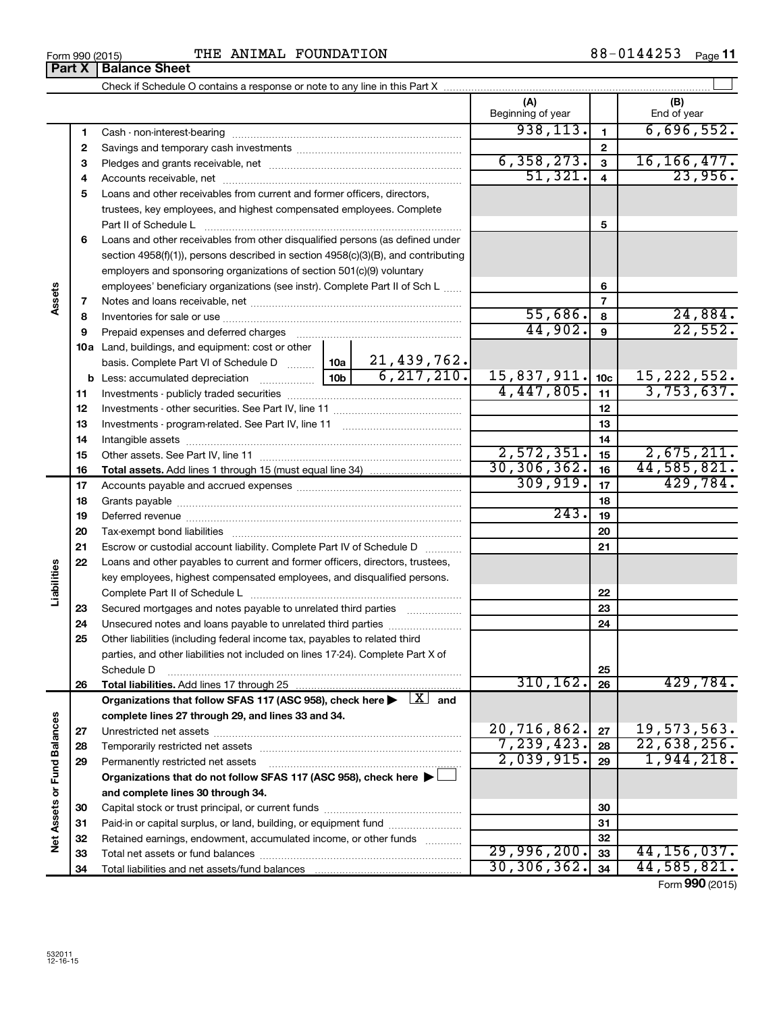| Form 990 (2015) |                               | ጥዝ |
|-----------------|-------------------------------|----|
|                 | <b>Part X   Balance Sheet</b> |    |

|                             |          |                                                                                                                           |                                 | (A)<br>Beginning of year |                         | (B)<br>End of year |
|-----------------------------|----------|---------------------------------------------------------------------------------------------------------------------------|---------------------------------|--------------------------|-------------------------|--------------------|
|                             | 1        |                                                                                                                           |                                 | 938, 113.                | $\mathbf{1}$            | 6,696,552.         |
|                             | 2        |                                                                                                                           |                                 |                          | $\mathbf 2$             |                    |
|                             | З        |                                                                                                                           |                                 | 6, 358, 273.             | $\overline{\mathbf{3}}$ | 16, 166, 477.      |
|                             | 4        |                                                                                                                           |                                 | 51,321.                  | $\overline{\mathbf{4}}$ | 23,956.            |
|                             | 5        | Loans and other receivables from current and former officers, directors,                                                  |                                 |                          |                         |                    |
|                             |          | trustees, key employees, and highest compensated employees. Complete                                                      |                                 |                          |                         |                    |
|                             |          | Part II of Schedule Latin and Communication of Schedule Latin and Communication of Schedule Latin and Schedule            |                                 |                          | 5                       |                    |
|                             | 6        | Loans and other receivables from other disqualified persons (as defined under                                             |                                 |                          |                         |                    |
|                             |          | section $4958(f)(1)$ , persons described in section $4958(c)(3)(B)$ , and contributing                                    |                                 |                          |                         |                    |
|                             |          | employers and sponsoring organizations of section 501(c)(9) voluntary                                                     |                                 |                          |                         |                    |
| Assets                      |          | employees' beneficiary organizations (see instr). Complete Part II of Sch L                                               |                                 |                          | 6                       |                    |
|                             | 7        |                                                                                                                           |                                 |                          | $\overline{7}$          |                    |
|                             | 8        |                                                                                                                           |                                 | 55,686.                  | 8                       | 24,884.<br>22,552. |
|                             | 9        | Prepaid expenses and deferred charges                                                                                     |                                 | 44,902.                  | 9                       |                    |
|                             |          | 10a Land, buildings, and equipment: cost or other                                                                         | $10a$   21,439,762.             |                          |                         |                    |
|                             |          | basis. Complete Part VI of Schedule D                                                                                     | 6, 217, 210.<br>10 <sub>b</sub> | 15,837,911.              | 10 <sub>c</sub>         | 15, 222, 552.      |
|                             |          | <b>b</b> Less: accumulated depreciation <i></i>                                                                           |                                 | 4,447,805.               | 11                      | 3,753,637.         |
|                             | 11<br>12 |                                                                                                                           |                                 |                          | 12                      |                    |
|                             | 13       |                                                                                                                           |                                 |                          | 13                      |                    |
|                             | 14       |                                                                                                                           |                                 |                          | 14                      |                    |
|                             | 15       |                                                                                                                           |                                 | 2,572,351.               | 15                      | 2,675,211.         |
|                             | 16       |                                                                                                                           |                                 | 30, 306, 362.            | 16                      | 44,585,821.        |
|                             | 17       |                                                                                                                           |                                 | 309, 919.                | 17                      | 429,784.           |
|                             | 18       |                                                                                                                           |                                 | 18                       |                         |                    |
|                             | 19       |                                                                                                                           |                                 | 243.                     | 19                      |                    |
|                             | 20       |                                                                                                                           |                                 |                          | 20                      |                    |
|                             | 21       | Escrow or custodial account liability. Complete Part IV of Schedule D                                                     |                                 |                          | 21                      |                    |
|                             | 22       | Loans and other payables to current and former officers, directors, trustees,                                             |                                 |                          |                         |                    |
| Liabilities                 |          | key employees, highest compensated employees, and disqualified persons.                                                   |                                 |                          |                         |                    |
|                             |          |                                                                                                                           |                                 |                          | 22                      |                    |
|                             | 23       | Secured mortgages and notes payable to unrelated third parties                                                            |                                 |                          | 23                      |                    |
|                             | 24       | Unsecured notes and loans payable to unrelated third parties                                                              |                                 |                          | 24                      |                    |
|                             | 25       | Other liabilities (including federal income tax, payables to related third                                                |                                 |                          |                         |                    |
|                             |          | parties, and other liabilities not included on lines 17-24). Complete Part X of                                           |                                 |                          |                         |                    |
|                             |          | Schedule D                                                                                                                |                                 | 310, 162.                | 25<br>26                | 429,784.           |
|                             | 26       | Organizations that follow SFAS 117 (ASC 958), check here $\blacktriangleright \begin{array}{c} \boxed{X} \end{array}$ and |                                 |                          |                         |                    |
|                             |          | complete lines 27 through 29, and lines 33 and 34.                                                                        |                                 |                          |                         |                    |
|                             | 27       |                                                                                                                           |                                 | 20,716,862.              | 27                      | 19,573,563.        |
|                             | 28       |                                                                                                                           | 7,239,423.                      | 28                       | 22,638,256.             |                    |
|                             | 29       | Permanently restricted net assets                                                                                         |                                 | 2,039,915.               | 29                      | 1,944,218.         |
| Net Assets or Fund Balances |          | Organizations that do not follow SFAS 117 (ASC 958), check here ▶                                                         |                                 |                          |                         |                    |
|                             |          | and complete lines 30 through 34.                                                                                         |                                 |                          |                         |                    |
|                             | 30       |                                                                                                                           |                                 |                          | 30                      |                    |
|                             | 31       | Paid-in or capital surplus, or land, building, or equipment fund                                                          |                                 |                          | 31                      |                    |
|                             | 32       | Retained earnings, endowment, accumulated income, or other funds                                                          |                                 |                          | 32                      |                    |
|                             | 33       |                                                                                                                           |                                 | 29,996,200.              | 33                      | 44, 156, 037.      |
|                             | 34       |                                                                                                                           |                                 | 30, 306, 362.            | 34                      | 44,585,821.        |

Form (2015) **990**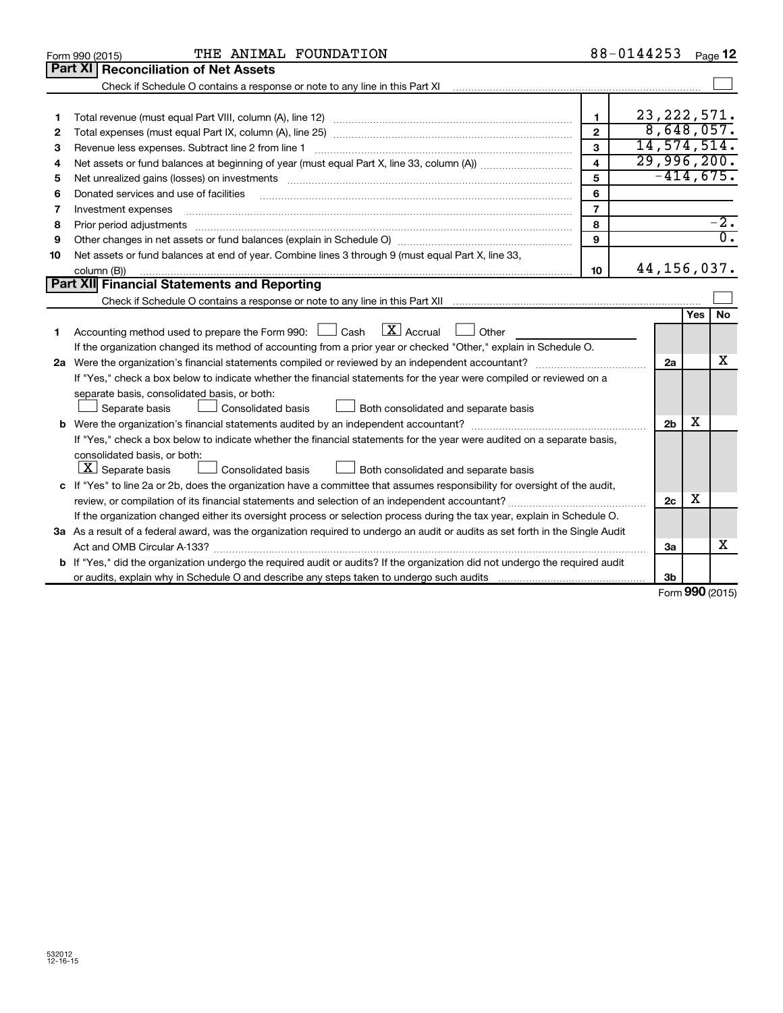|    | THE ANIMAL FOUNDATION<br>Form 990 (2015)                                                                                                                                                                                       |                | 88-0144253     |            | Page 12          |
|----|--------------------------------------------------------------------------------------------------------------------------------------------------------------------------------------------------------------------------------|----------------|----------------|------------|------------------|
|    | Part XI   Reconciliation of Net Assets                                                                                                                                                                                         |                |                |            |                  |
|    | Check if Schedule O contains a response or note to any line in this Part XI                                                                                                                                                    |                |                |            |                  |
|    |                                                                                                                                                                                                                                |                |                |            |                  |
| 1  |                                                                                                                                                                                                                                | $\mathbf{1}$   | 23, 222, 571.  |            |                  |
| 2  |                                                                                                                                                                                                                                | $\overline{2}$ | 8,648,057.     |            |                  |
| З  | Revenue less expenses. Subtract line 2 from line 1                                                                                                                                                                             | 3              | 14, 574, 514.  |            |                  |
| 4  |                                                                                                                                                                                                                                | 4              | 29,996,200.    |            |                  |
| 5  | Net unrealized gains (losses) on investments [11] matter contracts and the state of the state of the state of the state of the state of the state of the state of the state of the state of the state of the state of the stat | 5              | $-414,675.$    |            |                  |
| 6  | Donated services and use of facilities                                                                                                                                                                                         | 6              |                |            |                  |
| 7  | Investment expenses                                                                                                                                                                                                            | $\overline{7}$ |                |            |                  |
| 8  | Prior period adjustments                                                                                                                                                                                                       | 8              |                |            | $-2$ .           |
| 9  |                                                                                                                                                                                                                                | 9              |                |            | $\overline{0}$ . |
| 10 | Net assets or fund balances at end of year. Combine lines 3 through 9 (must equal Part X, line 33,                                                                                                                             |                |                |            |                  |
|    | column (B))                                                                                                                                                                                                                    | 10             | 44, 156, 037.  |            |                  |
|    | <b>Part XII Financial Statements and Reporting</b>                                                                                                                                                                             |                |                |            |                  |
|    |                                                                                                                                                                                                                                |                |                |            |                  |
|    |                                                                                                                                                                                                                                |                |                | <b>Yes</b> | <b>No</b>        |
| 1  | $\mathbf{X}$ Accrual<br>Accounting method used to prepare the Form 990: $\Box$ Cash<br><b>Other</b>                                                                                                                            |                |                |            |                  |
|    | If the organization changed its method of accounting from a prior year or checked "Other," explain in Schedule O.                                                                                                              |                |                |            |                  |
|    |                                                                                                                                                                                                                                |                | 2a             |            | x                |
|    | If "Yes," check a box below to indicate whether the financial statements for the year were compiled or reviewed on a                                                                                                           |                |                |            |                  |
|    | separate basis, consolidated basis, or both:                                                                                                                                                                                   |                |                |            |                  |
|    | Separate basis<br>Both consolidated and separate basis<br>Consolidated basis                                                                                                                                                   |                |                |            |                  |
|    |                                                                                                                                                                                                                                |                | 2 <sub>b</sub> | х          |                  |
|    | If "Yes," check a box below to indicate whether the financial statements for the year were audited on a separate basis,                                                                                                        |                |                |            |                  |
|    | consolidated basis, or both:                                                                                                                                                                                                   |                |                |            |                  |
|    | $ \mathbf{X} $ Separate basis<br><b>Consolidated basis</b><br>Both consolidated and separate basis                                                                                                                             |                |                |            |                  |
|    | c If "Yes" to line 2a or 2b, does the organization have a committee that assumes responsibility for oversight of the audit,                                                                                                    |                |                |            |                  |
|    | review, or compilation of its financial statements and selection of an independent accountant?                                                                                                                                 |                | 2c             | х          |                  |
|    | If the organization changed either its oversight process or selection process during the tax year, explain in Schedule O.                                                                                                      |                |                |            |                  |
|    | 3a As a result of a federal award, was the organization required to undergo an audit or audits as set forth in the Single Audit                                                                                                |                |                |            |                  |
|    |                                                                                                                                                                                                                                |                | 3a             |            | x                |
|    | b If "Yes," did the organization undergo the required audit or audits? If the organization did not undergo the required audit                                                                                                  |                |                |            |                  |
|    |                                                                                                                                                                                                                                |                | 3 <sub>b</sub> |            |                  |

Form (2015) **990**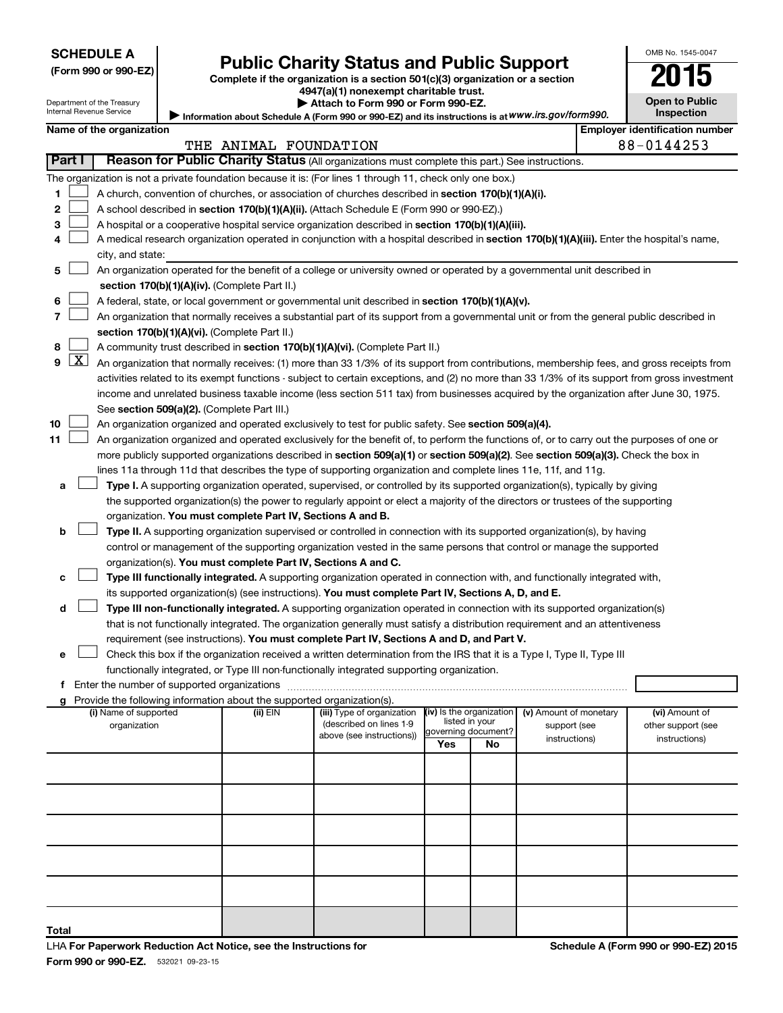| <b>SCHEDULE A</b> |  |
|-------------------|--|
|-------------------|--|

Department of the Treasury Internal Revenue Service

| (Form 990 or 990-EZ |  |  |  |  |
|---------------------|--|--|--|--|
|---------------------|--|--|--|--|

# Form 990 or 990-EZ) Public Charity Status and Public Support<br>
Complete if the organization is a section 501(c)(3) organization or a section<br> **2015**

**4947(a)(1) nonexempt charitable trust. | Attach to Form 990 or Form 990-EZ.** 

| U                                   |  |
|-------------------------------------|--|
| Open to Public<br><b>Inspection</b> |  |

OMB No. 1545-0047

| Internal Revenue Service | ■ Information about Schedule A (Form 990 or 990-EZ) and its instructions is at WWW.irs.gov/form990. | Inspe                 |
|--------------------------|-----------------------------------------------------------------------------------------------------|-----------------------|
| Name of the organization |                                                                                                     | Employer identificati |

|               |            | ivallie of the organization                                                                                                                                                                | THE ANIMAL FOUNDATION |                            |                            |                |                        |  | Employer luentincation number<br>88-0144253 |
|---------------|------------|--------------------------------------------------------------------------------------------------------------------------------------------------------------------------------------------|-----------------------|----------------------------|----------------------------|----------------|------------------------|--|---------------------------------------------|
| <b>Part I</b> |            | Reason for Public Charity Status (All organizations must complete this part.) See instructions.                                                                                            |                       |                            |                            |                |                        |  |                                             |
|               |            | The organization is not a private foundation because it is: (For lines 1 through 11, check only one box.)                                                                                  |                       |                            |                            |                |                        |  |                                             |
| 1             |            | A church, convention of churches, or association of churches described in section 170(b)(1)(A)(i).                                                                                         |                       |                            |                            |                |                        |  |                                             |
| 2             |            | A school described in section 170(b)(1)(A)(ii). (Attach Schedule E (Form 990 or 990-EZ).)                                                                                                  |                       |                            |                            |                |                        |  |                                             |
| 3             |            | A hospital or a cooperative hospital service organization described in section 170(b)(1)(A)(iii).                                                                                          |                       |                            |                            |                |                        |  |                                             |
|               |            | A medical research organization operated in conjunction with a hospital described in section 170(b)(1)(A)(iii). Enter the hospital's name,                                                 |                       |                            |                            |                |                        |  |                                             |
|               |            | city, and state:                                                                                                                                                                           |                       |                            |                            |                |                        |  |                                             |
| 5             |            | An organization operated for the benefit of a college or university owned or operated by a governmental unit described in                                                                  |                       |                            |                            |                |                        |  |                                             |
|               |            | section 170(b)(1)(A)(iv). (Complete Part II.)                                                                                                                                              |                       |                            |                            |                |                        |  |                                             |
| 6<br>7        |            | A federal, state, or local government or governmental unit described in section 170(b)(1)(A)(v).                                                                                           |                       |                            |                            |                |                        |  |                                             |
|               |            | An organization that normally receives a substantial part of its support from a governmental unit or from the general public described in<br>section 170(b)(1)(A)(vi). (Complete Part II.) |                       |                            |                            |                |                        |  |                                             |
| 8             |            | A community trust described in section 170(b)(1)(A)(vi). (Complete Part II.)                                                                                                               |                       |                            |                            |                |                        |  |                                             |
| 9             | <u>  X</u> | An organization that normally receives: (1) more than 33 1/3% of its support from contributions, membership fees, and gross receipts from                                                  |                       |                            |                            |                |                        |  |                                             |
|               |            | activities related to its exempt functions - subject to certain exceptions, and (2) no more than 33 1/3% of its support from gross investment                                              |                       |                            |                            |                |                        |  |                                             |
|               |            | income and unrelated business taxable income (less section 511 tax) from businesses acquired by the organization after June 30, 1975.                                                      |                       |                            |                            |                |                        |  |                                             |
|               |            | See section 509(a)(2). (Complete Part III.)                                                                                                                                                |                       |                            |                            |                |                        |  |                                             |
| 10            |            | An organization organized and operated exclusively to test for public safety. See section 509(a)(4).                                                                                       |                       |                            |                            |                |                        |  |                                             |
| 11            |            | An organization organized and operated exclusively for the benefit of, to perform the functions of, or to carry out the purposes of one or                                                 |                       |                            |                            |                |                        |  |                                             |
|               |            | more publicly supported organizations described in section 509(a)(1) or section 509(a)(2). See section 509(a)(3). Check the box in                                                         |                       |                            |                            |                |                        |  |                                             |
|               |            | lines 11a through 11d that describes the type of supporting organization and complete lines 11e, 11f, and 11g.                                                                             |                       |                            |                            |                |                        |  |                                             |
| a             |            | Type I. A supporting organization operated, supervised, or controlled by its supported organization(s), typically by giving                                                                |                       |                            |                            |                |                        |  |                                             |
|               |            | the supported organization(s) the power to regularly appoint or elect a majority of the directors or trustees of the supporting                                                            |                       |                            |                            |                |                        |  |                                             |
|               |            | organization. You must complete Part IV, Sections A and B.                                                                                                                                 |                       |                            |                            |                |                        |  |                                             |
| b             |            | Type II. A supporting organization supervised or controlled in connection with its supported organization(s), by having                                                                    |                       |                            |                            |                |                        |  |                                             |
|               |            | control or management of the supporting organization vested in the same persons that control or manage the supported<br>organization(s). You must complete Part IV, Sections A and C.      |                       |                            |                            |                |                        |  |                                             |
| c             |            | Type III functionally integrated. A supporting organization operated in connection with, and functionally integrated with,                                                                 |                       |                            |                            |                |                        |  |                                             |
|               |            | its supported organization(s) (see instructions). You must complete Part IV, Sections A, D, and E.                                                                                         |                       |                            |                            |                |                        |  |                                             |
| d             |            | Type III non-functionally integrated. A supporting organization operated in connection with its supported organization(s)                                                                  |                       |                            |                            |                |                        |  |                                             |
|               |            | that is not functionally integrated. The organization generally must satisfy a distribution requirement and an attentiveness                                                               |                       |                            |                            |                |                        |  |                                             |
|               |            | requirement (see instructions). You must complete Part IV, Sections A and D, and Part V.                                                                                                   |                       |                            |                            |                |                        |  |                                             |
| е             |            | Check this box if the organization received a written determination from the IRS that it is a Type I, Type II, Type III                                                                    |                       |                            |                            |                |                        |  |                                             |
|               |            | functionally integrated, or Type III non-functionally integrated supporting organization.                                                                                                  |                       |                            |                            |                |                        |  |                                             |
|               |            |                                                                                                                                                                                            |                       |                            |                            |                |                        |  |                                             |
| g             |            | Provide the following information about the supported organization(s).<br>(i) Name of supported                                                                                            | (ii) EIN              | (iii) Type of organization | (iv) Is the organization   |                | (v) Amount of monetary |  | (vi) Amount of                              |
|               |            | organization                                                                                                                                                                               |                       | (described on lines 1-9    |                            | listed in your | support (see           |  | other support (see                          |
|               |            |                                                                                                                                                                                            |                       | above (see instructions))  | governing document?<br>Yes | No             | instructions)          |  | instructions)                               |
|               |            |                                                                                                                                                                                            |                       |                            |                            |                |                        |  |                                             |
|               |            |                                                                                                                                                                                            |                       |                            |                            |                |                        |  |                                             |
|               |            |                                                                                                                                                                                            |                       |                            |                            |                |                        |  |                                             |
|               |            |                                                                                                                                                                                            |                       |                            |                            |                |                        |  |                                             |
|               |            |                                                                                                                                                                                            |                       |                            |                            |                |                        |  |                                             |
|               |            |                                                                                                                                                                                            |                       |                            |                            |                |                        |  |                                             |
|               |            |                                                                                                                                                                                            |                       |                            |                            |                |                        |  |                                             |
|               |            |                                                                                                                                                                                            |                       |                            |                            |                |                        |  |                                             |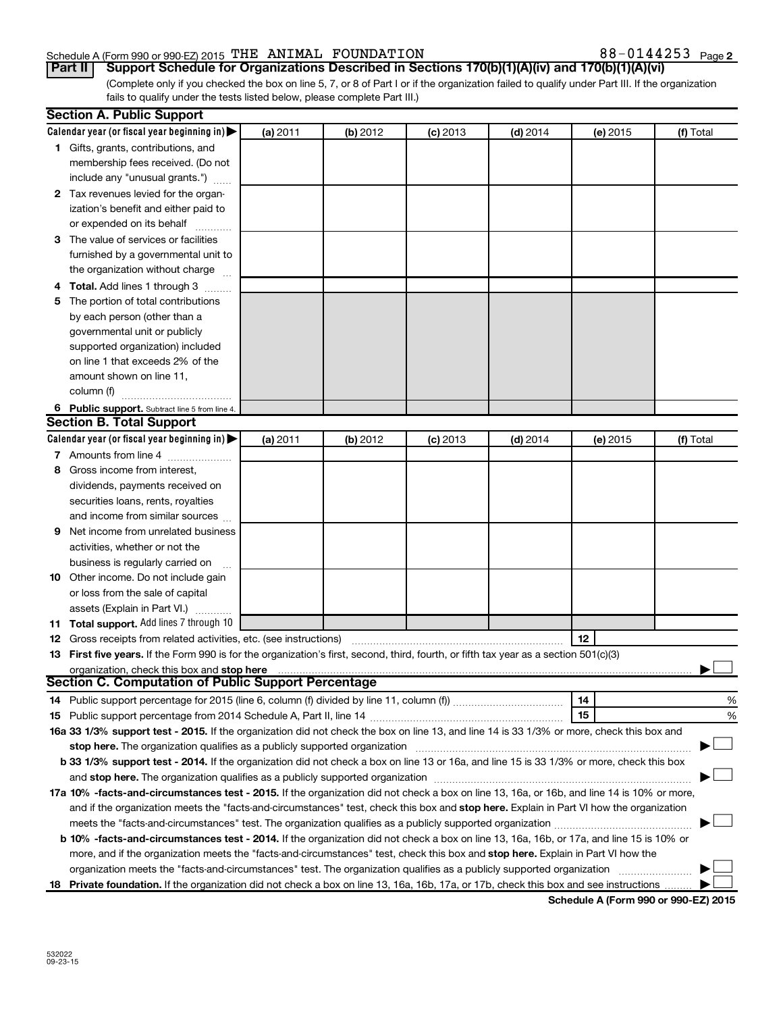#### Schedule A (Form 990 or 990-EZ) 2015  $\,$  THE ANIMAL FOUNDATION  $38-0144253$   $_{\rm Page}$

(Complete only if you checked the box on line 5, 7, or 8 of Part I or if the organization failed to qualify under Part III. If the organization fails to qualify under the tests listed below, please complete Part III.) **Part II Support Schedule for Organizations Described in Sections 170(b)(1)(A)(iv) and 170(b)(1)(A)(vi)**

|    | <b>Section A. Public Support</b>                                                                                                           |          |          |            |            |          |           |
|----|--------------------------------------------------------------------------------------------------------------------------------------------|----------|----------|------------|------------|----------|-----------|
|    | Calendar year (or fiscal year beginning in) $\blacktriangleright$                                                                          | (a) 2011 | (b) 2012 | $(c)$ 2013 | $(d)$ 2014 | (e) 2015 | (f) Total |
|    | 1 Gifts, grants, contributions, and                                                                                                        |          |          |            |            |          |           |
|    | membership fees received. (Do not                                                                                                          |          |          |            |            |          |           |
|    | include any "unusual grants.")                                                                                                             |          |          |            |            |          |           |
|    | 2 Tax revenues levied for the organ-                                                                                                       |          |          |            |            |          |           |
|    | ization's benefit and either paid to                                                                                                       |          |          |            |            |          |           |
|    | or expended on its behalf                                                                                                                  |          |          |            |            |          |           |
|    | 3 The value of services or facilities                                                                                                      |          |          |            |            |          |           |
|    | furnished by a governmental unit to                                                                                                        |          |          |            |            |          |           |
|    | the organization without charge                                                                                                            |          |          |            |            |          |           |
|    | Total. Add lines 1 through 3                                                                                                               |          |          |            |            |          |           |
| 5  | The portion of total contributions                                                                                                         |          |          |            |            |          |           |
|    | by each person (other than a                                                                                                               |          |          |            |            |          |           |
|    | governmental unit or publicly                                                                                                              |          |          |            |            |          |           |
|    | supported organization) included                                                                                                           |          |          |            |            |          |           |
|    | on line 1 that exceeds 2% of the                                                                                                           |          |          |            |            |          |           |
|    | amount shown on line 11,                                                                                                                   |          |          |            |            |          |           |
|    | column (f)                                                                                                                                 |          |          |            |            |          |           |
|    |                                                                                                                                            |          |          |            |            |          |           |
|    | 6 Public support. Subtract line 5 from line 4.<br><b>Section B. Total Support</b>                                                          |          |          |            |            |          |           |
|    |                                                                                                                                            |          |          |            |            |          |           |
|    | Calendar year (or fiscal year beginning in) $\blacktriangleright$                                                                          | (a) 2011 | (b) 2012 | $(c)$ 2013 | $(d)$ 2014 | (e) 2015 | (f) Total |
|    | 7 Amounts from line 4                                                                                                                      |          |          |            |            |          |           |
| 8  | Gross income from interest,                                                                                                                |          |          |            |            |          |           |
|    | dividends, payments received on                                                                                                            |          |          |            |            |          |           |
|    | securities loans, rents, royalties                                                                                                         |          |          |            |            |          |           |
|    | and income from similar sources                                                                                                            |          |          |            |            |          |           |
| 9  | Net income from unrelated business                                                                                                         |          |          |            |            |          |           |
|    | activities, whether or not the                                                                                                             |          |          |            |            |          |           |
|    | business is regularly carried on                                                                                                           |          |          |            |            |          |           |
|    | 10 Other income. Do not include gain                                                                                                       |          |          |            |            |          |           |
|    | or loss from the sale of capital                                                                                                           |          |          |            |            |          |           |
|    | assets (Explain in Part VI.)                                                                                                               |          |          |            |            |          |           |
|    | 11 Total support. Add lines 7 through 10                                                                                                   |          |          |            |            |          |           |
|    | <b>12</b> Gross receipts from related activities, etc. (see instructions)                                                                  |          |          |            |            | 12       |           |
|    | 13 First five years. If the Form 990 is for the organization's first, second, third, fourth, or fifth tax year as a section 501(c)(3)      |          |          |            |            |          |           |
|    | organization, check this box and stop here                                                                                                 |          |          |            |            |          |           |
|    | <b>Section C. Computation of Public Support Percentage</b>                                                                                 |          |          |            |            |          |           |
|    | 14 Public support percentage for 2015 (line 6, column (f) divided by line 11, column (f) <i>mummumumum</i>                                 |          |          |            |            | 14       | %         |
|    |                                                                                                                                            |          |          |            |            | 15       | %         |
|    | 16a 33 1/3% support test - 2015. If the organization did not check the box on line 13, and line 14 is 33 1/3% or more, check this box and  |          |          |            |            |          |           |
|    | stop here. The organization qualifies as a publicly supported organization                                                                 |          |          |            |            |          |           |
|    | b 33 1/3% support test - 2014. If the organization did not check a box on line 13 or 16a, and line 15 is 33 1/3% or more, check this box   |          |          |            |            |          |           |
|    |                                                                                                                                            |          |          |            |            |          |           |
|    | 17a 10% -facts-and-circumstances test - 2015. If the organization did not check a box on line 13, 16a, or 16b, and line 14 is 10% or more, |          |          |            |            |          |           |
|    | and if the organization meets the "facts-and-circumstances" test, check this box and stop here. Explain in Part VI how the organization    |          |          |            |            |          |           |
|    | meets the "facts-and-circumstances" test. The organization qualifies as a publicly supported organization <i>manumumumum</i>               |          |          |            |            |          |           |
|    | b 10% -facts-and-circumstances test - 2014. If the organization did not check a box on line 13, 16a, 16b, or 17a, and line 15 is 10% or    |          |          |            |            |          |           |
|    | more, and if the organization meets the "facts-and-circumstances" test, check this box and stop here. Explain in Part VI how the           |          |          |            |            |          |           |
|    | organization meets the "facts-and-circumstances" test. The organization qualifies as a publicly supported organization                     |          |          |            |            |          |           |
| 18 | Private foundation. If the organization did not check a box on line 13, 16a, 16b, 17a, or 17b, check this box and see instructions         |          |          |            |            |          |           |
|    |                                                                                                                                            |          |          |            |            |          |           |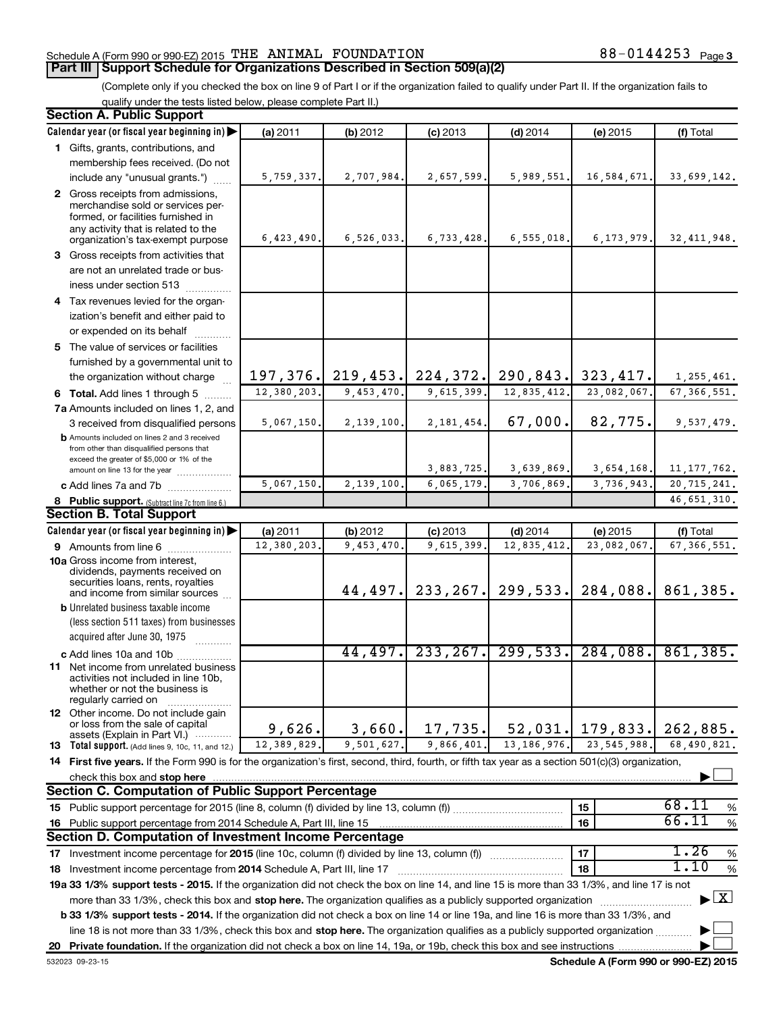### Schedule A (Form 990 or 990-EZ) 2015  $\,$  THE ANIMAL FOUNDATION  $38-0144253$   $_{\rm Page}$

#### **Part III Support Schedule for Organizations Described in Section 509(a)(2)**

(Complete only if you checked the box on line 9 of Part I or if the organization failed to qualify under Part II. If the organization fails to qualify under the tests listed below, please complete Part II.)

| <b>Section A. Public Support</b>                                                                                                                    |             |            |              |               |               |                                          |  |
|-----------------------------------------------------------------------------------------------------------------------------------------------------|-------------|------------|--------------|---------------|---------------|------------------------------------------|--|
| Calendar year (or fiscal year beginning in)                                                                                                         | (a) 2011    | (b) 2012   | $(c)$ 2013   | $(d)$ 2014    | (e) 2015      | (f) Total                                |  |
| 1 Gifts, grants, contributions, and                                                                                                                 |             |            |              |               |               |                                          |  |
| membership fees received. (Do not                                                                                                                   |             |            |              |               |               |                                          |  |
| include any "unusual grants.")                                                                                                                      | 5,759,337.  | 2,707,984. | 2,657,599.   | 5,989,551.    | 16,584,671.   | 33,699,142.                              |  |
| 2 Gross receipts from admissions,                                                                                                                   |             |            |              |               |               |                                          |  |
| merchandise sold or services per-                                                                                                                   |             |            |              |               |               |                                          |  |
| formed, or facilities furnished in<br>any activity that is related to the                                                                           |             |            |              |               |               |                                          |  |
| organization's tax-exempt purpose                                                                                                                   | 6,423,490.  | 6,526,033. | 6,733,428.   | 6, 555, 018.  | 6, 173, 979.  | 32, 411, 948.                            |  |
| 3 Gross receipts from activities that                                                                                                               |             |            |              |               |               |                                          |  |
| are not an unrelated trade or bus-                                                                                                                  |             |            |              |               |               |                                          |  |
| iness under section 513                                                                                                                             |             |            |              |               |               |                                          |  |
| 4 Tax revenues levied for the organ-                                                                                                                |             |            |              |               |               |                                          |  |
| ization's benefit and either paid to                                                                                                                |             |            |              |               |               |                                          |  |
| or expended on its behalf                                                                                                                           |             |            |              |               |               |                                          |  |
| 5 The value of services or facilities                                                                                                               |             |            |              |               |               |                                          |  |
| furnished by a governmental unit to                                                                                                                 |             |            |              |               |               |                                          |  |
| the organization without charge                                                                                                                     | 197, 376.   | 219, 453.  | 224, 372.    | 290, 843.     | 323, 417.     | 1,255,461.                               |  |
| 6 Total. Add lines 1 through 5                                                                                                                      | 12,380,203. | 9,453,470. | 9,615,399.   | 12,835,412.   | 23,082,067.   | 67, 366, 551.                            |  |
| 7a Amounts included on lines 1, 2, and                                                                                                              |             |            |              |               |               |                                          |  |
| 3 received from disqualified persons                                                                                                                | 5,067,150.  | 2,139,100  | 2, 181, 454. | 67,000.       | 82,775.       | 9,537,479.                               |  |
| <b>b</b> Amounts included on lines 2 and 3 received                                                                                                 |             |            |              |               |               |                                          |  |
| from other than disqualified persons that                                                                                                           |             |            |              |               |               |                                          |  |
| exceed the greater of \$5,000 or 1% of the<br>amount on line 13 for the year                                                                        |             |            | 3,883,725.   | 3,639,869.    | 3,654,168.    | 11, 177, 762.                            |  |
| c Add lines 7a and 7b                                                                                                                               | 5,067,150.  | 2,139,100  | 6,065,179    | 3,706,869.    | 3,736,943.    | 20,715,241.                              |  |
| 8 Public support. (Subtract line 7c from line 6.)                                                                                                   |             |            |              |               |               | 46,651,310.                              |  |
| <b>Section B. Total Support</b>                                                                                                                     |             |            |              |               |               |                                          |  |
| Calendar year (or fiscal year beginning in)                                                                                                         | (a) 2011    | (b) 2012   | $(c)$ 2013   | $(d)$ 2014    | (e) 2015      | (f) Total                                |  |
| 9 Amounts from line 6                                                                                                                               | 12,380,203  | 9,453,470  | 9,615,399    | 12,835,412    | 23,082,067    | 67, 366, 551.                            |  |
| <b>10a</b> Gross income from interest,                                                                                                              |             |            |              |               |               |                                          |  |
| dividends, payments received on                                                                                                                     |             |            |              |               |               |                                          |  |
| securities loans, rents, royalties                                                                                                                  |             | 44, 497.   | 233, 267.    | 299,533.      | 284,088.      | 861,385.                                 |  |
| and income from similar sources<br><b>b</b> Unrelated business taxable income                                                                       |             |            |              |               |               |                                          |  |
| (less section 511 taxes) from businesses                                                                                                            |             |            |              |               |               |                                          |  |
| acquired after June 30, 1975                                                                                                                        |             |            |              |               |               |                                          |  |
|                                                                                                                                                     |             | 44,497.    | 233, 267.    | 299,533.      | 284,088.      | 861,385.                                 |  |
| c Add lines 10a and 10b<br>11 Net income from unrelated business                                                                                    |             |            |              |               |               |                                          |  |
| activities not included in line 10b.                                                                                                                |             |            |              |               |               |                                          |  |
| whether or not the business is                                                                                                                      |             |            |              |               |               |                                          |  |
| regularly carried on<br>12 Other income. Do not include gain                                                                                        |             |            |              |               |               |                                          |  |
| or loss from the sale of capital                                                                                                                    | 9,626.      | 3,660.     | 17,735.      | 52,031.       | 179,833.      | 262,885.                                 |  |
| assets (Explain in Part VI.)                                                                                                                        | 12,389,829. | 9,501,627. | 9,866,401.   | 13, 186, 976. | 23, 545, 988. | 68,490,821.                              |  |
| 13 Total support. (Add lines 9, 10c, 11, and 12.)                                                                                                   |             |            |              |               |               |                                          |  |
| 14 First five years. If the Form 990 is for the organization's first, second, third, fourth, or fifth tax year as a section 501(c)(3) organization, |             |            |              |               |               |                                          |  |
| check this box and stop here<br><b>Section C. Computation of Public Support Percentage</b>                                                          |             |            |              |               |               |                                          |  |
|                                                                                                                                                     |             |            |              |               |               | 68.11                                    |  |
|                                                                                                                                                     |             |            |              |               | 15            | %<br>66.11                               |  |
| 16 Public support percentage from 2014 Schedule A, Part III, line 15                                                                                |             |            |              |               | 16            | $\%$                                     |  |
| Section D. Computation of Investment Income Percentage                                                                                              |             |            |              |               |               |                                          |  |
| 17 Investment income percentage for 2015 (line 10c, column (f) divided by line 13, column (f))                                                      |             |            |              |               | 17            | 1.26<br>$\%$<br>1.10                     |  |
| 18 Investment income percentage from 2014 Schedule A, Part III, line 17                                                                             |             |            |              |               | 18            | %                                        |  |
| 19a 33 1/3% support tests - 2015. If the organization did not check the box on line 14, and line 15 is more than 33 1/3%, and line 17 is not        |             |            |              |               |               |                                          |  |
| more than 33 1/3%, check this box and stop here. The organization qualifies as a publicly supported organization                                    |             |            |              |               |               | $\blacktriangleright$ $\boxed{\text{X}}$ |  |
| b 33 1/3% support tests - 2014. If the organization did not check a box on line 14 or line 19a, and line 16 is more than 33 1/3%, and               |             |            |              |               |               |                                          |  |
| line 18 is not more than 33 1/3%, check this box and stop here. The organization qualifies as a publicly supported organization                     |             |            |              |               |               |                                          |  |
|                                                                                                                                                     |             |            |              |               |               |                                          |  |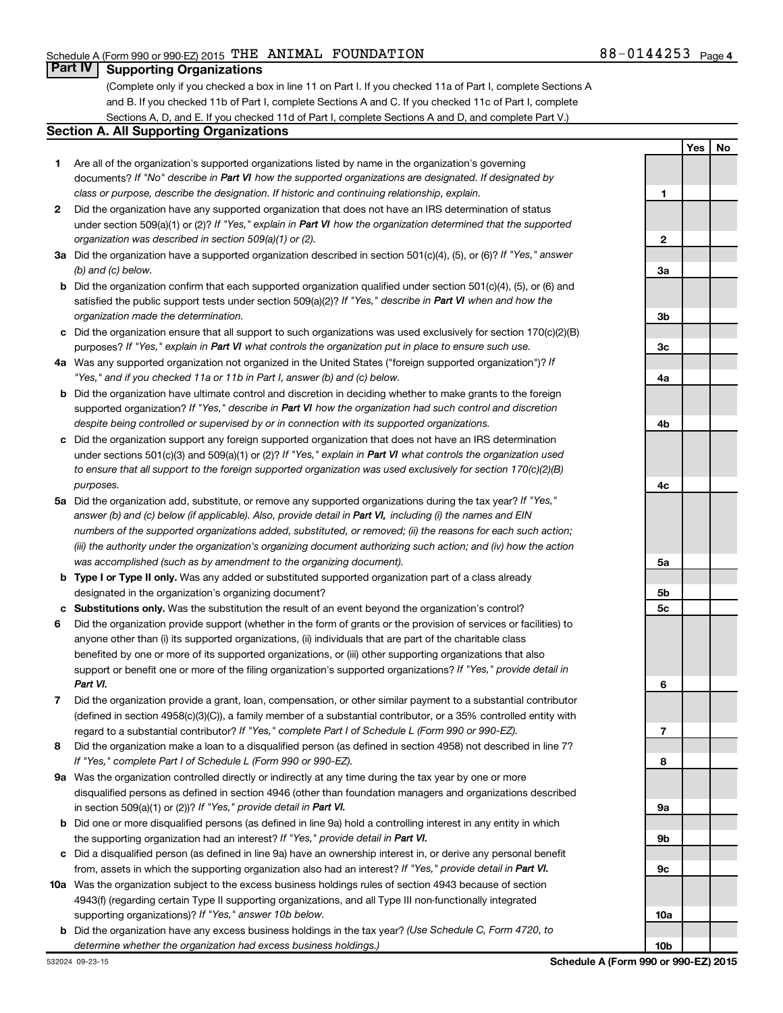**1**

**Yes No**

### **Part IV Supporting Organizations**

(Complete only if you checked a box in line 11 on Part I. If you checked 11a of Part I, complete Sections A and B. If you checked 11b of Part I, complete Sections A and C. If you checked 11c of Part I, complete Sections A, D, and E. If you checked 11d of Part I, complete Sections A and D, and complete Part V.)

#### **Section A. All Supporting Organizations**

- **1** Are all of the organization's supported organizations listed by name in the organization's governing documents? If "No" describe in Part VI how the supported organizations are designated. If designated by *class or purpose, describe the designation. If historic and continuing relationship, explain.*
- **2** Did the organization have any supported organization that does not have an IRS determination of status under section 509(a)(1) or (2)? If "Yes," explain in Part VI how the organization determined that the supported *organization was described in section 509(a)(1) or (2).*
- **3a** Did the organization have a supported organization described in section 501(c)(4), (5), or (6)? If "Yes," answer *(b) and (c) below.*
- **b** Did the organization confirm that each supported organization qualified under section 501(c)(4), (5), or (6) and satisfied the public support tests under section 509(a)(2)? If "Yes," describe in Part VI when and how the *organization made the determination.*
- **c** Did the organization ensure that all support to such organizations was used exclusively for section 170(c)(2)(B) purposes? If "Yes," explain in Part VI what controls the organization put in place to ensure such use.
- **4 a** *If* Was any supported organization not organized in the United States ("foreign supported organization")? *"Yes," and if you checked 11a or 11b in Part I, answer (b) and (c) below.*
- **b** Did the organization have ultimate control and discretion in deciding whether to make grants to the foreign supported organization? If "Yes," describe in Part VI how the organization had such control and discretion *despite being controlled or supervised by or in connection with its supported organizations.*
- **c** Did the organization support any foreign supported organization that does not have an IRS determination under sections 501(c)(3) and 509(a)(1) or (2)? If "Yes," explain in Part VI what controls the organization used *to ensure that all support to the foreign supported organization was used exclusively for section 170(c)(2)(B) purposes.*
- **5a** Did the organization add, substitute, or remove any supported organizations during the tax year? If "Yes," answer (b) and (c) below (if applicable). Also, provide detail in Part VI, including (i) the names and EIN *numbers of the supported organizations added, substituted, or removed; (ii) the reasons for each such action; (iii) the authority under the organization's organizing document authorizing such action; and (iv) how the action was accomplished (such as by amendment to the organizing document).*
- **b** Type I or Type II only. Was any added or substituted supported organization part of a class already designated in the organization's organizing document?
- **c Substitutions only.**  Was the substitution the result of an event beyond the organization's control?
- **6** Did the organization provide support (whether in the form of grants or the provision of services or facilities) to support or benefit one or more of the filing organization's supported organizations? If "Yes," provide detail in anyone other than (i) its supported organizations, (ii) individuals that are part of the charitable class benefited by one or more of its supported organizations, or (iii) other supporting organizations that also *Part VI.*
- **7** Did the organization provide a grant, loan, compensation, or other similar payment to a substantial contributor regard to a substantial contributor? If "Yes," complete Part I of Schedule L (Form 990 or 990-EZ). (defined in section 4958(c)(3)(C)), a family member of a substantial contributor, or a 35% controlled entity with
- **8** Did the organization make a loan to a disqualified person (as defined in section 4958) not described in line 7? *If "Yes," complete Part I of Schedule L (Form 990 or 990-EZ).*
- **9 a** Was the organization controlled directly or indirectly at any time during the tax year by one or more in section 509(a)(1) or (2))? If "Yes," provide detail in Part VI. disqualified persons as defined in section 4946 (other than foundation managers and organizations described
- **b** Did one or more disqualified persons (as defined in line 9a) hold a controlling interest in any entity in which the supporting organization had an interest? If "Yes," provide detail in Part VI.
- **c** Did a disqualified person (as defined in line 9a) have an ownership interest in, or derive any personal benefit from, assets in which the supporting organization also had an interest? If "Yes," provide detail in Part VI.
- **10 a** Was the organization subject to the excess business holdings rules of section 4943 because of section supporting organizations)? If "Yes," answer 10b below. 4943(f) (regarding certain Type II supporting organizations, and all Type III non-functionally integrated
- **b** Did the organization have any excess business holdings in the tax year? (Use Schedule C, Form 4720, to *determine whether the organization had excess business holdings.)*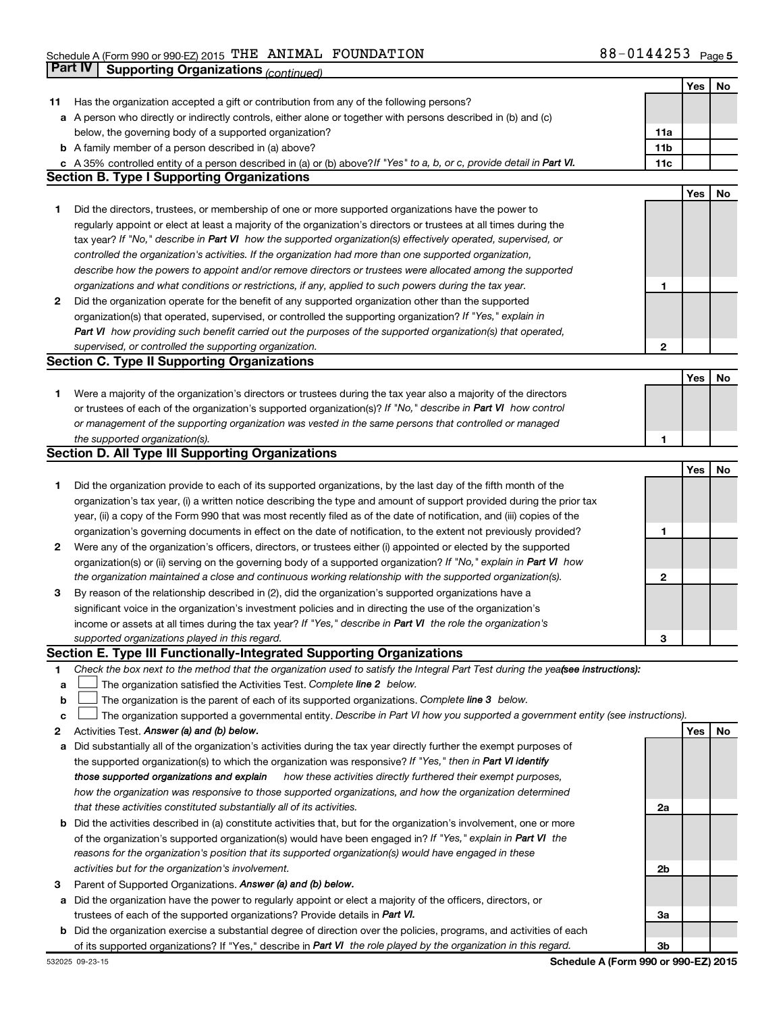|    |                                                                                                                                                                                                                                  |              | Yes | No |
|----|----------------------------------------------------------------------------------------------------------------------------------------------------------------------------------------------------------------------------------|--------------|-----|----|
| 11 | Has the organization accepted a gift or contribution from any of the following persons?                                                                                                                                          |              |     |    |
|    | a A person who directly or indirectly controls, either alone or together with persons described in (b) and (c)                                                                                                                   |              |     |    |
|    | below, the governing body of a supported organization?                                                                                                                                                                           | 11a          |     |    |
|    | <b>b</b> A family member of a person described in (a) above?                                                                                                                                                                     | 11b          |     |    |
|    | A 35% controlled entity of a person described in (a) or (b) above?If "Yes" to a, b, or c, provide detail in Part VI.                                                                                                             | 11c          |     |    |
|    | <b>Section B. Type I Supporting Organizations</b>                                                                                                                                                                                |              |     |    |
|    |                                                                                                                                                                                                                                  |              | Yes | No |
| 1  | Did the directors, trustees, or membership of one or more supported organizations have the power to                                                                                                                              |              |     |    |
|    | regularly appoint or elect at least a majority of the organization's directors or trustees at all times during the                                                                                                               |              |     |    |
|    | tax year? If "No," describe in Part VI how the supported organization(s) effectively operated, supervised, or                                                                                                                    |              |     |    |
|    | controlled the organization's activities. If the organization had more than one supported organization,                                                                                                                          |              |     |    |
|    |                                                                                                                                                                                                                                  |              |     |    |
|    | describe how the powers to appoint and/or remove directors or trustees were allocated among the supported                                                                                                                        |              |     |    |
|    | organizations and what conditions or restrictions, if any, applied to such powers during the tax year.                                                                                                                           | 1            |     |    |
| 2  | Did the organization operate for the benefit of any supported organization other than the supported                                                                                                                              |              |     |    |
|    | organization(s) that operated, supervised, or controlled the supporting organization? If "Yes," explain in                                                                                                                       |              |     |    |
|    | Part VI how providing such benefit carried out the purposes of the supported organization(s) that operated,                                                                                                                      |              |     |    |
|    | supervised, or controlled the supporting organization.                                                                                                                                                                           | $\mathbf{2}$ |     |    |
|    | <b>Section C. Type II Supporting Organizations</b>                                                                                                                                                                               |              |     |    |
|    |                                                                                                                                                                                                                                  |              | Yes | No |
| 1  | Were a majority of the organization's directors or trustees during the tax year also a majority of the directors                                                                                                                 |              |     |    |
|    | or trustees of each of the organization's supported organization(s)? If "No," describe in Part VI how control                                                                                                                    |              |     |    |
|    | or management of the supporting organization was vested in the same persons that controlled or managed                                                                                                                           |              |     |    |
|    | the supported organization(s).                                                                                                                                                                                                   | 1            |     |    |
|    | <b>Section D. All Type III Supporting Organizations</b>                                                                                                                                                                          |              |     |    |
|    |                                                                                                                                                                                                                                  |              | Yes | No |
| 1  | Did the organization provide to each of its supported organizations, by the last day of the fifth month of the                                                                                                                   |              |     |    |
|    | organization's tax year, (i) a written notice describing the type and amount of support provided during the prior tax                                                                                                            |              |     |    |
|    | year, (ii) a copy of the Form 990 that was most recently filed as of the date of notification, and (iii) copies of the                                                                                                           |              |     |    |
|    | organization's governing documents in effect on the date of notification, to the extent not previously provided?                                                                                                                 | 1            |     |    |
| 2  | Were any of the organization's officers, directors, or trustees either (i) appointed or elected by the supported                                                                                                                 |              |     |    |
|    | organization(s) or (ii) serving on the governing body of a supported organization? If "No," explain in Part VI how                                                                                                               |              |     |    |
|    | the organization maintained a close and continuous working relationship with the supported organization(s).                                                                                                                      | 2            |     |    |
| 3  | By reason of the relationship described in (2), did the organization's supported organizations have a                                                                                                                            |              |     |    |
|    | significant voice in the organization's investment policies and in directing the use of the organization's                                                                                                                       |              |     |    |
|    | income or assets at all times during the tax year? If "Yes," describe in Part VI the role the organization's                                                                                                                     |              |     |    |
|    | supported organizations played in this regard.                                                                                                                                                                                   | З            |     |    |
|    | Section E. Type III Functionally-Integrated Supporting Organizations                                                                                                                                                             |              |     |    |
| 1  | Check the box next to the method that the organization used to satisfy the Integral Part Test during the yealsee instructions):                                                                                                  |              |     |    |
| а  | The organization satisfied the Activities Test. Complete line 2 below.                                                                                                                                                           |              |     |    |
| b  | The organization is the parent of each of its supported organizations. Complete line 3 below.                                                                                                                                    |              |     |    |
| с  | The organization supported a governmental entity. Describe in Part VI how you supported a government entity (see instructions).                                                                                                  |              |     |    |
|    | Activities Test. Answer (a) and (b) below.                                                                                                                                                                                       |              | Yes | No |
| 2  |                                                                                                                                                                                                                                  |              |     |    |
| а  | Did substantially all of the organization's activities during the tax year directly further the exempt purposes of<br>the supported organization(s) to which the organization was responsive? If "Yes," then in Part VI identify |              |     |    |
|    |                                                                                                                                                                                                                                  |              |     |    |
|    | those supported organizations and explain how these activities directly furthered their exempt purposes,                                                                                                                         |              |     |    |
|    | how the organization was responsive to those supported organizations, and how the organization determined                                                                                                                        |              |     |    |
|    | that these activities constituted substantially all of its activities.                                                                                                                                                           | 2a           |     |    |
| b  | Did the activities described in (a) constitute activities that, but for the organization's involvement, one or more                                                                                                              |              |     |    |
|    | of the organization's supported organization(s) would have been engaged in? If "Yes," explain in Part VI the                                                                                                                     |              |     |    |
|    | reasons for the organization's position that its supported organization(s) would have engaged in these                                                                                                                           |              |     |    |
|    | activities but for the organization's involvement.                                                                                                                                                                               | 2b           |     |    |
| з  | Parent of Supported Organizations. Answer (a) and (b) below.                                                                                                                                                                     |              |     |    |
| а  | Did the organization have the power to regularly appoint or elect a majority of the officers, directors, or                                                                                                                      |              |     |    |
|    | trustees of each of the supported organizations? Provide details in Part VI.                                                                                                                                                     | За           |     |    |
| b  | Did the organization exercise a substantial degree of direction over the policies, programs, and activities of each                                                                                                              |              |     |    |
|    | of its supported organizations? If "Yes," describe in Part VI the role played by the organization in this regard.                                                                                                                | 3b           |     |    |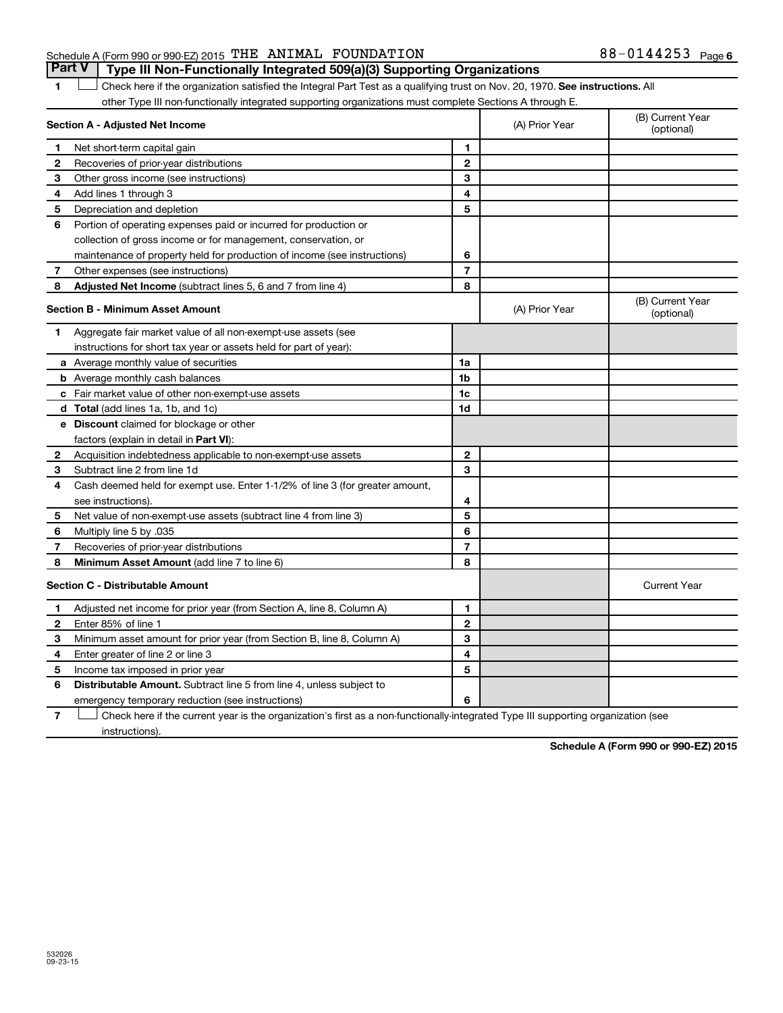### Schedule A (Form 990 or 990-EZ) 2015  $\,$  THE ANIMAL FOUNDATION  $38-0144253$   $_{\rm Page}$

1 **Letter on Reck here if the organization satisfied the Integral Part Test as a qualifying trust on Nov. 20, 1970. See instructions. All** other Type III non-functionally integrated supporting organizations must complete Sections A through E. **Part V Type III Non-Functionally Integrated 509(a)(3) Supporting Organizations** 

|              | Section A - Adjusted Net Income                                              | (A) Prior Year | (B) Current Year<br>(optional) |                                |
|--------------|------------------------------------------------------------------------------|----------------|--------------------------------|--------------------------------|
| 1            | Net short-term capital gain                                                  | 1              |                                |                                |
| $\mathbf{2}$ | Recoveries of prior-year distributions                                       | $\mathbf{2}$   |                                |                                |
| 3            | Other gross income (see instructions)                                        | 3              |                                |                                |
| 4            | Add lines 1 through 3                                                        | 4              |                                |                                |
| 5            | Depreciation and depletion                                                   | 5              |                                |                                |
| 6            | Portion of operating expenses paid or incurred for production or             |                |                                |                                |
|              | collection of gross income or for management, conservation, or               |                |                                |                                |
|              | maintenance of property held for production of income (see instructions)     | 6              |                                |                                |
| 7            | Other expenses (see instructions)                                            | $\overline{7}$ |                                |                                |
| 8            | Adjusted Net Income (subtract lines 5, 6 and 7 from line 4)                  | 8              |                                |                                |
|              | <b>Section B - Minimum Asset Amount</b>                                      |                | (A) Prior Year                 | (B) Current Year<br>(optional) |
| 1            | Aggregate fair market value of all non-exempt-use assets (see                |                |                                |                                |
|              | instructions for short tax year or assets held for part of year):            |                |                                |                                |
|              | a Average monthly value of securities                                        | 1a             |                                |                                |
|              | <b>b</b> Average monthly cash balances                                       | 1 <sub>b</sub> |                                |                                |
|              | c Fair market value of other non-exempt-use assets                           | 1c             |                                |                                |
|              | <b>d</b> Total (add lines 1a, 1b, and 1c)                                    | 1d             |                                |                                |
|              | e Discount claimed for blockage or other                                     |                |                                |                                |
|              | factors (explain in detail in Part VI):                                      |                |                                |                                |
| 2            | Acquisition indebtedness applicable to non-exempt-use assets                 | $\mathbf{2}$   |                                |                                |
| 3            | Subtract line 2 from line 1d                                                 | 3              |                                |                                |
| 4            | Cash deemed held for exempt use. Enter 1-1/2% of line 3 (for greater amount, |                |                                |                                |
|              | see instructions).                                                           | 4              |                                |                                |
| 5            | Net value of non-exempt-use assets (subtract line 4 from line 3)             | 5              |                                |                                |
| 6            | Multiply line 5 by .035                                                      | 6              |                                |                                |
| 7            | Recoveries of prior-year distributions                                       | $\overline{7}$ |                                |                                |
| 8            | Minimum Asset Amount (add line 7 to line 6)                                  | 8              |                                |                                |
|              | <b>Section C - Distributable Amount</b>                                      |                |                                | <b>Current Year</b>            |
| 1            | Adjusted net income for prior year (from Section A, line 8, Column A)        | 1              |                                |                                |
| 2            | Enter 85% of line 1                                                          | $\mathbf{2}$   |                                |                                |
| 3            | Minimum asset amount for prior year (from Section B, line 8, Column A)       | 3              |                                |                                |
| 4            | Enter greater of line 2 or line 3                                            | 4              |                                |                                |
| 5            | Income tax imposed in prior year                                             | 5              |                                |                                |
| 6            | <b>Distributable Amount.</b> Subtract line 5 from line 4, unless subject to  |                |                                |                                |
|              | emergency temporary reduction (see instructions)                             | 6              |                                |                                |
|              |                                                                              |                |                                |                                |

**7** Let Check here if the current year is the organization's first as a non-functionally-integrated Type III supporting organization (see instructions).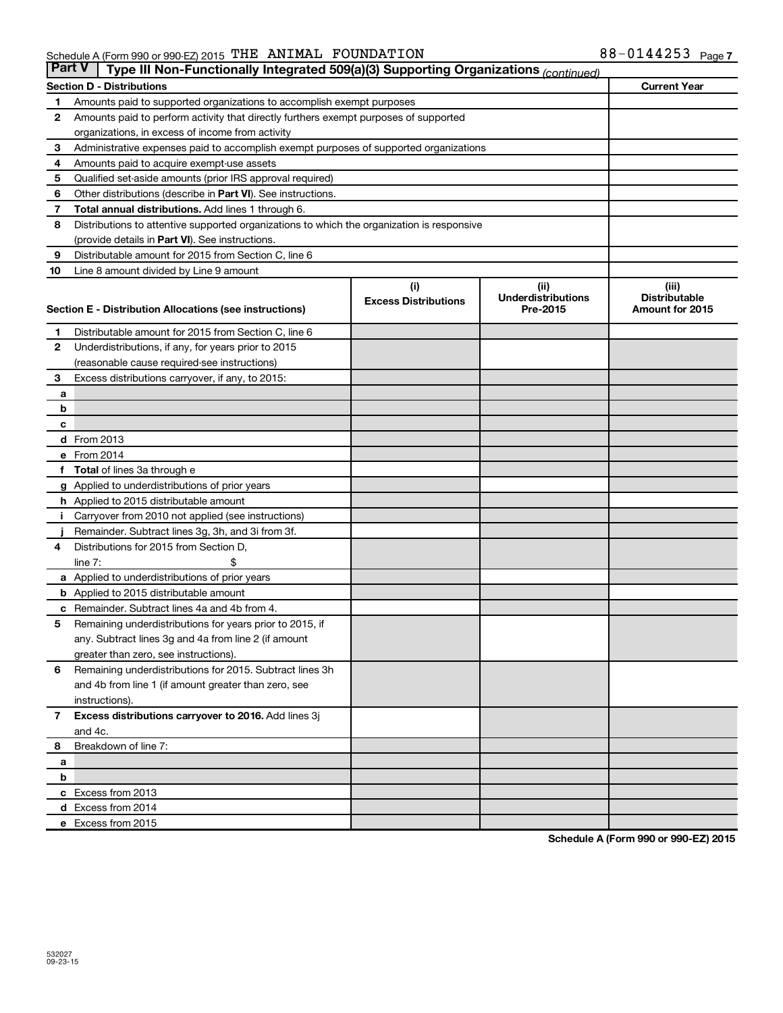| <b>Part V</b><br>Type III Non-Functionally Integrated 509(a)(3) Supporting Organizations (continued) |                                                                                             |                             |                                       |                                                |  |  |
|------------------------------------------------------------------------------------------------------|---------------------------------------------------------------------------------------------|-----------------------------|---------------------------------------|------------------------------------------------|--|--|
|                                                                                                      | <b>Section D - Distributions</b>                                                            |                             |                                       | <b>Current Year</b>                            |  |  |
| 1                                                                                                    | Amounts paid to supported organizations to accomplish exempt purposes                       |                             |                                       |                                                |  |  |
| $\mathbf{2}$                                                                                         | Amounts paid to perform activity that directly furthers exempt purposes of supported        |                             |                                       |                                                |  |  |
|                                                                                                      | organizations, in excess of income from activity                                            |                             |                                       |                                                |  |  |
| 3                                                                                                    | Administrative expenses paid to accomplish exempt purposes of supported organizations       |                             |                                       |                                                |  |  |
| 4                                                                                                    | Amounts paid to acquire exempt-use assets                                                   |                             |                                       |                                                |  |  |
| 5                                                                                                    | Qualified set-aside amounts (prior IRS approval required)                                   |                             |                                       |                                                |  |  |
| 6                                                                                                    | Other distributions (describe in Part VI). See instructions.                                |                             |                                       |                                                |  |  |
| 7                                                                                                    | <b>Total annual distributions.</b> Add lines 1 through 6.                                   |                             |                                       |                                                |  |  |
| 8                                                                                                    | Distributions to attentive supported organizations to which the organization is responsive  |                             |                                       |                                                |  |  |
|                                                                                                      | (provide details in Part VI). See instructions.                                             |                             |                                       |                                                |  |  |
| 9                                                                                                    | Distributable amount for 2015 from Section C, line 6                                        |                             |                                       |                                                |  |  |
| 10                                                                                                   | Line 8 amount divided by Line 9 amount                                                      |                             |                                       |                                                |  |  |
|                                                                                                      |                                                                                             | (i)                         | (ii)                                  | (iii)                                          |  |  |
|                                                                                                      | Section E - Distribution Allocations (see instructions)                                     | <b>Excess Distributions</b> | <b>Underdistributions</b><br>Pre-2015 | <b>Distributable</b><br><b>Amount for 2015</b> |  |  |
|                                                                                                      |                                                                                             |                             |                                       |                                                |  |  |
| 1                                                                                                    | Distributable amount for 2015 from Section C, line 6                                        |                             |                                       |                                                |  |  |
| $\mathbf{2}$                                                                                         | Underdistributions, if any, for years prior to 2015                                         |                             |                                       |                                                |  |  |
|                                                                                                      | (reasonable cause required-see instructions)                                                |                             |                                       |                                                |  |  |
| 3                                                                                                    | Excess distributions carryover, if any, to 2015:                                            |                             |                                       |                                                |  |  |
| а                                                                                                    |                                                                                             |                             |                                       |                                                |  |  |
| b                                                                                                    |                                                                                             |                             |                                       |                                                |  |  |
| с                                                                                                    |                                                                                             |                             |                                       |                                                |  |  |
|                                                                                                      | d From 2013                                                                                 |                             |                                       |                                                |  |  |
|                                                                                                      | e From 2014                                                                                 |                             |                                       |                                                |  |  |
|                                                                                                      | f Total of lines 3a through e                                                               |                             |                                       |                                                |  |  |
|                                                                                                      | <b>g</b> Applied to underdistributions of prior years                                       |                             |                                       |                                                |  |  |
|                                                                                                      | h Applied to 2015 distributable amount                                                      |                             |                                       |                                                |  |  |
| Ť.                                                                                                   | Carryover from 2010 not applied (see instructions)                                          |                             |                                       |                                                |  |  |
|                                                                                                      | Remainder. Subtract lines 3g, 3h, and 3i from 3f.<br>Distributions for 2015 from Section D, |                             |                                       |                                                |  |  |
| 4                                                                                                    | line $7:$                                                                                   |                             |                                       |                                                |  |  |
|                                                                                                      | a Applied to underdistributions of prior years                                              |                             |                                       |                                                |  |  |
|                                                                                                      | <b>b</b> Applied to 2015 distributable amount                                               |                             |                                       |                                                |  |  |
| c                                                                                                    | Remainder. Subtract lines 4a and 4b from 4.                                                 |                             |                                       |                                                |  |  |
| 5                                                                                                    | Remaining underdistributions for years prior to 2015, if                                    |                             |                                       |                                                |  |  |
|                                                                                                      | any. Subtract lines 3g and 4a from line 2 (if amount                                        |                             |                                       |                                                |  |  |
|                                                                                                      | greater than zero, see instructions).                                                       |                             |                                       |                                                |  |  |
| 6                                                                                                    | Remaining underdistributions for 2015. Subtract lines 3h                                    |                             |                                       |                                                |  |  |
|                                                                                                      | and 4b from line 1 (if amount greater than zero, see                                        |                             |                                       |                                                |  |  |
|                                                                                                      | instructions).                                                                              |                             |                                       |                                                |  |  |
| $\overline{7}$                                                                                       | Excess distributions carryover to 2016. Add lines 3j                                        |                             |                                       |                                                |  |  |
|                                                                                                      | and 4c.                                                                                     |                             |                                       |                                                |  |  |
| 8                                                                                                    | Breakdown of line 7:                                                                        |                             |                                       |                                                |  |  |
| а                                                                                                    |                                                                                             |                             |                                       |                                                |  |  |
| b                                                                                                    |                                                                                             |                             |                                       |                                                |  |  |
|                                                                                                      | c Excess from 2013                                                                          |                             |                                       |                                                |  |  |
|                                                                                                      | d Excess from 2014                                                                          |                             |                                       |                                                |  |  |
|                                                                                                      | e Excess from 2015                                                                          |                             |                                       |                                                |  |  |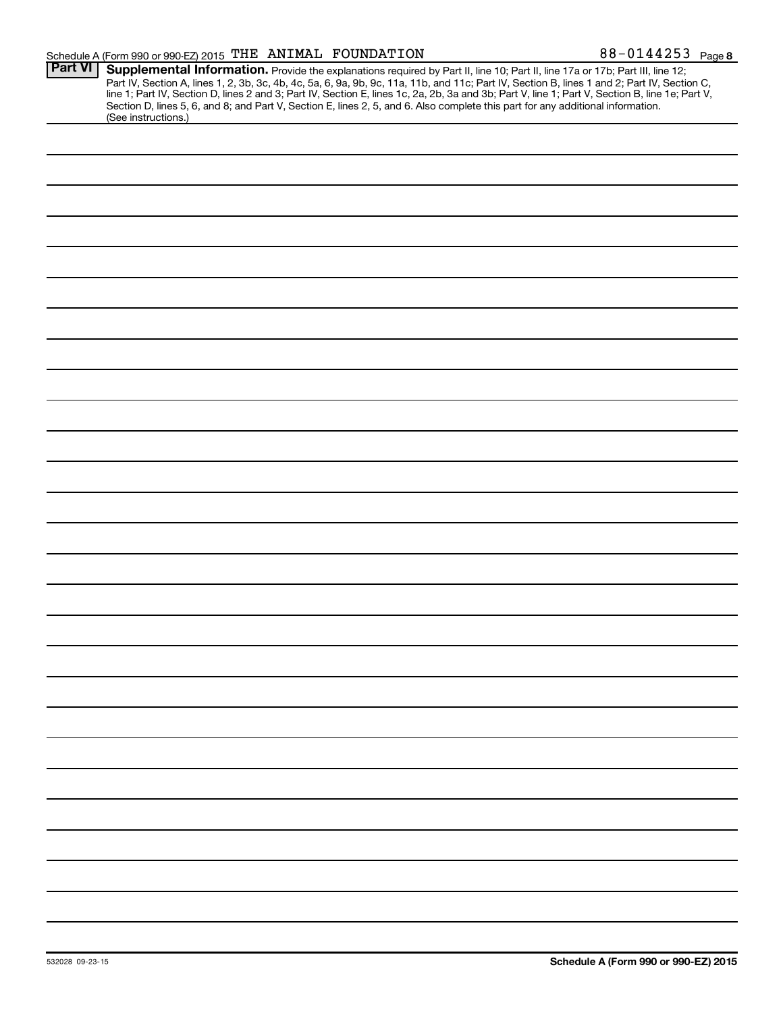| Schedule A (Form 990 or 990-EZ) 2015 THE ANIMAL FOUNDATION |  | 88-0144253 $_{Page8}$ |
|------------------------------------------------------------|--|-----------------------|
|------------------------------------------------------------|--|-----------------------|

|                | $\frac{1}{2}$ is a contracted by the contract of $\frac{1}{2}$ and $\frac{1}{2}$ is a contracted by $\frac{1}{2}$<br>r ago o                                                                                                                                                                                                                                                                                                                                                                                                                                        |
|----------------|---------------------------------------------------------------------------------------------------------------------------------------------------------------------------------------------------------------------------------------------------------------------------------------------------------------------------------------------------------------------------------------------------------------------------------------------------------------------------------------------------------------------------------------------------------------------|
| <b>Part VI</b> | Supplemental Information. Provide the explanations required by Part II, line 10; Part II, line 17a or 17b; Part III, line 12;<br>Part IV, Section A, lines 1, 2, 3b, 3c, 4b, 4c, 5a, 6, 9a, 9b, 9c, 11a, 11b, and 11c; Part IV, Section B, lines 1 and 2; Part IV, Section C,<br>line 1; Part IV, Section D, lines 2 and 3; Part IV, Section E, lines 1c, 2a, 2b, 3a and 3b; Part V, line 1; Part V, Section B, line 1e; Part V,<br>Section D, lines 5, 6, and 8; and Part V, Section E, lines 2, 5, and 6. Also complete this part for any additional information. |
|                | (See instructions.)                                                                                                                                                                                                                                                                                                                                                                                                                                                                                                                                                 |
|                |                                                                                                                                                                                                                                                                                                                                                                                                                                                                                                                                                                     |
|                |                                                                                                                                                                                                                                                                                                                                                                                                                                                                                                                                                                     |
|                |                                                                                                                                                                                                                                                                                                                                                                                                                                                                                                                                                                     |
|                |                                                                                                                                                                                                                                                                                                                                                                                                                                                                                                                                                                     |
|                |                                                                                                                                                                                                                                                                                                                                                                                                                                                                                                                                                                     |
|                |                                                                                                                                                                                                                                                                                                                                                                                                                                                                                                                                                                     |
|                |                                                                                                                                                                                                                                                                                                                                                                                                                                                                                                                                                                     |
|                |                                                                                                                                                                                                                                                                                                                                                                                                                                                                                                                                                                     |
|                |                                                                                                                                                                                                                                                                                                                                                                                                                                                                                                                                                                     |
|                |                                                                                                                                                                                                                                                                                                                                                                                                                                                                                                                                                                     |
|                |                                                                                                                                                                                                                                                                                                                                                                                                                                                                                                                                                                     |
|                |                                                                                                                                                                                                                                                                                                                                                                                                                                                                                                                                                                     |
|                |                                                                                                                                                                                                                                                                                                                                                                                                                                                                                                                                                                     |
|                |                                                                                                                                                                                                                                                                                                                                                                                                                                                                                                                                                                     |
|                |                                                                                                                                                                                                                                                                                                                                                                                                                                                                                                                                                                     |
|                |                                                                                                                                                                                                                                                                                                                                                                                                                                                                                                                                                                     |
|                |                                                                                                                                                                                                                                                                                                                                                                                                                                                                                                                                                                     |
|                |                                                                                                                                                                                                                                                                                                                                                                                                                                                                                                                                                                     |
|                |                                                                                                                                                                                                                                                                                                                                                                                                                                                                                                                                                                     |
|                |                                                                                                                                                                                                                                                                                                                                                                                                                                                                                                                                                                     |
|                |                                                                                                                                                                                                                                                                                                                                                                                                                                                                                                                                                                     |
|                |                                                                                                                                                                                                                                                                                                                                                                                                                                                                                                                                                                     |
|                |                                                                                                                                                                                                                                                                                                                                                                                                                                                                                                                                                                     |
|                |                                                                                                                                                                                                                                                                                                                                                                                                                                                                                                                                                                     |
|                |                                                                                                                                                                                                                                                                                                                                                                                                                                                                                                                                                                     |
|                |                                                                                                                                                                                                                                                                                                                                                                                                                                                                                                                                                                     |
|                |                                                                                                                                                                                                                                                                                                                                                                                                                                                                                                                                                                     |
|                |                                                                                                                                                                                                                                                                                                                                                                                                                                                                                                                                                                     |
|                |                                                                                                                                                                                                                                                                                                                                                                                                                                                                                                                                                                     |
|                |                                                                                                                                                                                                                                                                                                                                                                                                                                                                                                                                                                     |
|                |                                                                                                                                                                                                                                                                                                                                                                                                                                                                                                                                                                     |
|                |                                                                                                                                                                                                                                                                                                                                                                                                                                                                                                                                                                     |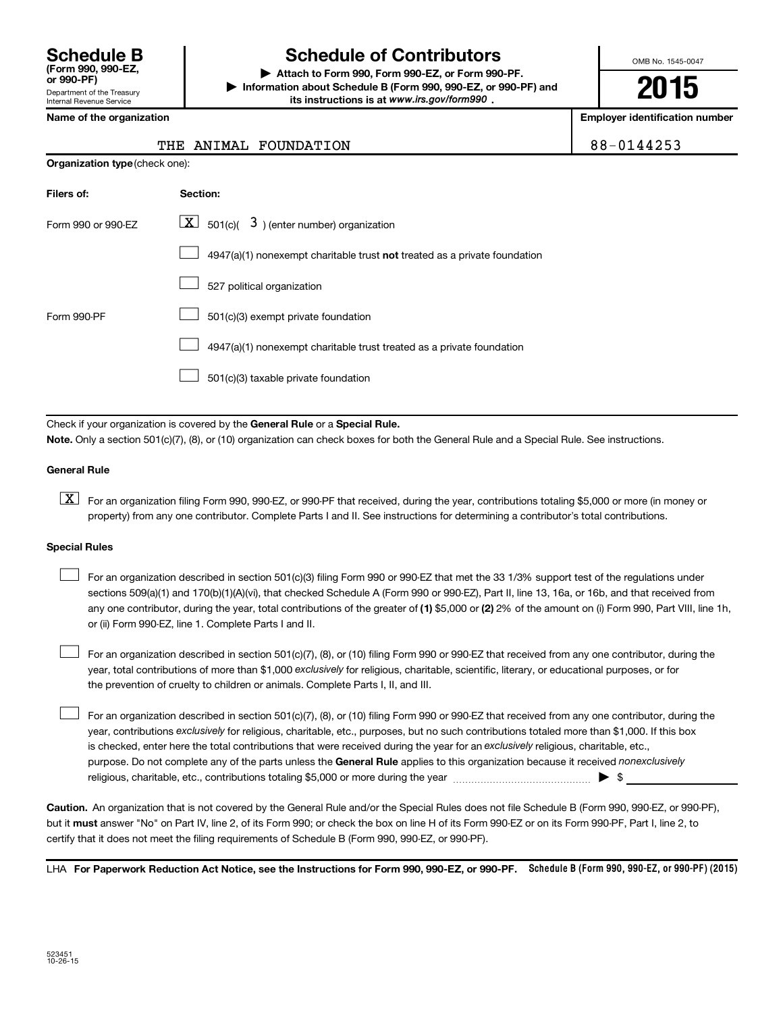Department of the Treasury Internal Revenue Service **(Form 990, 990-EZ,**

## **Schedule B Schedule of Contributors**

**or 990-PF) | Attach to Form 990, Form 990-EZ, or Form 990-PF. | Information about Schedule B (Form 990, 990-EZ, or 990-PF) and** its instructions is at www.irs.gov/form990.

OMB No. 1545-0047

**2015**

**Employer identification number** 

|  | Name of the organization |  |
|--|--------------------------|--|

**Organization type** (check one):

#### THE ANIMAL FOUNDATION **88-0144253**

| Filers of:         | <b>Section:</b>                                                           |
|--------------------|---------------------------------------------------------------------------|
| Form 990 or 990-FZ | $ \mathbf{X} $ 501(c)( 3) (enter number) organization                     |
|                    | 4947(a)(1) nonexempt charitable trust not treated as a private foundation |
|                    | 527 political organization                                                |
| Form 990-PF        | 501(c)(3) exempt private foundation                                       |
|                    | 4947(a)(1) nonexempt charitable trust treated as a private foundation     |
|                    | 501(c)(3) taxable private foundation                                      |

Check if your organization is covered by the General Rule or a Special Rule.

**Note.**  Only a section 501(c)(7), (8), or (10) organization can check boxes for both the General Rule and a Special Rule. See instructions.

#### **General Rule**

**K** For an organization filing Form 990, 990-EZ, or 990-PF that received, during the year, contributions totaling \$5,000 or more (in money or property) from any one contributor. Complete Parts I and II. See instructions for determining a contributor's total contributions.

#### **Special Rules**

 $\Box$ 

any one contributor, during the year, total contributions of the greater of **(1)** \$5,000 or **(2)** 2% of the amount on (i) Form 990, Part VIII, line 1h, For an organization described in section 501(c)(3) filing Form 990 or 990-EZ that met the 33 1/3% support test of the regulations under sections 509(a)(1) and 170(b)(1)(A)(vi), that checked Schedule A (Form 990 or 990-EZ), Part II, line 13, 16a, or 16b, and that received from or (ii) Form 990-EZ, line 1. Complete Parts I and II.  $\Box$ 

year, total contributions of more than \$1,000 *exclusively* for religious, charitable, scientific, literary, or educational purposes, or for For an organization described in section 501(c)(7), (8), or (10) filing Form 990 or 990-EZ that received from any one contributor, during the the prevention of cruelty to children or animals. Complete Parts I, II, and III.  $\Box$ 

purpose. Do not complete any of the parts unless the General Rule applies to this organization because it received nonexclusively year, contributions exclusively for religious, charitable, etc., purposes, but no such contributions totaled more than \$1,000. If this box is checked, enter here the total contributions that were received during the year for an exclusively religious, charitable, etc., For an organization described in section 501(c)(7), (8), or (10) filing Form 990 or 990-EZ that received from any one contributor, during the religious, charitable, etc., contributions totaling \$5,000 or more during the year  $\ldots$  $\ldots$  $\ldots$  $\ldots$  $\ldots$  $\ldots$ 

**Caution.** An organization that is not covered by the General Rule and/or the Special Rules does not file Schedule B (Form 990, 990-EZ, or 990-PF),  **must** but it answer "No" on Part IV, line 2, of its Form 990; or check the box on line H of its Form 990-EZ or on its Form 990-PF, Part I, line 2, to certify that it does not meet the filing requirements of Schedule B (Form 990, 990-EZ, or 990-PF).

LHA For Paperwork Reduction Act Notice, see the Instructions for Form 990, 990-EZ, or 990-PF. Schedule B (Form 990, 990-EZ, or 990-PF) (2015)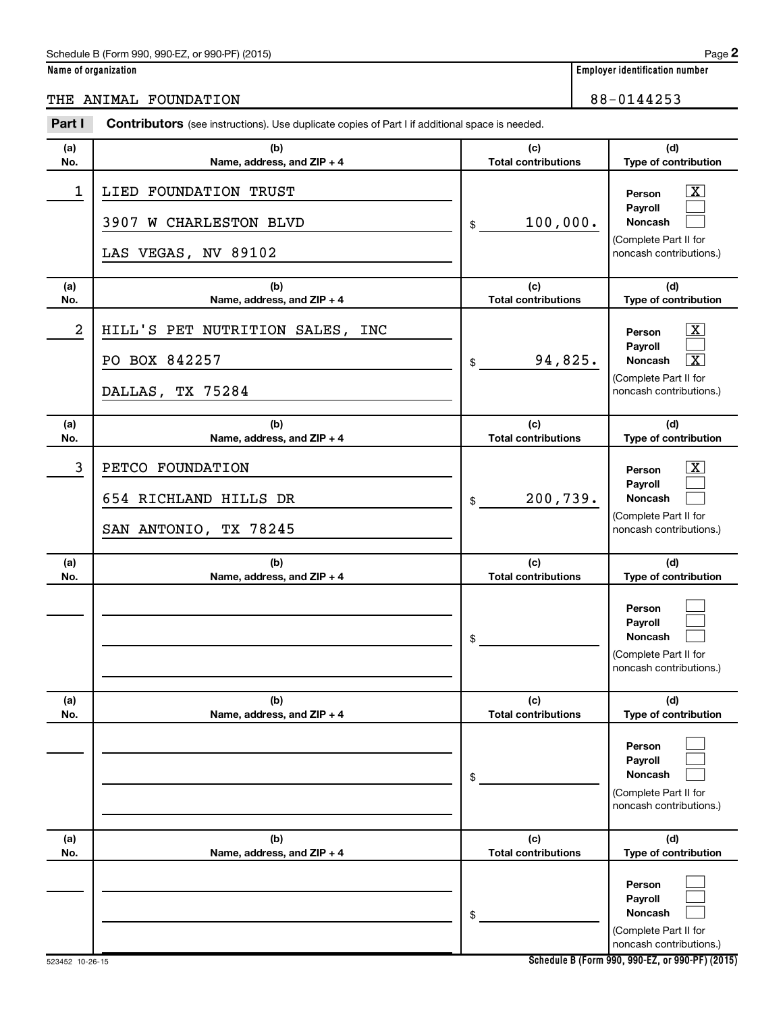#### Schedule B (Form 990, 990-EZ, or 990-PF) (2015)

| Name of organization |  |  |
|----------------------|--|--|
|                      |  |  |

### THE ANIMAL FOUNDATION 88-0144253

| Part I     | <b>Contributors</b> (see instructions). Use duplicate copies of Part I if additional space is needed. |                                   |                                                                                                                                |  |  |
|------------|-------------------------------------------------------------------------------------------------------|-----------------------------------|--------------------------------------------------------------------------------------------------------------------------------|--|--|
| (a)<br>No. | (b)                                                                                                   | (c)<br><b>Total contributions</b> | (d)<br>Type of contribution                                                                                                    |  |  |
| 1          | Name, address, and ZIP + 4<br>LIED FOUNDATION TRUST<br>3907 W CHARLESTON BLVD<br>LAS VEGAS, NV 89102  | 100,000.<br>\$                    | $\boxed{\textbf{X}}$<br>Person<br>Payroll<br>Noncash<br>(Complete Part II for<br>noncash contributions.)                       |  |  |
| (a)<br>No. | (b)<br>Name, address, and ZIP + 4                                                                     | (c)<br><b>Total contributions</b> | (d)<br>Type of contribution                                                                                                    |  |  |
| 2          | HILL'S PET NUTRITION SALES, INC<br>PO BOX 842257<br>DALLAS, TX 75284                                  | 94,825.<br>\$                     | $\boxed{\text{X}}$<br>Person<br>Payroll<br>$\boxed{\textbf{X}}$<br>Noncash<br>(Complete Part II for<br>noncash contributions.) |  |  |
| (a)<br>No. | (b)<br>Name, address, and ZIP + 4                                                                     | (c)<br><b>Total contributions</b> | (d)<br>Type of contribution                                                                                                    |  |  |
| 3          | PETCO FOUNDATION<br>654 RICHLAND HILLS DR<br>SAN ANTONIO, TX 78245                                    | 200,739.<br>\$                    | $\boxed{\text{X}}$<br>Person<br>Payroll<br>Noncash<br>(Complete Part II for<br>noncash contributions.)                         |  |  |
| (a)<br>No. | (b)<br>Name, address, and ZIP + 4                                                                     | (c)<br><b>Total contributions</b> | (d)<br>Type of contribution                                                                                                    |  |  |
|            |                                                                                                       | \$                                | Person<br>Payroll<br><b>Noncash</b><br>(Complete Part II for<br>noncash contributions.)                                        |  |  |
| (a)<br>No. | (b)<br>Name, address, and ZIP + 4                                                                     | (c)<br><b>Total contributions</b> | (d)<br>Type of contribution                                                                                                    |  |  |
|            |                                                                                                       | \$                                | Person<br>Payroll<br>Noncash<br>(Complete Part II for<br>noncash contributions.)                                               |  |  |
| (a)<br>No. | (b)<br>Name, address, and ZIP + 4                                                                     | (c)<br><b>Total contributions</b> | (d)<br>Type of contribution                                                                                                    |  |  |
|            |                                                                                                       | \$                                | Person<br>Payroll<br>Noncash<br>(Complete Part II for<br>noncash contributions.)                                               |  |  |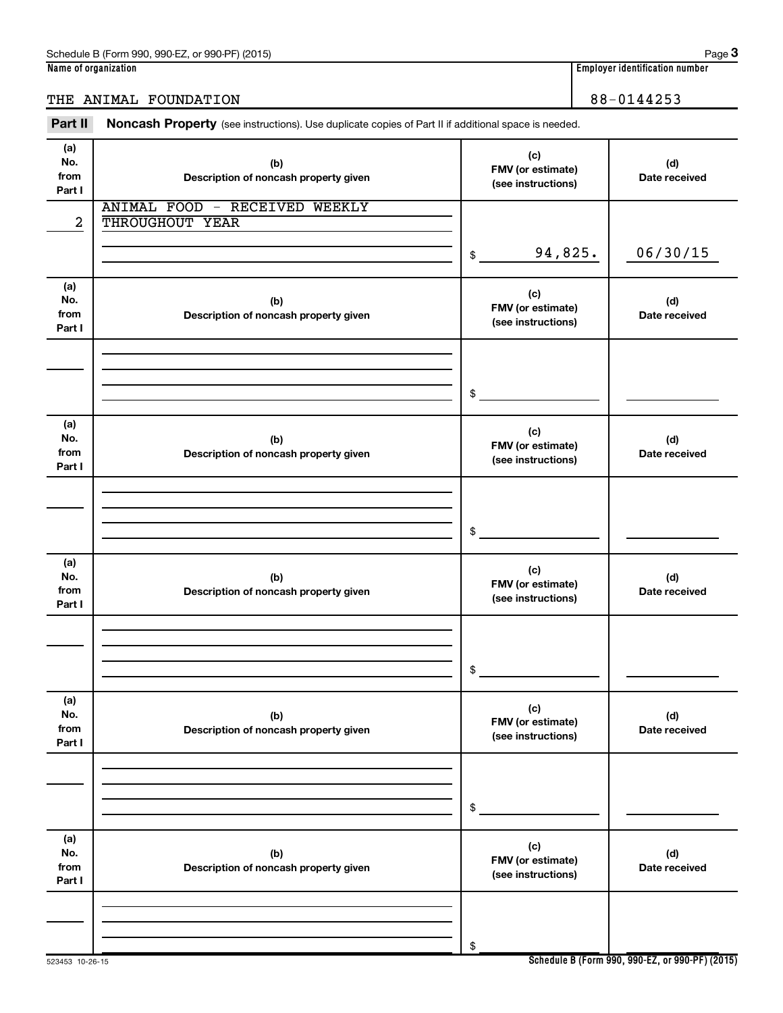### THE ANIMAL FOUNDATION 88-0144253

Part II Noncash Property (see instructions). Use duplicate copies of Part II if additional space is needed.

| (a)    |                                       | (c)                                   |               |
|--------|---------------------------------------|---------------------------------------|---------------|
| No.    | (b)                                   | FMV (or estimate)                     | (d)           |
| from   | Description of noncash property given | (see instructions)                    | Date received |
| Part I |                                       |                                       |               |
|        | <b>ANIMAL FOOD - RECEIVED WEEKLY</b>  |                                       |               |
| 2      | THROUGHOUT YEAR                       |                                       |               |
|        |                                       |                                       |               |
|        |                                       |                                       |               |
|        |                                       | 94,825.<br>$$\overline{\phantom{a}}$$ | 06/30/15      |
|        |                                       |                                       |               |
| (a)    |                                       |                                       |               |
| No.    | (b)                                   | (c)                                   | (d)           |
| from   | Description of noncash property given | FMV (or estimate)                     | Date received |
| Part I |                                       | (see instructions)                    |               |
|        |                                       |                                       |               |
|        |                                       |                                       |               |
|        |                                       |                                       |               |
|        |                                       |                                       |               |
|        |                                       | $\sim$                                |               |
|        |                                       |                                       |               |
|        |                                       |                                       |               |
| (a)    |                                       | (c)                                   |               |
| No.    | (b)                                   | FMV (or estimate)                     | (d)           |
| from   | Description of noncash property given | (see instructions)                    | Date received |
| Part I |                                       |                                       |               |
|        |                                       |                                       |               |
|        |                                       |                                       |               |
|        |                                       |                                       |               |
|        |                                       |                                       |               |
|        |                                       | $\sim$                                |               |
|        |                                       |                                       |               |
| (a)    |                                       |                                       |               |
| No.    | (b)                                   | (c)                                   | (d)           |
| from   | Description of noncash property given | FMV (or estimate)                     | Date received |
| Part I |                                       | (see instructions)                    |               |
|        |                                       |                                       |               |
|        |                                       |                                       |               |
|        |                                       |                                       |               |
|        |                                       |                                       |               |
|        |                                       | \$                                    |               |
|        |                                       |                                       |               |
| (a)    |                                       |                                       |               |
| No.    | (b)                                   | (c)                                   | (d)           |
| from   | Description of noncash property given | FMV (or estimate)                     | Date received |
| Part I |                                       | (see instructions)                    |               |
|        |                                       |                                       |               |
|        |                                       |                                       |               |
|        |                                       |                                       |               |
|        |                                       |                                       |               |
|        |                                       | \$                                    |               |
|        |                                       |                                       |               |
|        |                                       |                                       |               |
| (a)    |                                       | (c)                                   |               |
| No.    | (b)                                   | FMV (or estimate)                     | (d)           |
| from   | Description of noncash property given | (see instructions)                    | Date received |
| Part I |                                       |                                       |               |
|        |                                       |                                       |               |
|        |                                       |                                       |               |
|        |                                       |                                       |               |
|        |                                       |                                       |               |
|        |                                       | \$                                    |               |

**Schedule B (Form 990, 990-EZ, or 990-PF) (2015)**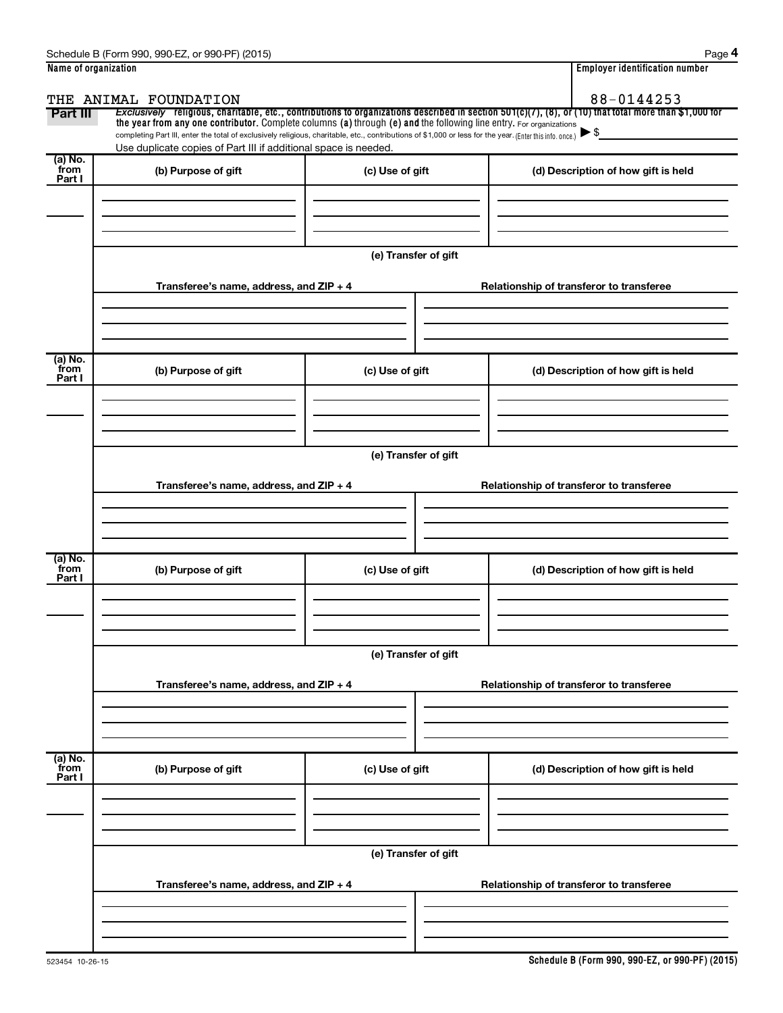| Name of organization      |                                                                                                                                                          |                      | <b>Employer identification number</b>                                                                                                                 |  |  |  |  |  |  |
|---------------------------|----------------------------------------------------------------------------------------------------------------------------------------------------------|----------------------|-------------------------------------------------------------------------------------------------------------------------------------------------------|--|--|--|--|--|--|
|                           | THE ANIMAL FOUNDATION                                                                                                                                    |                      | 88-0144253                                                                                                                                            |  |  |  |  |  |  |
| Part III                  | the year from any one contributor. Complete columns (a) through (e) and the following line entry. For organizations                                      |                      | Exclusively religious, charitable, etc., contributions to organizations described in section 501(c)(7), (8), or (10) that total more than \$1,000 for |  |  |  |  |  |  |
|                           | completing Part III, enter the total of exclusively religious, charitable, etc., contributions of \$1,000 or less for the year. (Enter this info. once.) |                      | $\blacktriangleright$ \$                                                                                                                              |  |  |  |  |  |  |
|                           | Use duplicate copies of Part III if additional space is needed.                                                                                          |                      |                                                                                                                                                       |  |  |  |  |  |  |
| (a) No.<br>from<br>Part I | (b) Purpose of gift                                                                                                                                      | (c) Use of gift      | (d) Description of how gift is held                                                                                                                   |  |  |  |  |  |  |
|                           |                                                                                                                                                          |                      |                                                                                                                                                       |  |  |  |  |  |  |
|                           |                                                                                                                                                          |                      |                                                                                                                                                       |  |  |  |  |  |  |
|                           |                                                                                                                                                          |                      |                                                                                                                                                       |  |  |  |  |  |  |
|                           |                                                                                                                                                          | (e) Transfer of gift |                                                                                                                                                       |  |  |  |  |  |  |
|                           |                                                                                                                                                          |                      |                                                                                                                                                       |  |  |  |  |  |  |
|                           | Transferee's name, address, and ZIP + 4                                                                                                                  |                      | Relationship of transferor to transferee                                                                                                              |  |  |  |  |  |  |
|                           |                                                                                                                                                          |                      |                                                                                                                                                       |  |  |  |  |  |  |
|                           |                                                                                                                                                          |                      |                                                                                                                                                       |  |  |  |  |  |  |
|                           |                                                                                                                                                          |                      |                                                                                                                                                       |  |  |  |  |  |  |
| (a) No.<br>from           | (b) Purpose of gift                                                                                                                                      | (c) Use of gift      | (d) Description of how gift is held                                                                                                                   |  |  |  |  |  |  |
| Part I                    |                                                                                                                                                          |                      |                                                                                                                                                       |  |  |  |  |  |  |
|                           |                                                                                                                                                          |                      |                                                                                                                                                       |  |  |  |  |  |  |
|                           |                                                                                                                                                          |                      |                                                                                                                                                       |  |  |  |  |  |  |
|                           |                                                                                                                                                          |                      |                                                                                                                                                       |  |  |  |  |  |  |
|                           | (e) Transfer of gift                                                                                                                                     |                      |                                                                                                                                                       |  |  |  |  |  |  |
|                           | Transferee's name, address, and ZIP + 4                                                                                                                  |                      | Relationship of transferor to transferee                                                                                                              |  |  |  |  |  |  |
|                           |                                                                                                                                                          |                      |                                                                                                                                                       |  |  |  |  |  |  |
|                           |                                                                                                                                                          |                      |                                                                                                                                                       |  |  |  |  |  |  |
|                           |                                                                                                                                                          |                      |                                                                                                                                                       |  |  |  |  |  |  |
| (a) No.<br>from           | (b) Purpose of gift                                                                                                                                      | (c) Use of gift      | (d) Description of how gift is held                                                                                                                   |  |  |  |  |  |  |
| Part I                    |                                                                                                                                                          |                      |                                                                                                                                                       |  |  |  |  |  |  |
|                           |                                                                                                                                                          |                      |                                                                                                                                                       |  |  |  |  |  |  |
|                           |                                                                                                                                                          |                      |                                                                                                                                                       |  |  |  |  |  |  |
|                           |                                                                                                                                                          |                      |                                                                                                                                                       |  |  |  |  |  |  |
|                           |                                                                                                                                                          | (e) Transfer of gift |                                                                                                                                                       |  |  |  |  |  |  |
|                           | Transferee's name, address, and ZIP + 4                                                                                                                  |                      | Relationship of transferor to transferee                                                                                                              |  |  |  |  |  |  |
|                           |                                                                                                                                                          |                      |                                                                                                                                                       |  |  |  |  |  |  |
|                           |                                                                                                                                                          |                      |                                                                                                                                                       |  |  |  |  |  |  |
|                           |                                                                                                                                                          |                      |                                                                                                                                                       |  |  |  |  |  |  |
| (a) No.<br>from           | (b) Purpose of gift                                                                                                                                      | (c) Use of gift      | (d) Description of how gift is held                                                                                                                   |  |  |  |  |  |  |
| Part I                    |                                                                                                                                                          |                      |                                                                                                                                                       |  |  |  |  |  |  |
|                           |                                                                                                                                                          |                      |                                                                                                                                                       |  |  |  |  |  |  |
|                           |                                                                                                                                                          |                      |                                                                                                                                                       |  |  |  |  |  |  |
|                           |                                                                                                                                                          |                      |                                                                                                                                                       |  |  |  |  |  |  |
|                           |                                                                                                                                                          | (e) Transfer of gift |                                                                                                                                                       |  |  |  |  |  |  |
|                           | Transferee's name, address, and ZIP + 4                                                                                                                  |                      | Relationship of transferor to transferee                                                                                                              |  |  |  |  |  |  |
|                           |                                                                                                                                                          |                      |                                                                                                                                                       |  |  |  |  |  |  |
|                           |                                                                                                                                                          |                      |                                                                                                                                                       |  |  |  |  |  |  |
|                           |                                                                                                                                                          |                      |                                                                                                                                                       |  |  |  |  |  |  |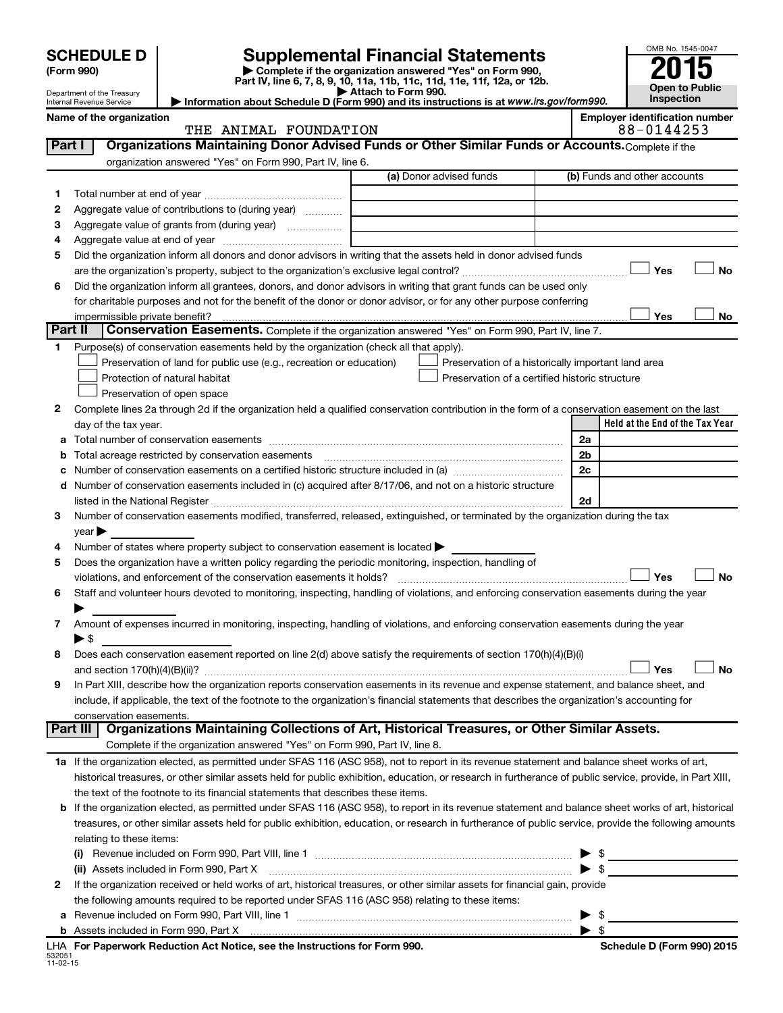|         | <b>SCHEDULE D</b><br>(Form 990)<br>Department of the Treasury |                                                                                                        | OMB No. 1545-0047<br>Open to Public                                                                                                                       |                         |                                 |
|---------|---------------------------------------------------------------|--------------------------------------------------------------------------------------------------------|-----------------------------------------------------------------------------------------------------------------------------------------------------------|-------------------------|---------------------------------|
|         | Internal Revenue Service                                      |                                                                                                        | Attach to Form 990.<br>Information about Schedule D (Form 990) and its instructions is at www.irs.gov/form990.                                            |                         | Inspection                      |
|         | Name of the organization                                      |                                                                                                        | <b>Employer identification number</b><br>88-0144253                                                                                                       |                         |                                 |
|         | Part I                                                        | THE ANIMAL FOUNDATION                                                                                  | Organizations Maintaining Donor Advised Funds or Other Similar Funds or Accounts. Complete if the                                                         |                         |                                 |
|         |                                                               | organization answered "Yes" on Form 990, Part IV, line 6.                                              |                                                                                                                                                           |                         |                                 |
|         |                                                               |                                                                                                        | (a) Donor advised funds                                                                                                                                   |                         | (b) Funds and other accounts    |
|         |                                                               |                                                                                                        |                                                                                                                                                           |                         |                                 |
| 1       |                                                               |                                                                                                        |                                                                                                                                                           |                         |                                 |
| 2       |                                                               | Aggregate value of contributions to (during year)                                                      |                                                                                                                                                           |                         |                                 |
| з       |                                                               |                                                                                                        | the control of the control of the control of the control of                                                                                               |                         |                                 |
| 4       |                                                               |                                                                                                        |                                                                                                                                                           |                         |                                 |
| 5       |                                                               |                                                                                                        | Did the organization inform all donors and donor advisors in writing that the assets held in donor advised funds                                          |                         |                                 |
|         |                                                               |                                                                                                        |                                                                                                                                                           |                         | No<br>Yes                       |
| 6       |                                                               |                                                                                                        | Did the organization inform all grantees, donors, and donor advisors in writing that grant funds can be used only                                         |                         |                                 |
|         |                                                               |                                                                                                        | for charitable purposes and not for the benefit of the donor or donor advisor, or for any other purpose conferring                                        |                         |                                 |
|         | impermissible private benefit?                                |                                                                                                        |                                                                                                                                                           |                         | Yes<br>No                       |
| Part II |                                                               |                                                                                                        | Conservation Easements. Complete if the organization answered "Yes" on Form 990, Part IV, line 7.                                                         |                         |                                 |
| 1       |                                                               | Purpose(s) of conservation easements held by the organization (check all that apply).                  |                                                                                                                                                           |                         |                                 |
|         |                                                               | Preservation of land for public use (e.g., recreation or education)                                    | Preservation of a historically important land area                                                                                                        |                         |                                 |
|         |                                                               | Protection of natural habitat                                                                          | Preservation of a certified historic structure                                                                                                            |                         |                                 |
|         |                                                               | Preservation of open space                                                                             |                                                                                                                                                           |                         |                                 |
| 2       |                                                               |                                                                                                        | Complete lines 2a through 2d if the organization held a qualified conservation contribution in the form of a conservation easement on the last            |                         |                                 |
|         |                                                               |                                                                                                        |                                                                                                                                                           |                         | Held at the End of the Tax Year |
|         | day of the tax year.                                          |                                                                                                        |                                                                                                                                                           |                         |                                 |
|         |                                                               |                                                                                                        |                                                                                                                                                           | 2a                      |                                 |
| b       |                                                               |                                                                                                        |                                                                                                                                                           | 2 <sub>b</sub>          |                                 |
| с       |                                                               |                                                                                                        |                                                                                                                                                           | 2c                      |                                 |
| d       |                                                               |                                                                                                        | Number of conservation easements included in (c) acquired after 8/17/06, and not on a historic structure                                                  |                         |                                 |
|         |                                                               |                                                                                                        |                                                                                                                                                           | 2d                      |                                 |
| 3       |                                                               |                                                                                                        | Number of conservation easements modified, transferred, released, extinguished, or terminated by the organization during the tax                          |                         |                                 |
|         | $\vee$ ear $\blacktriangleright$                              |                                                                                                        |                                                                                                                                                           |                         |                                 |
| 4       |                                                               | Number of states where property subject to conservation easement is located $\blacktriangleright$      |                                                                                                                                                           |                         |                                 |
| 5       |                                                               | Does the organization have a written policy regarding the periodic monitoring, inspection, handling of |                                                                                                                                                           |                         |                                 |
|         |                                                               | violations, and enforcement of the conservation easements it holds?                                    |                                                                                                                                                           |                         | No<br>Yes                       |
| 6       |                                                               |                                                                                                        | Staff and volunteer hours devoted to monitoring, inspecting, handling of violations, and enforcing conservation easements during the year                 |                         |                                 |
|         |                                                               |                                                                                                        |                                                                                                                                                           |                         |                                 |
| 7       |                                                               |                                                                                                        | Amount of expenses incurred in monitoring, inspecting, handling of violations, and enforcing conservation easements during the year                       |                         |                                 |
|         | $\blacktriangleright$ \$                                      |                                                                                                        |                                                                                                                                                           |                         |                                 |
| 8       |                                                               |                                                                                                        | Does each conservation easement reported on line 2(d) above satisfy the requirements of section 170(h)(4)(B)(i)                                           |                         |                                 |
|         |                                                               |                                                                                                        |                                                                                                                                                           |                         | Yes<br>No                       |
| 9       |                                                               |                                                                                                        | In Part XIII, describe how the organization reports conservation easements in its revenue and expense statement, and balance sheet, and                   |                         |                                 |
|         |                                                               |                                                                                                        |                                                                                                                                                           |                         |                                 |
|         |                                                               |                                                                                                        | include, if applicable, the text of the footnote to the organization's financial statements that describes the organization's accounting for              |                         |                                 |
|         | conservation easements.<br>Part III                           |                                                                                                        | Organizations Maintaining Collections of Art, Historical Treasures, or Other Similar Assets.                                                              |                         |                                 |
|         |                                                               |                                                                                                        |                                                                                                                                                           |                         |                                 |
|         |                                                               | Complete if the organization answered "Yes" on Form 990, Part IV, line 8.                              |                                                                                                                                                           |                         |                                 |
|         |                                                               |                                                                                                        | 1a If the organization elected, as permitted under SFAS 116 (ASC 958), not to report in its revenue statement and balance sheet works of art,             |                         |                                 |
|         |                                                               |                                                                                                        | historical treasures, or other similar assets held for public exhibition, education, or research in furtherance of public service, provide, in Part XIII, |                         |                                 |
|         |                                                               | the text of the footnote to its financial statements that describes these items.                       |                                                                                                                                                           |                         |                                 |
| b       |                                                               |                                                                                                        | If the organization elected, as permitted under SFAS 116 (ASC 958), to report in its revenue statement and balance sheet works of art, historical         |                         |                                 |
|         |                                                               |                                                                                                        | treasures, or other similar assets held for public exhibition, education, or research in furtherance of public service, provide the following amounts     |                         |                                 |
|         | relating to these items:                                      |                                                                                                        |                                                                                                                                                           |                         |                                 |
|         |                                                               |                                                                                                        |                                                                                                                                                           |                         | $\frac{1}{2}$                   |
|         |                                                               | (ii) Assets included in Form 990, Part X                                                               |                                                                                                                                                           |                         | $\blacktriangleright$ \$        |
| 2       |                                                               |                                                                                                        | If the organization received or held works of art, historical treasures, or other similar assets for financial gain, provide                              |                         |                                 |
|         |                                                               | the following amounts required to be reported under SFAS 116 (ASC 958) relating to these items:        |                                                                                                                                                           |                         |                                 |
|         |                                                               |                                                                                                        |                                                                                                                                                           | - \$                    |                                 |
|         |                                                               |                                                                                                        |                                                                                                                                                           | $\blacktriangleright$ s |                                 |
|         |                                                               |                                                                                                        |                                                                                                                                                           |                         |                                 |

532051 11-02-15 **For Paperwork Reduction Act Notice, see the Instructions for Form 990. Schedule D (Form 990) 2015** LHA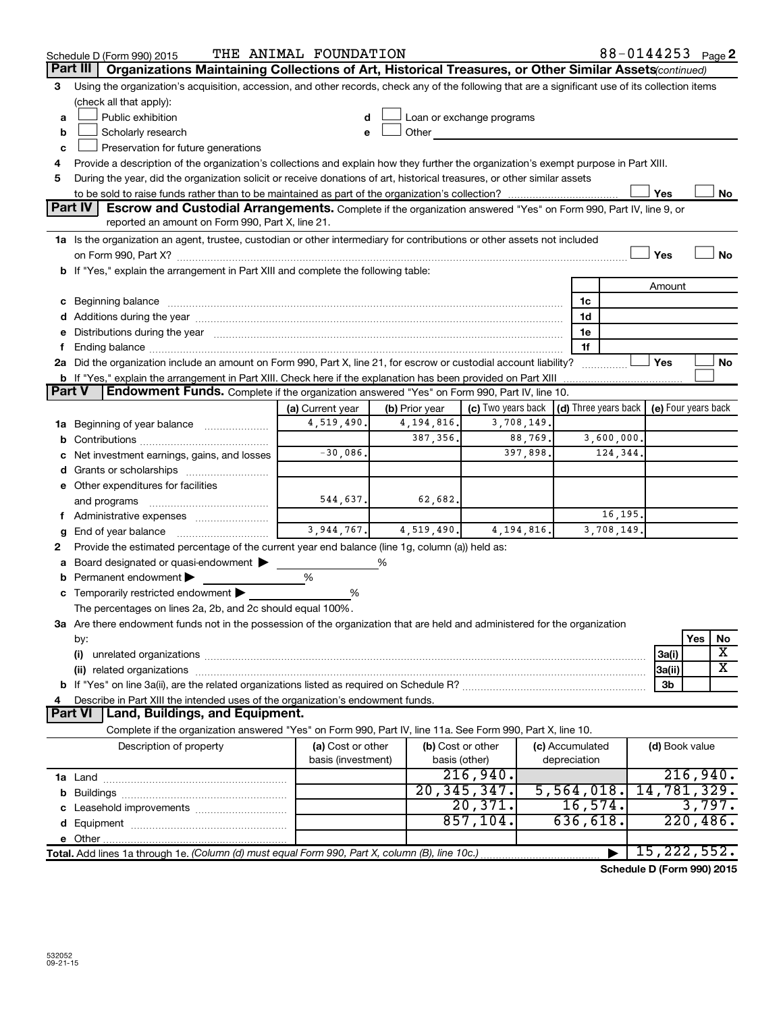|        | Schedule D (Form 990) 2015                                                                                                                                                                                                     | THE ANIMAL FOUNDATION |                |                           |                                                          | 88-0144253 Page 2 |                |
|--------|--------------------------------------------------------------------------------------------------------------------------------------------------------------------------------------------------------------------------------|-----------------------|----------------|---------------------------|----------------------------------------------------------|-------------------|----------------|
|        | Part III<br>Organizations Maintaining Collections of Art, Historical Treasures, or Other Similar Assets(continued)                                                                                                             |                       |                |                           |                                                          |                   |                |
| З      | Using the organization's acquisition, accession, and other records, check any of the following that are a significant use of its collection items                                                                              |                       |                |                           |                                                          |                   |                |
|        | (check all that apply):                                                                                                                                                                                                        |                       |                |                           |                                                          |                   |                |
| a      | Public exhibition                                                                                                                                                                                                              |                       |                | Loan or exchange programs |                                                          |                   |                |
| b      | Scholarly research                                                                                                                                                                                                             | e                     | Other          |                           |                                                          |                   |                |
| c      | Preservation for future generations                                                                                                                                                                                            |                       |                |                           |                                                          |                   |                |
| 4      | Provide a description of the organization's collections and explain how they further the organization's exempt purpose in Part XIII.                                                                                           |                       |                |                           |                                                          |                   |                |
| 5      | During the year, did the organization solicit or receive donations of art, historical treasures, or other similar assets                                                                                                       |                       |                |                           |                                                          |                   |                |
|        |                                                                                                                                                                                                                                |                       |                |                           |                                                          | Yes               | No             |
|        | <b>Part IV</b><br>Escrow and Custodial Arrangements. Complete if the organization answered "Yes" on Form 990, Part IV, line 9, or                                                                                              |                       |                |                           |                                                          |                   |                |
|        | reported an amount on Form 990, Part X, line 21.                                                                                                                                                                               |                       |                |                           |                                                          |                   |                |
|        | 1a Is the organization an agent, trustee, custodian or other intermediary for contributions or other assets not included                                                                                                       |                       |                |                           |                                                          |                   |                |
|        |                                                                                                                                                                                                                                |                       |                |                           |                                                          | Yes               | No             |
|        | b If "Yes," explain the arrangement in Part XIII and complete the following table:                                                                                                                                             |                       |                |                           |                                                          |                   |                |
|        |                                                                                                                                                                                                                                |                       |                |                           |                                                          | Amount            |                |
|        | c Beginning balance measurements and the contract of the contract of the contract of the contract of the contract of the contract of the contract of the contract of the contract of the contract of the contract of the contr |                       |                |                           | 1c                                                       |                   |                |
|        |                                                                                                                                                                                                                                |                       |                |                           | 1d                                                       |                   |                |
|        | e Distributions during the year manufactured and continuum and contact the year manufactured and contact the year manufactured and contact the year manufactured and contact the year manufactured and contact the year manufa |                       |                |                           | 1e                                                       |                   |                |
|        |                                                                                                                                                                                                                                |                       |                |                           | 1f                                                       |                   |                |
|        | 2a Did the organization include an amount on Form 990, Part X, line 21, for escrow or custodial account liability?                                                                                                             |                       |                |                           |                                                          | Yes               | No             |
| Part V | b If "Yes," explain the arrangement in Part XIII. Check here if the explanation has been provided on Part XIII<br>Endowment Funds. Complete if the organization answered "Yes" on Form 990, Part IV, line 10.                  |                       |                |                           |                                                          |                   |                |
|        |                                                                                                                                                                                                                                | (a) Current year      | (b) Prior year | (c) Two years back        | $\vert$ (d) Three years back $\vert$ (e) Four years back |                   |                |
|        | <b>1a</b> Beginning of year balance                                                                                                                                                                                            | 4,519,490.            | 4, 194, 816.   | 3,708,149.                |                                                          |                   |                |
|        |                                                                                                                                                                                                                                |                       | 387, 356.      | 88,769.                   | 3,600,000.                                               |                   |                |
|        | Net investment earnings, gains, and losses                                                                                                                                                                                     | $-30,086$ .           |                | 397,898.                  | 124,344.                                                 |                   |                |
|        |                                                                                                                                                                                                                                |                       |                |                           |                                                          |                   |                |
|        | e Other expenditures for facilities                                                                                                                                                                                            |                       |                |                           |                                                          |                   |                |
|        | and programs                                                                                                                                                                                                                   | 544,637.              | 62,682.        |                           |                                                          |                   |                |
|        |                                                                                                                                                                                                                                |                       |                |                           | 16,195.                                                  |                   |                |
|        | End of year balance                                                                                                                                                                                                            | 3,944,767.            | 4,519,490.     | 4, 194, 816.              | 3,708,149.                                               |                   |                |
| 2      | Provide the estimated percentage of the current year end balance (line 1g, column (a)) held as:                                                                                                                                |                       |                |                           |                                                          |                   |                |
|        | Board designated or quasi-endowment                                                                                                                                                                                            |                       | %              |                           |                                                          |                   |                |
| b      | Permanent endowment                                                                                                                                                                                                            | %                     |                |                           |                                                          |                   |                |
|        | <b>c</b> Temporarily restricted endowment $\blacktriangleright$                                                                                                                                                                | %                     |                |                           |                                                          |                   |                |
|        | The percentages on lines 2a, 2b, and 2c should equal 100%.                                                                                                                                                                     |                       |                |                           |                                                          |                   |                |
|        | 3a Are there endowment funds not in the possession of the organization that are held and administered for the organization                                                                                                     |                       |                |                           |                                                          |                   |                |
|        | by:                                                                                                                                                                                                                            |                       |                |                           |                                                          |                   | Yes<br>No      |
|        | (i)                                                                                                                                                                                                                            |                       |                |                           |                                                          | 3a(i)             | х              |
|        | (ii) related organizations                                                                                                                                                                                                     |                       |                |                           |                                                          | 3a(ii)            | х              |
|        |                                                                                                                                                                                                                                |                       |                |                           |                                                          | 3b                |                |
|        | Describe in Part XIII the intended uses of the organization's endowment funds.                                                                                                                                                 |                       |                |                           |                                                          |                   |                |
|        | Land, Buildings, and Equipment.<br>Part VI                                                                                                                                                                                     |                       |                |                           |                                                          |                   |                |
|        | Complete if the organization answered "Yes" on Form 990, Part IV, line 11a. See Form 990, Part X, line 10.                                                                                                                     |                       |                |                           |                                                          |                   |                |
|        | Description of property                                                                                                                                                                                                        | (a) Cost or other     |                | (b) Cost or other         | (c) Accumulated                                          |                   | (d) Book value |
|        |                                                                                                                                                                                                                                | basis (investment)    |                | basis (other)             | depreciation                                             |                   |                |
|        |                                                                                                                                                                                                                                |                       |                | 216,940.                  |                                                          |                   | 216,940.       |
|        |                                                                                                                                                                                                                                |                       |                | 20, 345, 347.             | 5,564,018.                                               |                   | 14,781,329.    |
|        |                                                                                                                                                                                                                                |                       |                | 20,371.                   | 16,574.                                                  |                   | 3,797.         |
|        |                                                                                                                                                                                                                                |                       |                | 857,104.                  | 636,618.                                                 |                   | 220,486.       |
|        |                                                                                                                                                                                                                                |                       |                |                           |                                                          |                   |                |
|        | Total. Add lines 1a through 1e. (Column (d) must equal Form 990, Part X, column (B), line 10c.)                                                                                                                                |                       |                |                           |                                                          |                   | 15, 222, 552.  |

**Schedule D (Form 990) 2015**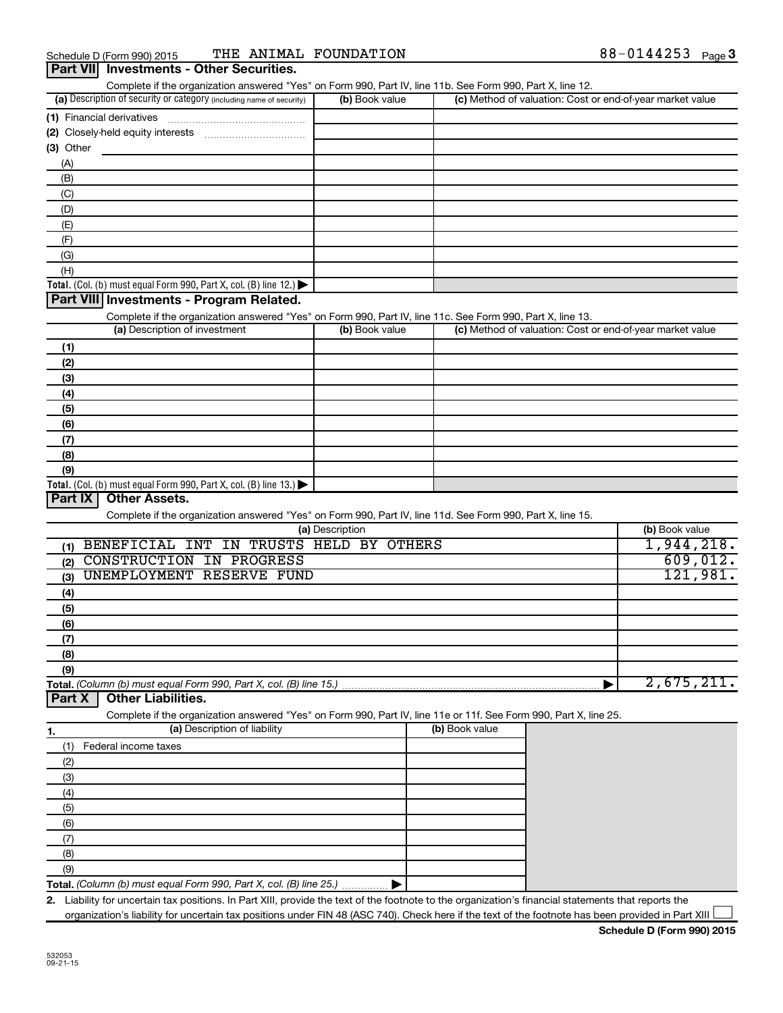| (a) Description of security or category <i>(including name of security)</i>                                                                                                               | (b) Book value  | Complete if the organization answered "Yes" on Form 990, Part IV, line 11b. See Form 990, Part X, line 12. | (c) Method of valuation: Cost or end-of-year market value |                                                  |
|-------------------------------------------------------------------------------------------------------------------------------------------------------------------------------------------|-----------------|------------------------------------------------------------------------------------------------------------|-----------------------------------------------------------|--------------------------------------------------|
|                                                                                                                                                                                           |                 |                                                                                                            |                                                           |                                                  |
|                                                                                                                                                                                           |                 |                                                                                                            |                                                           |                                                  |
|                                                                                                                                                                                           |                 |                                                                                                            |                                                           |                                                  |
| $(3)$ Other                                                                                                                                                                               |                 |                                                                                                            |                                                           |                                                  |
| (A)                                                                                                                                                                                       |                 |                                                                                                            |                                                           |                                                  |
| (B)                                                                                                                                                                                       |                 |                                                                                                            |                                                           |                                                  |
| (C)                                                                                                                                                                                       |                 |                                                                                                            |                                                           |                                                  |
| (D)                                                                                                                                                                                       |                 |                                                                                                            |                                                           |                                                  |
| (E)                                                                                                                                                                                       |                 |                                                                                                            |                                                           |                                                  |
| (F)                                                                                                                                                                                       |                 |                                                                                                            |                                                           |                                                  |
| (G)                                                                                                                                                                                       |                 |                                                                                                            |                                                           |                                                  |
| (H)                                                                                                                                                                                       |                 |                                                                                                            |                                                           |                                                  |
| Total. (Col. (b) must equal Form 990, Part X, col. (B) line 12.)                                                                                                                          |                 |                                                                                                            |                                                           |                                                  |
| Part VIII Investments - Program Related.                                                                                                                                                  |                 |                                                                                                            |                                                           |                                                  |
| Complete if the organization answered "Yes" on Form 990, Part IV, line 11c. See Form 990, Part X, line 13.                                                                                |                 |                                                                                                            |                                                           |                                                  |
| (a) Description of investment                                                                                                                                                             | (b) Book value  |                                                                                                            | (c) Method of valuation: Cost or end-of-year market value |                                                  |
|                                                                                                                                                                                           |                 |                                                                                                            |                                                           |                                                  |
| (1)                                                                                                                                                                                       |                 |                                                                                                            |                                                           |                                                  |
| (2)                                                                                                                                                                                       |                 |                                                                                                            |                                                           |                                                  |
| (3)                                                                                                                                                                                       |                 |                                                                                                            |                                                           |                                                  |
| (4)                                                                                                                                                                                       |                 |                                                                                                            |                                                           |                                                  |
| (5)                                                                                                                                                                                       |                 |                                                                                                            |                                                           |                                                  |
| (6)                                                                                                                                                                                       |                 |                                                                                                            |                                                           |                                                  |
| (7)                                                                                                                                                                                       |                 |                                                                                                            |                                                           |                                                  |
| (8)                                                                                                                                                                                       |                 |                                                                                                            |                                                           |                                                  |
| (9)                                                                                                                                                                                       |                 |                                                                                                            |                                                           |                                                  |
|                                                                                                                                                                                           |                 |                                                                                                            |                                                           |                                                  |
| <b>Other Assets.</b>                                                                                                                                                                      |                 |                                                                                                            |                                                           |                                                  |
| Total. (Col. (b) must equal Form 990, Part X, col. (B) line 13.)<br>Part IX<br>Complete if the organization answered "Yes" on Form 990, Part IV, line 11d. See Form 990, Part X, line 15. | (a) Description |                                                                                                            |                                                           | (b) Book value                                   |
| BENEFICIAL INT IN TRUSTS HELD BY OTHERS<br>(1)                                                                                                                                            |                 |                                                                                                            |                                                           |                                                  |
| <b>CONSTRUCTION IN PROGRESS</b><br>(2)                                                                                                                                                    |                 |                                                                                                            |                                                           |                                                  |
| UNEMPLOYMENT RESERVE FUND<br>(3)                                                                                                                                                          |                 |                                                                                                            |                                                           |                                                  |
|                                                                                                                                                                                           |                 |                                                                                                            |                                                           |                                                  |
| (4)                                                                                                                                                                                       |                 |                                                                                                            |                                                           |                                                  |
| (5)                                                                                                                                                                                       |                 |                                                                                                            |                                                           |                                                  |
| (6)                                                                                                                                                                                       |                 |                                                                                                            |                                                           |                                                  |
| (7)                                                                                                                                                                                       |                 |                                                                                                            |                                                           |                                                  |
| (8)                                                                                                                                                                                       |                 |                                                                                                            |                                                           |                                                  |
| (9)                                                                                                                                                                                       |                 |                                                                                                            |                                                           |                                                  |
|                                                                                                                                                                                           |                 |                                                                                                            |                                                           |                                                  |
| <b>Other Liabilities.</b>                                                                                                                                                                 |                 |                                                                                                            |                                                           |                                                  |
| Complete if the organization answered "Yes" on Form 990, Part IV, line 11e or 11f. See Form 990, Part X, line 25.                                                                         |                 |                                                                                                            |                                                           |                                                  |
| (a) Description of liability                                                                                                                                                              |                 | (b) Book value                                                                                             |                                                           |                                                  |
| Federal income taxes<br>(1)                                                                                                                                                               |                 |                                                                                                            |                                                           |                                                  |
| (2)                                                                                                                                                                                       |                 |                                                                                                            |                                                           |                                                  |
| (3)                                                                                                                                                                                       |                 |                                                                                                            |                                                           |                                                  |
|                                                                                                                                                                                           |                 |                                                                                                            |                                                           |                                                  |
| (4)                                                                                                                                                                                       |                 |                                                                                                            |                                                           |                                                  |
| (5)                                                                                                                                                                                       |                 |                                                                                                            |                                                           |                                                  |
| (6)                                                                                                                                                                                       |                 |                                                                                                            |                                                           |                                                  |
| Total. (Column (b) must equal Form 990, Part X, col. (B) line 15.).<br>Part X<br>1.<br>(7)                                                                                                |                 |                                                                                                            |                                                           |                                                  |
| (8)                                                                                                                                                                                       |                 |                                                                                                            |                                                           |                                                  |
| (9)<br>Total. (Column (b) must equal Form 990, Part X, col. (B) line 25.)                                                                                                                 |                 |                                                                                                            |                                                           | 1,944,218.<br>609,012.<br>121,981.<br>2,675,211. |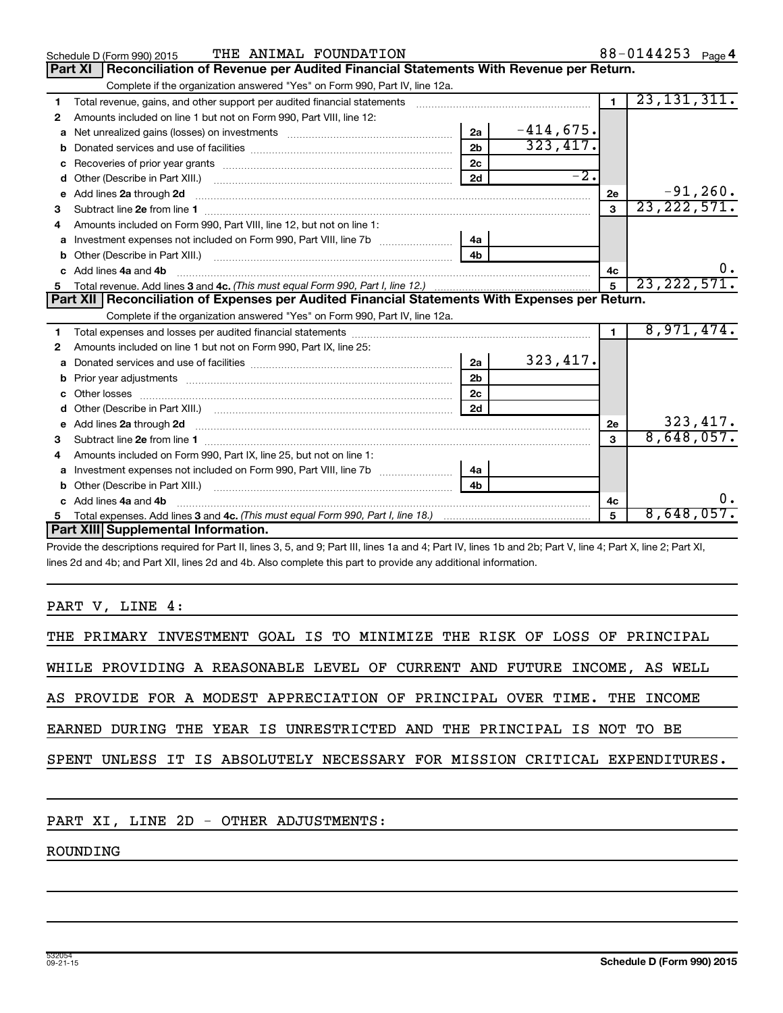|    | THE ANIMAL FOUNDATION<br>Schedule D (Form 990) 2015                                                                                                         |                |                   |                 | 88-0144253 Page 4 |
|----|-------------------------------------------------------------------------------------------------------------------------------------------------------------|----------------|-------------------|-----------------|-------------------|
|    | Reconciliation of Revenue per Audited Financial Statements With Revenue per Return.<br>Part XI                                                              |                |                   |                 |                   |
|    | Complete if the organization answered "Yes" on Form 990, Part IV, line 12a.                                                                                 |                |                   |                 |                   |
| 1  | Total revenue, gains, and other support per audited financial statements [11] [11] Total revenue, gains, and other support per audited financial statements |                |                   | $\blacksquare$  | 23, 131, 311.     |
| 2  | Amounts included on line 1 but not on Form 990, Part VIII, line 12:                                                                                         |                |                   |                 |                   |
| a  |                                                                                                                                                             | 2a             | $-414,675.$       |                 |                   |
| b  |                                                                                                                                                             | 2 <sub>b</sub> | 323,417.          |                 |                   |
|    |                                                                                                                                                             | 2c             |                   |                 |                   |
| d  |                                                                                                                                                             | 2d             | $\overline{-2}$ . |                 |                   |
| е  | Add lines 2a through 2d                                                                                                                                     |                |                   | 2e              | $-91, 260.$       |
| з  |                                                                                                                                                             |                |                   | 3               | 23, 222, 571.     |
|    | Amounts included on Form 990, Part VIII, line 12, but not on line 1:                                                                                        |                |                   |                 |                   |
| a  |                                                                                                                                                             | l 4a           |                   |                 |                   |
| b  |                                                                                                                                                             | 4 <sub>h</sub> |                   |                 |                   |
| c. | Add lines 4a and 4b                                                                                                                                         |                |                   | 4c              |                   |
|    |                                                                                                                                                             |                |                   | $5\overline{5}$ | 23, 222, 571.     |
| 5  |                                                                                                                                                             |                |                   |                 |                   |
|    | Part XII   Reconciliation of Expenses per Audited Financial Statements With Expenses per Return.                                                            |                |                   |                 |                   |
|    | Complete if the organization answered "Yes" on Form 990, Part IV, line 12a.                                                                                 |                |                   |                 |                   |
| 1  |                                                                                                                                                             |                |                   | $\blacksquare$  | 8,971,474.        |
| 2  | Amounts included on line 1 but not on Form 990, Part IX, line 25:                                                                                           |                |                   |                 |                   |
| a  |                                                                                                                                                             | 2a             | 323, 417.         |                 |                   |
|    |                                                                                                                                                             | 2 <sub>b</sub> |                   |                 |                   |
|    |                                                                                                                                                             | 2 <sub>c</sub> |                   |                 |                   |
| d  |                                                                                                                                                             | 2d             |                   |                 |                   |
|    | Add lines 2a through 2d <b>[10]</b> [10] <b>Adding the Second Lines</b> 2a through 2d <b>[10] html</b>                                                      |                |                   | 2e              | 323, 417.         |
| з  |                                                                                                                                                             |                |                   | 3               | 8,648,057.        |
| 4  | Amounts included on Form 990, Part IX, line 25, but not on line 1:                                                                                          |                |                   |                 |                   |
| a  |                                                                                                                                                             | 4а             |                   |                 |                   |
| b  |                                                                                                                                                             | 4h             |                   |                 |                   |
|    | c Add lines 4a and 4b                                                                                                                                       |                |                   | 4c              |                   |
|    | Part XIII Supplemental Information.                                                                                                                         |                |                   | 5               | 8,648,057.        |

Provide the descriptions required for Part II, lines 3, 5, and 9; Part III, lines 1a and 4; Part IV, lines 1b and 2b; Part V, line 4; Part X, line 2; Part XI, lines 2d and 4b; and Part XII, lines 2d and 4b. Also complete this part to provide any additional information.

PART V, LINE 4:

|  | THE PRIMARY INVESTMENT GOAL IS TO MINIMIZE THE RISK OF LOSS OF PRINCIPAL |  |  |  |  |                                                                            |
|--|--------------------------------------------------------------------------|--|--|--|--|----------------------------------------------------------------------------|
|  | WHILE PROVIDING A REASONABLE LEVEL OF CURRENT AND FUTURE INCOME, AS WELL |  |  |  |  |                                                                            |
|  | AS PROVIDE FOR A MODEST APPRECIATION OF PRINCIPAL OVER TIME. THE INCOME  |  |  |  |  |                                                                            |
|  | EARNED DURING THE YEAR IS UNRESTRICTED AND THE PRINCIPAL IS NOT TO BE    |  |  |  |  |                                                                            |
|  |                                                                          |  |  |  |  | SPENT UNLESS IT IS ABSOLUTELY NECESSARY FOR MISSION CRITICAL EXPENDITURES. |
|  |                                                                          |  |  |  |  |                                                                            |

PART XI, LINE 2D - OTHER ADJUSTMENTS:

ROUNDING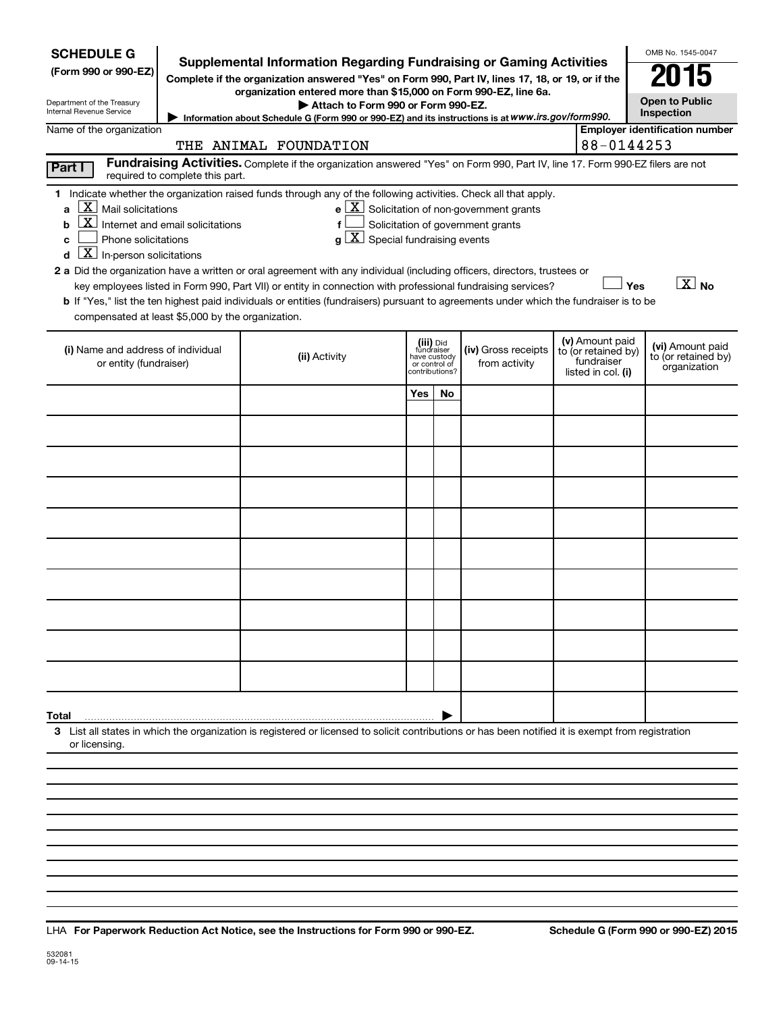| <b>SCHEDULE G</b><br>Supplemental Information Regarding Fundraising or Gaming Activities<br>(Form 990 or 990-EZ)<br>Complete if the organization answered "Yes" on Form 990, Part IV, lines 17, 18, or 19, or if the<br>organization entered more than \$15,000 on Form 990-EZ, line 6a.<br>Department of the Treasury<br>Internal Revenue Service<br>Information about Schedule G (Form 990 or 990-EZ) and its instructions is at WWW.irs.gov/form990.                                                                                                                                                                                                                                                                                                                                                                                                                                                                     |               | OMB No. 1545-0047<br>015<br><b>Open to Public</b><br>Inspection |                                           |                                      |  |                                                                            |                                                         |  |  |  |  |  |
|-----------------------------------------------------------------------------------------------------------------------------------------------------------------------------------------------------------------------------------------------------------------------------------------------------------------------------------------------------------------------------------------------------------------------------------------------------------------------------------------------------------------------------------------------------------------------------------------------------------------------------------------------------------------------------------------------------------------------------------------------------------------------------------------------------------------------------------------------------------------------------------------------------------------------------|---------------|-----------------------------------------------------------------|-------------------------------------------|--------------------------------------|--|----------------------------------------------------------------------------|---------------------------------------------------------|--|--|--|--|--|
| <b>Employer identification number</b><br>Name of the organization<br>88-0144253<br>THE ANIMAL FOUNDATION                                                                                                                                                                                                                                                                                                                                                                                                                                                                                                                                                                                                                                                                                                                                                                                                                    |               |                                                                 |                                           |                                      |  |                                                                            |                                                         |  |  |  |  |  |
| Fundraising Activities. Complete if the organization answered "Yes" on Form 990, Part IV, line 17. Form 990-EZ filers are not<br>Part I<br>required to complete this part.                                                                                                                                                                                                                                                                                                                                                                                                                                                                                                                                                                                                                                                                                                                                                  |               |                                                                 |                                           |                                      |  |                                                                            |                                                         |  |  |  |  |  |
| 1 Indicate whether the organization raised funds through any of the following activities. Check all that apply.<br>$\mathbf{X}$<br>Mail solicitations<br>$e$ $\boxed{X}$ Solicitation of non-government grants<br>a<br>Internet and email solicitations<br>Solicitation of government grants<br>f<br>b<br>$g\left[\overline{X}\right]$ Special fundraising events<br>Phone solicitations<br>с<br>$\overline{\mathbf{X}}$ In-person solicitations<br>2 a Did the organization have a written or oral agreement with any individual (including officers, directors, trustees or<br>$\boxed{\text{X}}$ No<br>Yes<br>key employees listed in Form 990, Part VII) or entity in connection with professional fundraising services?<br>b If "Yes," list the ten highest paid individuals or entities (fundraisers) pursuant to agreements under which the fundraiser is to be<br>compensated at least \$5,000 by the organization. |               |                                                                 |                                           |                                      |  |                                                                            |                                                         |  |  |  |  |  |
| (i) Name and address of individual<br>or entity (fundraiser)                                                                                                                                                                                                                                                                                                                                                                                                                                                                                                                                                                                                                                                                                                                                                                                                                                                                | (ii) Activity | have custody<br>or control of                                   | (iii) Did<br>fundraiser<br>contributions? | (iv) Gross receipts<br>from activity |  | (v) Amount paid<br>to (or retained by)<br>fundraiser<br>listed in col. (i) | (vi) Amount paid<br>to (or retained by)<br>organization |  |  |  |  |  |
|                                                                                                                                                                                                                                                                                                                                                                                                                                                                                                                                                                                                                                                                                                                                                                                                                                                                                                                             |               | <b>Yes</b>                                                      | No                                        |                                      |  |                                                                            |                                                         |  |  |  |  |  |
|                                                                                                                                                                                                                                                                                                                                                                                                                                                                                                                                                                                                                                                                                                                                                                                                                                                                                                                             |               |                                                                 |                                           |                                      |  |                                                                            |                                                         |  |  |  |  |  |
|                                                                                                                                                                                                                                                                                                                                                                                                                                                                                                                                                                                                                                                                                                                                                                                                                                                                                                                             |               |                                                                 |                                           |                                      |  |                                                                            |                                                         |  |  |  |  |  |
|                                                                                                                                                                                                                                                                                                                                                                                                                                                                                                                                                                                                                                                                                                                                                                                                                                                                                                                             |               |                                                                 |                                           |                                      |  |                                                                            |                                                         |  |  |  |  |  |
|                                                                                                                                                                                                                                                                                                                                                                                                                                                                                                                                                                                                                                                                                                                                                                                                                                                                                                                             |               |                                                                 |                                           |                                      |  |                                                                            |                                                         |  |  |  |  |  |
|                                                                                                                                                                                                                                                                                                                                                                                                                                                                                                                                                                                                                                                                                                                                                                                                                                                                                                                             |               |                                                                 |                                           |                                      |  |                                                                            |                                                         |  |  |  |  |  |
|                                                                                                                                                                                                                                                                                                                                                                                                                                                                                                                                                                                                                                                                                                                                                                                                                                                                                                                             |               |                                                                 |                                           |                                      |  |                                                                            |                                                         |  |  |  |  |  |
|                                                                                                                                                                                                                                                                                                                                                                                                                                                                                                                                                                                                                                                                                                                                                                                                                                                                                                                             |               |                                                                 |                                           |                                      |  |                                                                            |                                                         |  |  |  |  |  |
|                                                                                                                                                                                                                                                                                                                                                                                                                                                                                                                                                                                                                                                                                                                                                                                                                                                                                                                             |               |                                                                 |                                           |                                      |  |                                                                            |                                                         |  |  |  |  |  |
|                                                                                                                                                                                                                                                                                                                                                                                                                                                                                                                                                                                                                                                                                                                                                                                                                                                                                                                             |               |                                                                 |                                           |                                      |  |                                                                            |                                                         |  |  |  |  |  |
| Total                                                                                                                                                                                                                                                                                                                                                                                                                                                                                                                                                                                                                                                                                                                                                                                                                                                                                                                       |               |                                                                 |                                           |                                      |  |                                                                            |                                                         |  |  |  |  |  |
| 3 List all states in which the organization is registered or licensed to solicit contributions or has been notified it is exempt from registration<br>or licensing.                                                                                                                                                                                                                                                                                                                                                                                                                                                                                                                                                                                                                                                                                                                                                         |               |                                                                 |                                           |                                      |  |                                                                            |                                                         |  |  |  |  |  |
|                                                                                                                                                                                                                                                                                                                                                                                                                                                                                                                                                                                                                                                                                                                                                                                                                                                                                                                             |               |                                                                 |                                           |                                      |  |                                                                            |                                                         |  |  |  |  |  |
|                                                                                                                                                                                                                                                                                                                                                                                                                                                                                                                                                                                                                                                                                                                                                                                                                                                                                                                             |               |                                                                 |                                           |                                      |  |                                                                            |                                                         |  |  |  |  |  |

**For Paperwork Reduction Act Notice, see the Instructions for Form 990 or 990-EZ. Schedule G (Form 990 or 990-EZ) 2015** LHA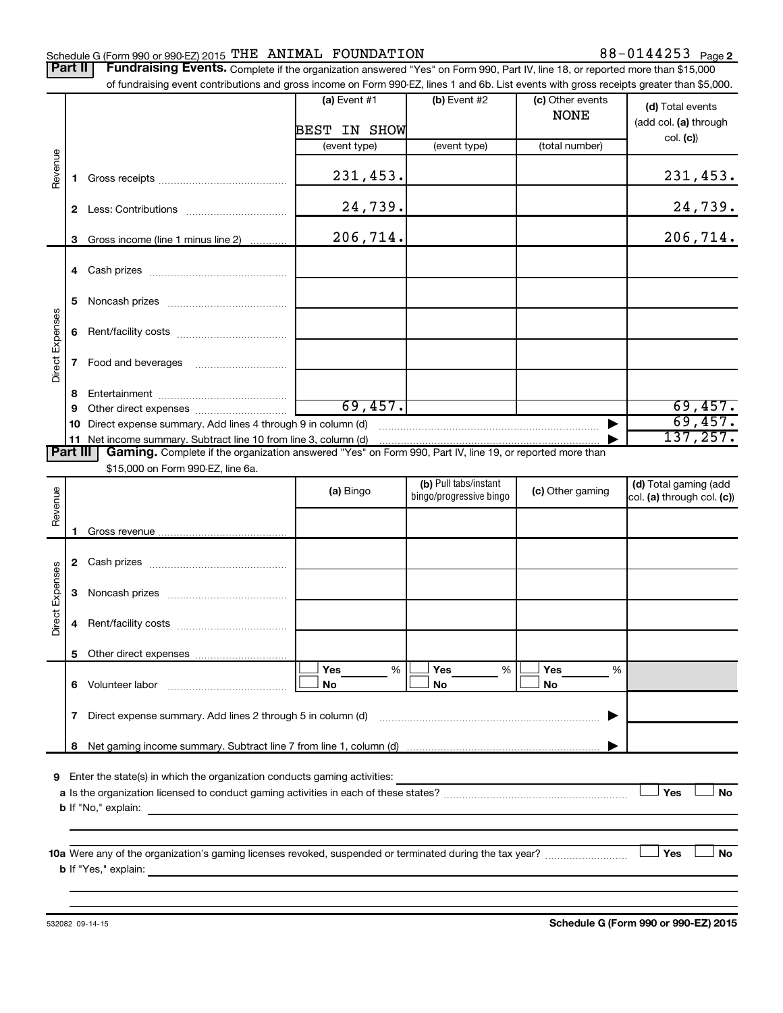#### Schedule G (Form 990 or 990-EZ) 2015  $\texttt{THE}$  ANIMAL FOUNDATION  $88-0144253$  Page

Part II | Fundraising Events. Complete if the organization answered "Yes" on Form 990, Part IV, line 18, or reported more than \$15,000 of fundraising event contributions and gross income on Form 990-EZ, lines 1 and 6b. List events with gross receipts greater than \$5,000.

|                        |              | or fundraising event contributions and gross income on Form 990-EZ, lines T and 6D. List events with gross receipts greater than \$5,000.                                   |                 |                         |                                 |                                           |
|------------------------|--------------|-----------------------------------------------------------------------------------------------------------------------------------------------------------------------------|-----------------|-------------------------|---------------------------------|-------------------------------------------|
|                        |              |                                                                                                                                                                             | (a) Event $#1$  | $(b)$ Event #2          | (c) Other events<br><b>NONE</b> | (d) Total events<br>(add col. (a) through |
|                        |              |                                                                                                                                                                             | BEST IN SHOW    |                         |                                 | col. (c)                                  |
|                        |              |                                                                                                                                                                             | (event type)    | (event type)            | (total number)                  |                                           |
| Revenue                | 1.           |                                                                                                                                                                             | 231,453.        |                         |                                 | 231,453.                                  |
|                        |              |                                                                                                                                                                             | 24,739.         |                         |                                 | 24,739.                                   |
|                        |              |                                                                                                                                                                             |                 |                         |                                 |                                           |
|                        | 3            | Gross income (line 1 minus line 2)                                                                                                                                          | 206,714.        |                         |                                 | 206,714.                                  |
|                        |              |                                                                                                                                                                             |                 |                         |                                 |                                           |
|                        | 5.           |                                                                                                                                                                             |                 |                         |                                 |                                           |
|                        |              |                                                                                                                                                                             |                 |                         |                                 |                                           |
|                        | 6            |                                                                                                                                                                             |                 |                         |                                 |                                           |
| Direct Expenses        | $\mathbf{7}$ | Food and beverages                                                                                                                                                          |                 |                         |                                 |                                           |
|                        |              |                                                                                                                                                                             |                 |                         |                                 |                                           |
|                        | 8            |                                                                                                                                                                             |                 |                         |                                 |                                           |
|                        | 9            |                                                                                                                                                                             | 69,457.         |                         |                                 | 69,457.                                   |
|                        | 10.          | Direct expense summary. Add lines 4 through 9 in column (d)                                                                                                                 |                 |                         |                                 | 69,457.<br>137, 257.                      |
| <b>Part III</b>        |              | 11 Net income summary. Subtract line 10 from line 3, column (d)<br>Gaming. Complete if the organization answered "Yes" on Form 990, Part IV, line 19, or reported more than |                 |                         |                                 |                                           |
|                        |              | \$15,000 on Form 990-EZ, line 6a.                                                                                                                                           |                 |                         |                                 |                                           |
|                        |              |                                                                                                                                                                             |                 | (b) Pull tabs/instant   |                                 | (d) Total gaming (add                     |
|                        |              |                                                                                                                                                                             | (a) Bingo       | bingo/progressive bingo | (c) Other gaming                | col. (a) through col. (c))                |
| Revenue                |              |                                                                                                                                                                             |                 |                         |                                 |                                           |
|                        | 1.           |                                                                                                                                                                             |                 |                         |                                 |                                           |
|                        |              |                                                                                                                                                                             |                 |                         |                                 |                                           |
|                        |              |                                                                                                                                                                             |                 |                         |                                 |                                           |
|                        |              |                                                                                                                                                                             |                 |                         |                                 |                                           |
|                        | 3            |                                                                                                                                                                             |                 |                         |                                 |                                           |
| <b>Direct Expenses</b> | 4            |                                                                                                                                                                             |                 |                         |                                 |                                           |
|                        |              |                                                                                                                                                                             |                 |                         |                                 |                                           |
|                        | 5.           |                                                                                                                                                                             | <b>Yes</b><br>% | Yes<br>%                | Yes<br>%                        |                                           |
|                        |              | 6 Volunteer labor                                                                                                                                                           | No              | No                      | No                              |                                           |
|                        | $\mathbf{7}$ | Direct expense summary. Add lines 2 through 5 in column (d)                                                                                                                 |                 |                         |                                 |                                           |
|                        |              |                                                                                                                                                                             |                 |                         |                                 |                                           |
|                        | 8            |                                                                                                                                                                             |                 |                         |                                 |                                           |
| 9                      |              | Enter the state(s) in which the organization conducts gaming activities:                                                                                                    |                 |                         |                                 |                                           |
|                        |              |                                                                                                                                                                             |                 |                         |                                 | Yes<br>No                                 |
|                        |              | <b>b</b> If "No," explain:                                                                                                                                                  |                 |                         |                                 |                                           |
|                        |              |                                                                                                                                                                             |                 |                         |                                 |                                           |
|                        |              |                                                                                                                                                                             |                 |                         |                                 |                                           |
|                        |              |                                                                                                                                                                             |                 |                         |                                 | Yes<br>No                                 |
|                        |              | <b>b</b> If "Yes," explain:<br><u> 1989 - Johann Johann Stoff, deutscher Stoffen und der Stoffen und der Stoffen und der Stoffen und der Stoffen</u>                        |                 |                         |                                 |                                           |
|                        |              |                                                                                                                                                                             |                 |                         |                                 |                                           |
|                        |              |                                                                                                                                                                             |                 |                         |                                 |                                           |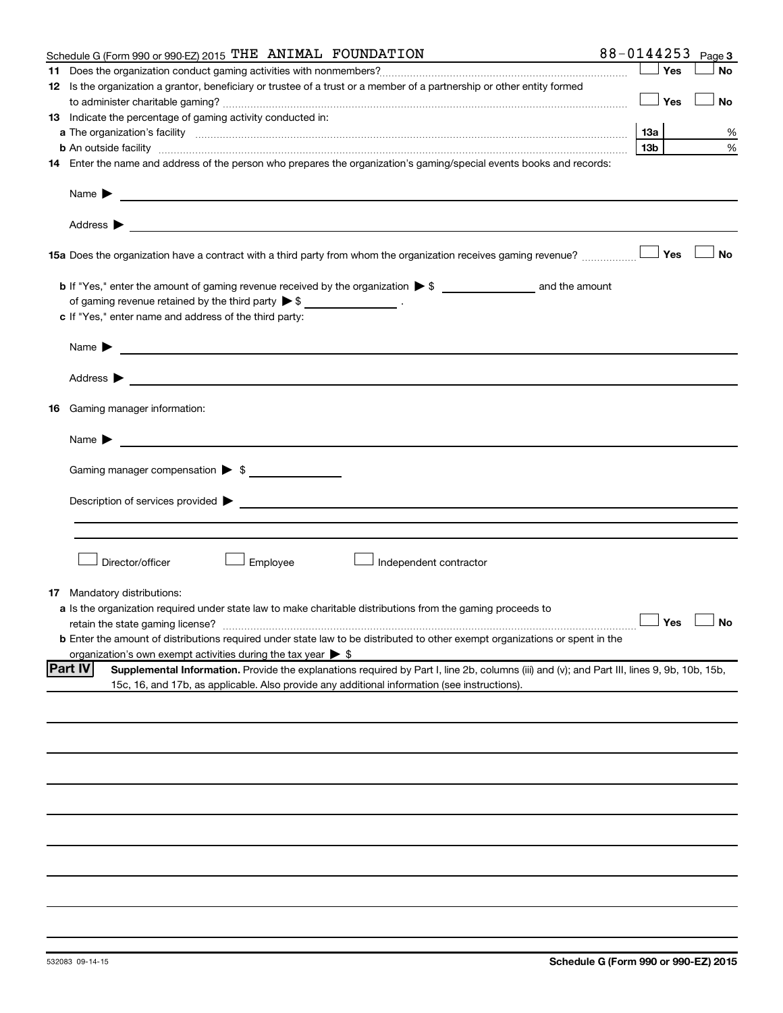|    | Schedule G (Form 990 or 990-EZ) 2015 THE ANIMAL FOUNDATION                                                                                                                                                                                | 88-0144253 |       | Page 3               |
|----|-------------------------------------------------------------------------------------------------------------------------------------------------------------------------------------------------------------------------------------------|------------|-------|----------------------|
|    |                                                                                                                                                                                                                                           |            | Yes   | <b>No</b>            |
|    | 12 Is the organization a grantor, beneficiary or trustee of a trust or a member of a partnership or other entity formed                                                                                                                   |            |       |                      |
|    |                                                                                                                                                                                                                                           |            | Yes   | No                   |
|    | 13 Indicate the percentage of gaming activity conducted in:                                                                                                                                                                               |            |       |                      |
|    |                                                                                                                                                                                                                                           |            |       | %                    |
|    | <b>b</b> An outside facility <i>www.communically.communically.communically.communically.communically.communically.communically.communically.communically.communically.communically.communically.communically.communically.communicall</i> |            | 13b l | %                    |
|    | 14 Enter the name and address of the person who prepares the organization's gaming/special events books and records:                                                                                                                      |            |       |                      |
|    |                                                                                                                                                                                                                                           |            |       |                      |
|    | Name $\blacktriangleright$<br>the control of the control of the control of the control of the control of the control of                                                                                                                   |            |       |                      |
|    |                                                                                                                                                                                                                                           |            |       |                      |
|    |                                                                                                                                                                                                                                           |            |       | ∣ No                 |
|    |                                                                                                                                                                                                                                           |            |       |                      |
|    | of gaming revenue retained by the third party $\triangleright$ \$ ___________________.                                                                                                                                                    |            |       |                      |
|    | c If "Yes," enter name and address of the third party:                                                                                                                                                                                    |            |       |                      |
|    |                                                                                                                                                                                                                                           |            |       |                      |
|    | Name $\blacktriangleright$<br><u> 1989 - Johann Barbara, marka a shekara ta 1989 - An tsa a shekara ta 1989 - An tsa a shekara tsa a shekara t</u>                                                                                        |            |       |                      |
|    |                                                                                                                                                                                                                                           |            |       |                      |
|    |                                                                                                                                                                                                                                           |            |       |                      |
| 16 | Gaming manager information:                                                                                                                                                                                                               |            |       |                      |
|    | Name $\triangleright$                                                                                                                                                                                                                     |            |       |                      |
|    |                                                                                                                                                                                                                                           |            |       |                      |
|    | Gaming manager compensation > \$                                                                                                                                                                                                          |            |       |                      |
|    |                                                                                                                                                                                                                                           |            |       |                      |
|    |                                                                                                                                                                                                                                           |            |       |                      |
|    |                                                                                                                                                                                                                                           |            |       |                      |
|    |                                                                                                                                                                                                                                           |            |       |                      |
|    | Director/officer<br>Employee<br>Independent contractor                                                                                                                                                                                    |            |       |                      |
|    |                                                                                                                                                                                                                                           |            |       |                      |
| 17 | Mandatory distributions:                                                                                                                                                                                                                  |            |       |                      |
|    | a Is the organization required under state law to make charitable distributions from the gaming proceeds to                                                                                                                               |            |       |                      |
|    |                                                                                                                                                                                                                                           |            |       | $\Box$ Yes $\Box$ No |
|    | <b>b</b> Enter the amount of distributions required under state law to be distributed to other exempt organizations or spent in the                                                                                                       |            |       |                      |
|    | organization's own exempt activities during the tax year $\triangleright$ \$                                                                                                                                                              |            |       |                      |
|    | <b>Part IV</b><br>Supplemental Information. Provide the explanations required by Part I, line 2b, columns (iii) and (v); and Part III, lines 9, 9b, 10b, 15b,                                                                             |            |       |                      |
|    | 15c, 16, and 17b, as applicable. Also provide any additional information (see instructions).                                                                                                                                              |            |       |                      |
|    |                                                                                                                                                                                                                                           |            |       |                      |
|    |                                                                                                                                                                                                                                           |            |       |                      |
|    |                                                                                                                                                                                                                                           |            |       |                      |
|    |                                                                                                                                                                                                                                           |            |       |                      |
|    |                                                                                                                                                                                                                                           |            |       |                      |
|    |                                                                                                                                                                                                                                           |            |       |                      |
|    |                                                                                                                                                                                                                                           |            |       |                      |
|    |                                                                                                                                                                                                                                           |            |       |                      |
|    |                                                                                                                                                                                                                                           |            |       |                      |
|    |                                                                                                                                                                                                                                           |            |       |                      |
|    |                                                                                                                                                                                                                                           |            |       |                      |
|    |                                                                                                                                                                                                                                           |            |       |                      |
|    |                                                                                                                                                                                                                                           |            |       |                      |
|    |                                                                                                                                                                                                                                           |            |       |                      |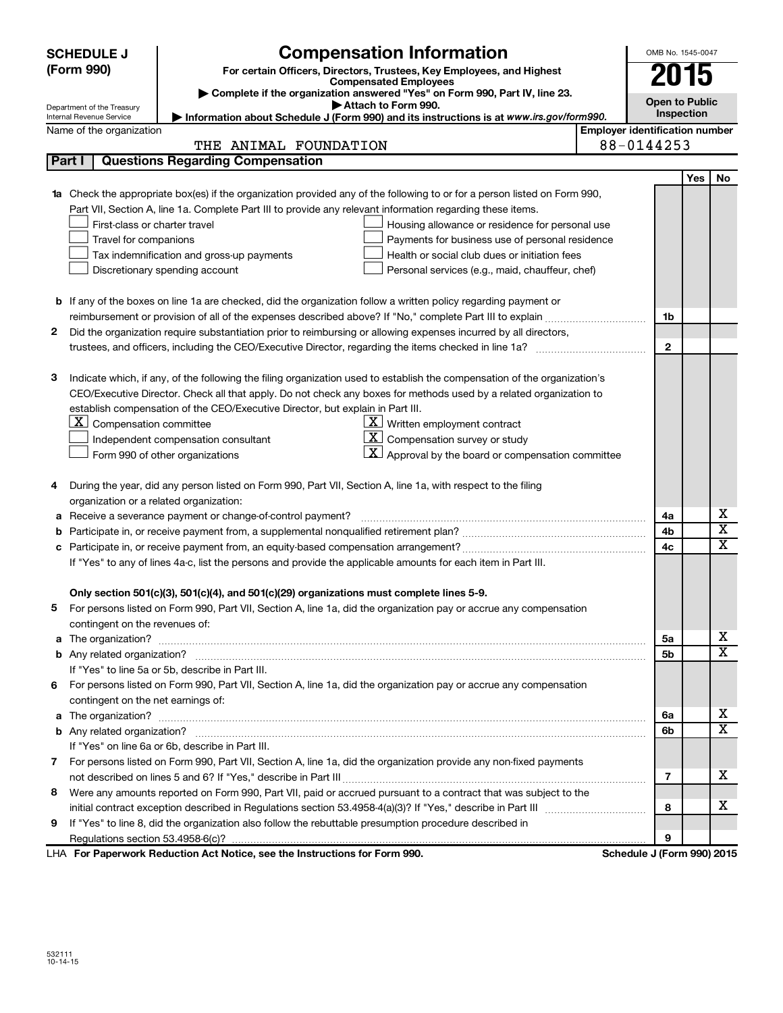|                                                                                                               | <b>Compensation Information</b><br><b>SCHEDULE J</b>                                                                            | OMB No. 1545-0047                     |            |                         |  |
|---------------------------------------------------------------------------------------------------------------|---------------------------------------------------------------------------------------------------------------------------------|---------------------------------------|------------|-------------------------|--|
|                                                                                                               | (Form 990)<br>For certain Officers, Directors, Trustees, Key Employees, and Highest                                             |                                       |            |                         |  |
|                                                                                                               | <b>Compensated Employees</b>                                                                                                    |                                       | 2015       |                         |  |
|                                                                                                               | Complete if the organization answered "Yes" on Form 990, Part IV, line 23.<br>Attach to Form 990.<br>Department of the Treasury | <b>Open to Public</b>                 |            |                         |  |
|                                                                                                               | Information about Schedule J (Form 990) and its instructions is at www.irs.gov/form990.<br>Internal Revenue Service             |                                       | Inspection |                         |  |
|                                                                                                               | Name of the organization                                                                                                        | <b>Employer identification number</b> |            |                         |  |
|                                                                                                               | THE ANIMAL FOUNDATION                                                                                                           | 88-0144253                            |            |                         |  |
| Part I                                                                                                        | <b>Questions Regarding Compensation</b>                                                                                         |                                       |            |                         |  |
|                                                                                                               |                                                                                                                                 |                                       | Yes        | No                      |  |
| 1a                                                                                                            | Check the appropriate box(es) if the organization provided any of the following to or for a person listed on Form 990,          |                                       |            |                         |  |
|                                                                                                               | Part VII, Section A, line 1a. Complete Part III to provide any relevant information regarding these items.                      |                                       |            |                         |  |
|                                                                                                               | First-class or charter travel<br>Housing allowance or residence for personal use                                                |                                       |            |                         |  |
|                                                                                                               | Travel for companions<br>Payments for business use of personal residence                                                        |                                       |            |                         |  |
|                                                                                                               | Tax indemnification and gross-up payments<br>Health or social club dues or initiation fees                                      |                                       |            |                         |  |
|                                                                                                               | Discretionary spending account<br>Personal services (e.g., maid, chauffeur, chef)                                               |                                       |            |                         |  |
|                                                                                                               |                                                                                                                                 |                                       |            |                         |  |
|                                                                                                               | <b>b</b> If any of the boxes on line 1a are checked, did the organization follow a written policy regarding payment or          |                                       |            |                         |  |
|                                                                                                               |                                                                                                                                 | 1b                                    |            |                         |  |
| 2                                                                                                             | Did the organization require substantiation prior to reimbursing or allowing expenses incurred by all directors,                |                                       |            |                         |  |
|                                                                                                               |                                                                                                                                 | $\mathbf{2}$                          |            |                         |  |
|                                                                                                               |                                                                                                                                 |                                       |            |                         |  |
| з                                                                                                             | Indicate which, if any, of the following the filing organization used to establish the compensation of the organization's       |                                       |            |                         |  |
|                                                                                                               | CEO/Executive Director. Check all that apply. Do not check any boxes for methods used by a related organization to              |                                       |            |                         |  |
|                                                                                                               | establish compensation of the CEO/Executive Director, but explain in Part III.<br>$\mathbf{X}$                                  |                                       |            |                         |  |
|                                                                                                               | $ \mathbf{X} $ Compensation committee<br>Written employment contract<br>ΧI                                                      |                                       |            |                         |  |
|                                                                                                               | Compensation survey or study<br>Independent compensation consultant<br><u>x  </u>                                               |                                       |            |                         |  |
|                                                                                                               | Approval by the board or compensation committee<br>Form 990 of other organizations                                              |                                       |            |                         |  |
| 4                                                                                                             | During the year, did any person listed on Form 990, Part VII, Section A, line 1a, with respect to the filing                    |                                       |            |                         |  |
|                                                                                                               | organization or a related organization:                                                                                         |                                       |            |                         |  |
| а                                                                                                             | Receive a severance payment or change-of-control payment?                                                                       | 4a                                    |            | х                       |  |
| b                                                                                                             |                                                                                                                                 | 4b                                    |            | $\overline{\textbf{x}}$ |  |
| с                                                                                                             |                                                                                                                                 | 4c                                    |            | $\overline{\textbf{x}}$ |  |
| If "Yes" to any of lines 4a-c, list the persons and provide the applicable amounts for each item in Part III. |                                                                                                                                 |                                       |            |                         |  |
|                                                                                                               |                                                                                                                                 |                                       |            |                         |  |
|                                                                                                               | Only section 501(c)(3), 501(c)(4), and 501(c)(29) organizations must complete lines 5-9.                                        |                                       |            |                         |  |
|                                                                                                               | For persons listed on Form 990, Part VII, Section A, line 1a, did the organization pay or accrue any compensation               |                                       |            |                         |  |
|                                                                                                               | contingent on the revenues of:                                                                                                  |                                       |            |                         |  |
|                                                                                                               | a The organization?                                                                                                             | 5a                                    |            | X.                      |  |
|                                                                                                               |                                                                                                                                 | 5b                                    |            | $\overline{\mathbf{X}}$ |  |
|                                                                                                               | If "Yes" to line 5a or 5b, describe in Part III.                                                                                |                                       |            |                         |  |
| 6                                                                                                             | For persons listed on Form 990, Part VII, Section A, line 1a, did the organization pay or accrue any compensation               |                                       |            |                         |  |
|                                                                                                               | contingent on the net earnings of:                                                                                              |                                       |            |                         |  |
| a                                                                                                             |                                                                                                                                 | 6a                                    |            | X.                      |  |
|                                                                                                               |                                                                                                                                 | 6b                                    |            | $\overline{\text{X}}$   |  |
|                                                                                                               | If "Yes" on line 6a or 6b, describe in Part III.                                                                                |                                       |            |                         |  |
|                                                                                                               | 7 For persons listed on Form 990, Part VII, Section A, line 1a, did the organization provide any non-fixed payments             |                                       |            |                         |  |
|                                                                                                               |                                                                                                                                 | $\overline{\phantom{a}}$              |            | х                       |  |
| 8                                                                                                             | Were any amounts reported on Form 990, Part VII, paid or accrued pursuant to a contract that was subject to the                 |                                       |            |                         |  |
| 8                                                                                                             |                                                                                                                                 |                                       |            | x                       |  |
| 9                                                                                                             | If "Yes" to line 8, did the organization also follow the rebuttable presumption procedure described in                          |                                       |            |                         |  |
|                                                                                                               |                                                                                                                                 | 9                                     |            |                         |  |
|                                                                                                               | LHA For Paperwork Reduction Act Notice, see the Instructions for Form 990.                                                      | Schedule J (Form 990) 2015            |            |                         |  |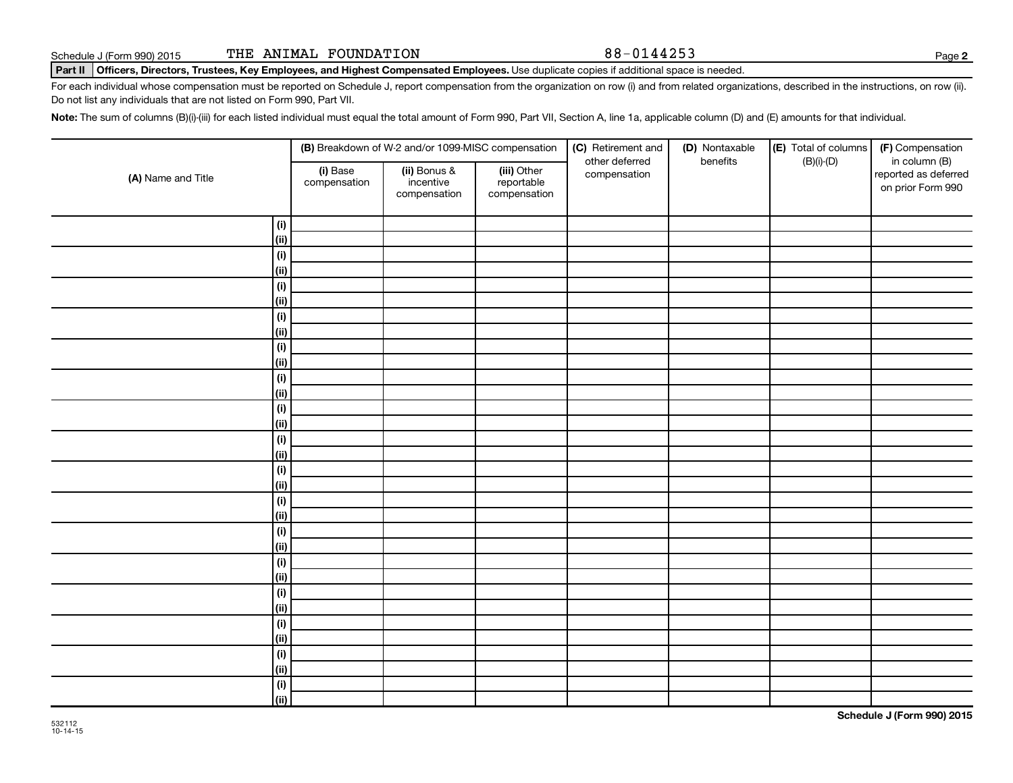**2**

#### Part II | Officers, Directors, Trustees, Key Employees, and Highest Compensated Employees. Use duplicate copies if additional space is needed.

For each individual whose compensation must be reported on Schedule J, report compensation from the organization on row (i) and from related organizations, described in the instructions, on row (ii). Do not list any individuals that are not listed on Form 990, Part VII.

Note: The sum of columns (B)(i)-(iii) for each listed individual must equal the total amount of Form 990, Part VII, Section A, line 1a, applicable column (D) and (E) amounts for that individual.

|                    | (B) Breakdown of W-2 and/or 1099-MISC compensation |                                           |                                           | (C) Retirement and<br>(D) Nontaxable<br>other deferred<br>benefits | (E) Total of columns<br>$(B)(i)-(D)$ | (F) Compensation<br>in column (B) |                                           |
|--------------------|----------------------------------------------------|-------------------------------------------|-------------------------------------------|--------------------------------------------------------------------|--------------------------------------|-----------------------------------|-------------------------------------------|
| (A) Name and Title | (i) Base<br>compensation                           | (ii) Bonus &<br>incentive<br>compensation | (iii) Other<br>reportable<br>compensation | compensation                                                       |                                      |                                   | reported as deferred<br>on prior Form 990 |
| $(\sf{i})$         |                                                    |                                           |                                           |                                                                    |                                      |                                   |                                           |
| (ii)               |                                                    |                                           |                                           |                                                                    |                                      |                                   |                                           |
| $(\sf{i})$         |                                                    |                                           |                                           |                                                                    |                                      |                                   |                                           |
| (ii)               |                                                    |                                           |                                           |                                                                    |                                      |                                   |                                           |
| $(\sf{i})$         |                                                    |                                           |                                           |                                                                    |                                      |                                   |                                           |
| (ii)               |                                                    |                                           |                                           |                                                                    |                                      |                                   |                                           |
| $(\sf{i})$         |                                                    |                                           |                                           |                                                                    |                                      |                                   |                                           |
| (ii)               |                                                    |                                           |                                           |                                                                    |                                      |                                   |                                           |
| $(\sf{i})$         |                                                    |                                           |                                           |                                                                    |                                      |                                   |                                           |
| (ii)               |                                                    |                                           |                                           |                                                                    |                                      |                                   |                                           |
| $(\sf{i})$         |                                                    |                                           |                                           |                                                                    |                                      |                                   |                                           |
| (ii)               |                                                    |                                           |                                           |                                                                    |                                      |                                   |                                           |
| $(\sf{i})$         |                                                    |                                           |                                           |                                                                    |                                      |                                   |                                           |
| (i)                |                                                    |                                           |                                           |                                                                    |                                      |                                   |                                           |
| (i)                |                                                    |                                           |                                           |                                                                    |                                      |                                   |                                           |
| (ii)               |                                                    |                                           |                                           |                                                                    |                                      |                                   |                                           |
| (i)                |                                                    |                                           |                                           |                                                                    |                                      |                                   |                                           |
| (ii)               |                                                    |                                           |                                           |                                                                    |                                      |                                   |                                           |
| $(\sf{i})$         |                                                    |                                           |                                           |                                                                    |                                      |                                   |                                           |
| (ii)               |                                                    |                                           |                                           |                                                                    |                                      |                                   |                                           |
| $(\sf{i})$         |                                                    |                                           |                                           |                                                                    |                                      |                                   |                                           |
| (ii)               |                                                    |                                           |                                           |                                                                    |                                      |                                   |                                           |
| $(\sf{i})$         |                                                    |                                           |                                           |                                                                    |                                      |                                   |                                           |
| (ii)               |                                                    |                                           |                                           |                                                                    |                                      |                                   |                                           |
| (i)                |                                                    |                                           |                                           |                                                                    |                                      |                                   |                                           |
| (ii)               |                                                    |                                           |                                           |                                                                    |                                      |                                   |                                           |
| $(\sf{i})$         |                                                    |                                           |                                           |                                                                    |                                      |                                   |                                           |
| (ii)               |                                                    |                                           |                                           |                                                                    |                                      |                                   |                                           |
| $(\sf{i})$         |                                                    |                                           |                                           |                                                                    |                                      |                                   |                                           |
| (ii)               |                                                    |                                           |                                           |                                                                    |                                      |                                   |                                           |
| $(\sf{i})$         |                                                    |                                           |                                           |                                                                    |                                      |                                   |                                           |
| (ii)               |                                                    |                                           |                                           |                                                                    |                                      |                                   |                                           |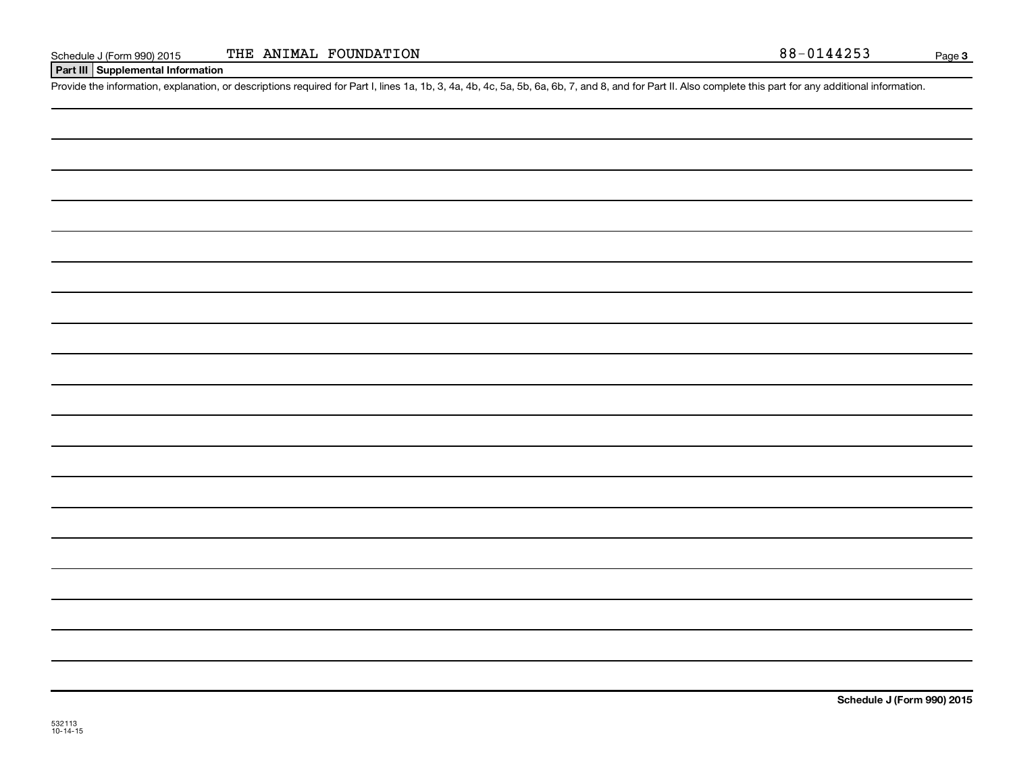#### **Part III Supplemental Information**

Provide the information, explanation, or descriptions required for Part I, lines 1a, 1b, 3, 4a, 4b, 4c, 5a, 5b, 6a, 6b, 7, and 8, and for Part II. Also complete this part for any additional information.

**Schedule J (Form 990) 2015**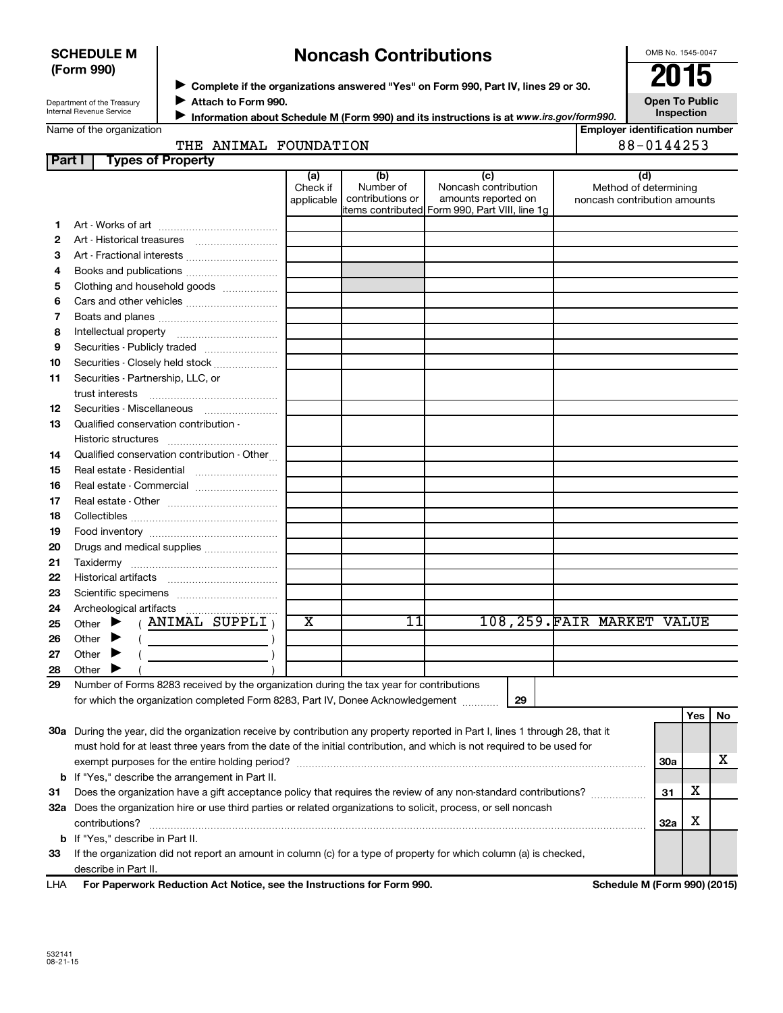#### **SCHEDULE M (Form 990)**

# **Noncash Contributions**

OMB No. 1545-0047

| Department of the Treasury |
|----------------------------|
| Internal Revenue Service   |

◆ Complete if the organizations answered "Yes" on Form 990, Part IV, lines 29 or 30.<br>▶ Complete if the organizations answered "Yes" on Form 990, Part IV, lines 29 or 30. **Attach to Form 990.** J

**Open To Public Inspection**

|  | Name of the organization |
|--|--------------------------|
|  |                          |

**Information about Schedule M (Form 990) and its instructions is at www.irs.gov/form990.** 

|     |  | Emplover identification number |
|-----|--|--------------------------------|
| ION |  | 88-0144253                     |

|  | THE ANIMAL FOUNDATI |
|--|---------------------|

| Part I | <b>Types of Property</b>                                                                                                       |                         |                  |                                                                       |                              |            |     |    |
|--------|--------------------------------------------------------------------------------------------------------------------------------|-------------------------|------------------|-----------------------------------------------------------------------|------------------------------|------------|-----|----|
|        |                                                                                                                                | (a)                     | (b)              | (c)                                                                   | (d)                          |            |     |    |
|        |                                                                                                                                | Check if                | Number of        | Noncash contribution                                                  | Method of determining        |            |     |    |
|        |                                                                                                                                | applicable              | contributions or | amounts reported on<br>items contributed Form 990, Part VIII, line 1g | noncash contribution amounts |            |     |    |
| 1.     |                                                                                                                                |                         |                  |                                                                       |                              |            |     |    |
| 2      |                                                                                                                                |                         |                  |                                                                       |                              |            |     |    |
| 3      |                                                                                                                                |                         |                  |                                                                       |                              |            |     |    |
| 4      |                                                                                                                                |                         |                  |                                                                       |                              |            |     |    |
| 5      | Clothing and household goods                                                                                                   |                         |                  |                                                                       |                              |            |     |    |
| 6      |                                                                                                                                |                         |                  |                                                                       |                              |            |     |    |
| 7      |                                                                                                                                |                         |                  |                                                                       |                              |            |     |    |
| 8      |                                                                                                                                |                         |                  |                                                                       |                              |            |     |    |
| 9      | Securities - Publicly traded                                                                                                   |                         |                  |                                                                       |                              |            |     |    |
| 10     | Securities - Closely held stock                                                                                                |                         |                  |                                                                       |                              |            |     |    |
| 11     | Securities - Partnership, LLC, or                                                                                              |                         |                  |                                                                       |                              |            |     |    |
|        | trust interests                                                                                                                |                         |                  |                                                                       |                              |            |     |    |
| 12     | Securities - Miscellaneous                                                                                                     |                         |                  |                                                                       |                              |            |     |    |
| 13     | Qualified conservation contribution -                                                                                          |                         |                  |                                                                       |                              |            |     |    |
|        |                                                                                                                                |                         |                  |                                                                       |                              |            |     |    |
| 14     | Qualified conservation contribution - Other                                                                                    |                         |                  |                                                                       |                              |            |     |    |
| 15     | Real estate - Residential                                                                                                      |                         |                  |                                                                       |                              |            |     |    |
| 16     | Real estate - Commercial                                                                                                       |                         |                  |                                                                       |                              |            |     |    |
| 17     |                                                                                                                                |                         |                  |                                                                       |                              |            |     |    |
| 18     |                                                                                                                                |                         |                  |                                                                       |                              |            |     |    |
| 19     |                                                                                                                                |                         |                  |                                                                       |                              |            |     |    |
| 20     | Drugs and medical supplies                                                                                                     |                         |                  |                                                                       |                              |            |     |    |
| 21     |                                                                                                                                |                         |                  |                                                                       |                              |            |     |    |
| 22     |                                                                                                                                |                         |                  |                                                                       |                              |            |     |    |
| 23     |                                                                                                                                |                         |                  |                                                                       |                              |            |     |    |
| 24     |                                                                                                                                |                         |                  |                                                                       |                              |            |     |    |
| 25     | (ANIMAL SUPPLI)<br>Other $\blacktriangleright$                                                                                 | $\overline{\textbf{x}}$ | 11               |                                                                       | 108, 259. FAIR MARKET VALUE  |            |     |    |
| 26     | Other $\blacktriangleright$<br>$($ $)$                                                                                         |                         |                  |                                                                       |                              |            |     |    |
| 27     | Other $\blacktriangleright$                                                                                                    |                         |                  |                                                                       |                              |            |     |    |
| 28     | Other                                                                                                                          |                         |                  |                                                                       |                              |            |     |    |
| 29     | Number of Forms 8283 received by the organization during the tax year for contributions                                        |                         |                  |                                                                       |                              |            |     |    |
|        | for which the organization completed Form 8283, Part IV, Donee Acknowledgement                                                 |                         |                  | 29                                                                    |                              |            |     |    |
|        |                                                                                                                                |                         |                  |                                                                       |                              |            | Yes | No |
|        | 30a During the year, did the organization receive by contribution any property reported in Part I, lines 1 through 28, that it |                         |                  |                                                                       |                              |            |     |    |
|        | must hold for at least three years from the date of the initial contribution, and which is not required to be used for         |                         |                  |                                                                       |                              |            |     |    |
|        |                                                                                                                                |                         |                  |                                                                       |                              | <b>30a</b> |     | x  |
|        | <b>b</b> If "Yes," describe the arrangement in Part II.                                                                        |                         |                  |                                                                       |                              |            |     |    |
| 31     | Does the organization have a gift acceptance policy that requires the review of any non-standard contributions?                |                         |                  |                                                                       |                              | 31         | x   |    |
|        | 32a Does the organization hire or use third parties or related organizations to solicit, process, or sell noncash              |                         |                  |                                                                       |                              |            |     |    |
|        | contributions?                                                                                                                 |                         |                  |                                                                       |                              | 32a        | х   |    |
|        | <b>b</b> If "Yes," describe in Part II.                                                                                        |                         |                  |                                                                       |                              |            |     |    |
| 33     | If the organization did not report an amount in column (c) for a type of property for which column (a) is checked,             |                         |                  |                                                                       |                              |            |     |    |
|        | describe in Part II.                                                                                                           |                         |                  |                                                                       |                              |            |     |    |

| LHA | For Paperwork Reduction Act Notice, see the Instructions for Form 990. |
|-----|------------------------------------------------------------------------|
|-----|------------------------------------------------------------------------|

**Schedule M (Form 990) (2015)**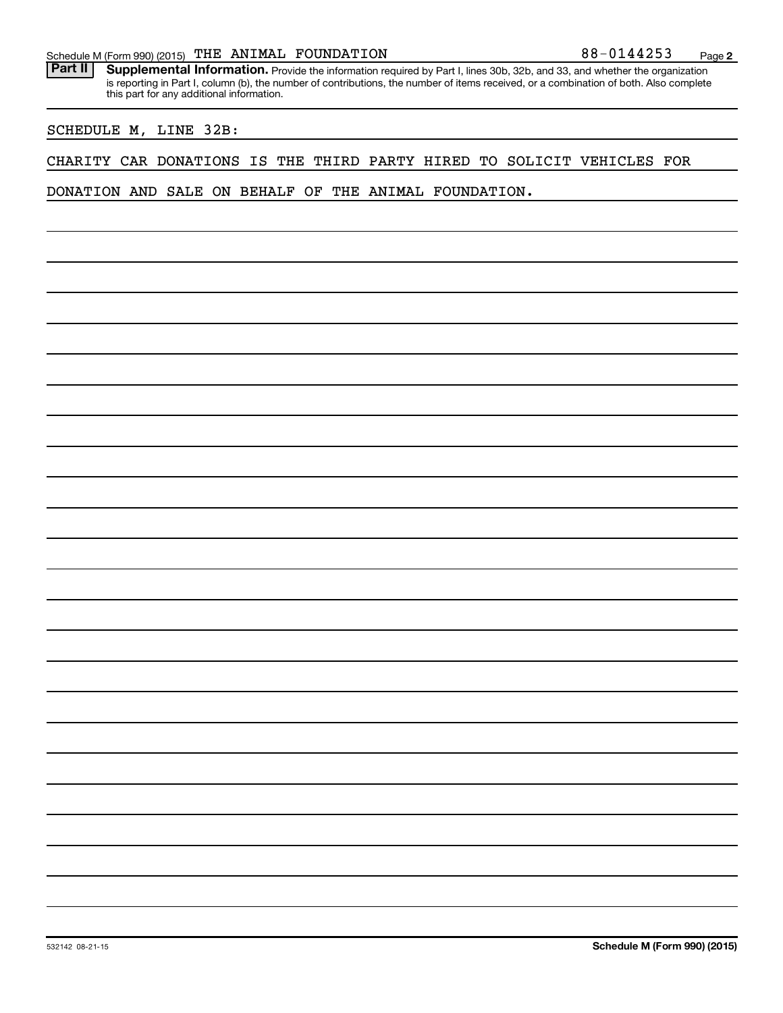#### Schedule M (Form 990) (2015)  $\sqrt{THE}$  ANIMAL FOUNDATION  $88-0144253$  Page

Part II | Supplemental Information. Provide the information required by Part I, lines 30b, 32b, and 33, and whether the organization is reporting in Part I, column (b), the number of contributions, the number of items received, or a combination of both. Also complete this part for any additional information.

#### SCHEDULE M, LINE 32B:

#### CHARITY CAR DONATIONS IS THE THIRD PARTY HIRED TO SOLICIT VEHICLES FOR

DONATION AND SALE ON BEHALF OF THE ANIMAL FOUNDATION.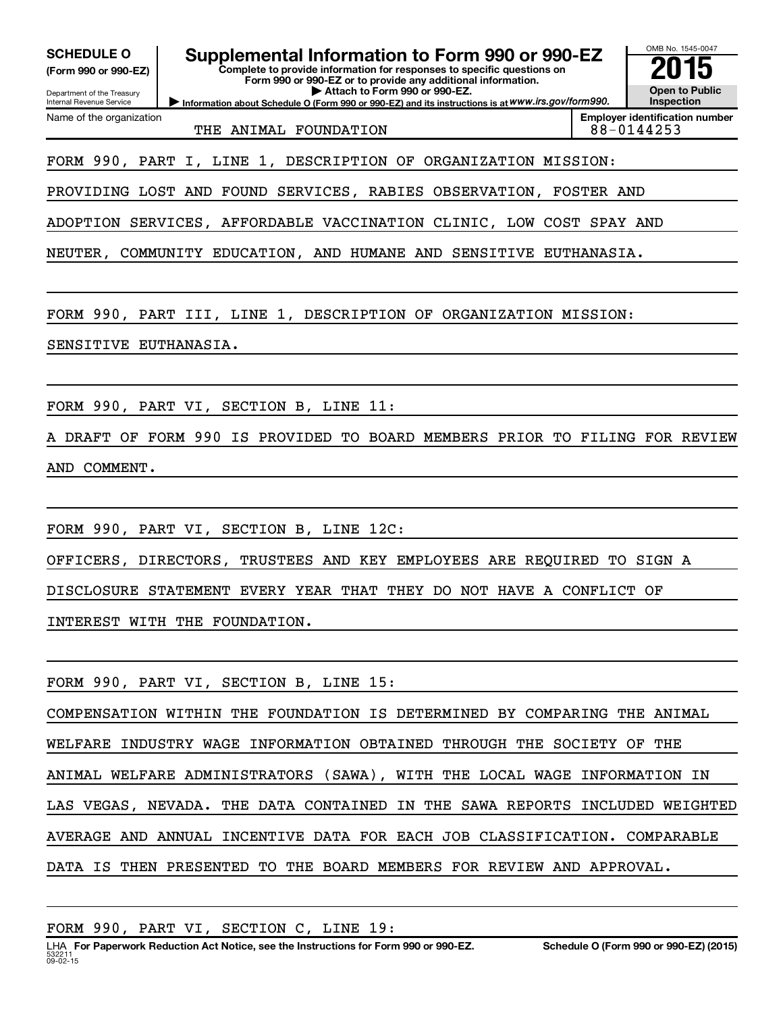| <b>Employer identification number</b><br>Name of the organization<br>88-0144253<br>THE ANIMAL FOUNDATION<br>FORM 990, PART I, LINE 1, DESCRIPTION OF ORGANIZATION MISSION:<br>PROVIDING LOST AND FOUND SERVICES, RABIES OBSERVATION, FOSTER AND<br>ADOPTION SERVICES, AFFORDABLE VACCINATION CLINIC, LOW COST SPAY AND<br>NEUTER, COMMUNITY EDUCATION, AND HUMANE AND SENSITIVE EUTHANASIA.<br>FORM 990, PART III, LINE 1, DESCRIPTION OF ORGANIZATION MISSION:<br>SENSITIVE EUTHANASIA.<br>FORM 990, PART VI, SECTION B, LINE 11:<br>A DRAFT OF FORM 990 IS PROVIDED TO BOARD MEMBERS PRIOR TO FILING FOR REVIEW<br>AND COMMENT. |  |  |  |  |
|-----------------------------------------------------------------------------------------------------------------------------------------------------------------------------------------------------------------------------------------------------------------------------------------------------------------------------------------------------------------------------------------------------------------------------------------------------------------------------------------------------------------------------------------------------------------------------------------------------------------------------------|--|--|--|--|
|                                                                                                                                                                                                                                                                                                                                                                                                                                                                                                                                                                                                                                   |  |  |  |  |
|                                                                                                                                                                                                                                                                                                                                                                                                                                                                                                                                                                                                                                   |  |  |  |  |
|                                                                                                                                                                                                                                                                                                                                                                                                                                                                                                                                                                                                                                   |  |  |  |  |
|                                                                                                                                                                                                                                                                                                                                                                                                                                                                                                                                                                                                                                   |  |  |  |  |
|                                                                                                                                                                                                                                                                                                                                                                                                                                                                                                                                                                                                                                   |  |  |  |  |
|                                                                                                                                                                                                                                                                                                                                                                                                                                                                                                                                                                                                                                   |  |  |  |  |
|                                                                                                                                                                                                                                                                                                                                                                                                                                                                                                                                                                                                                                   |  |  |  |  |
|                                                                                                                                                                                                                                                                                                                                                                                                                                                                                                                                                                                                                                   |  |  |  |  |
|                                                                                                                                                                                                                                                                                                                                                                                                                                                                                                                                                                                                                                   |  |  |  |  |
|                                                                                                                                                                                                                                                                                                                                                                                                                                                                                                                                                                                                                                   |  |  |  |  |
|                                                                                                                                                                                                                                                                                                                                                                                                                                                                                                                                                                                                                                   |  |  |  |  |
| FORM 990, PART VI, SECTION B, LINE 12C:                                                                                                                                                                                                                                                                                                                                                                                                                                                                                                                                                                                           |  |  |  |  |
| OFFICERS, DIRECTORS, TRUSTEES AND KEY EMPLOYEES ARE REQUIRED TO SIGN A                                                                                                                                                                                                                                                                                                                                                                                                                                                                                                                                                            |  |  |  |  |
| DISCLOSURE STATEMENT EVERY YEAR THAT THEY DO NOT HAVE A CONFLICT OF                                                                                                                                                                                                                                                                                                                                                                                                                                                                                                                                                               |  |  |  |  |
| INTEREST WITH THE FOUNDATION.                                                                                                                                                                                                                                                                                                                                                                                                                                                                                                                                                                                                     |  |  |  |  |
| FORM 990, PART VI, SECTION B, LINE 15:                                                                                                                                                                                                                                                                                                                                                                                                                                                                                                                                                                                            |  |  |  |  |
| COMPENSATION WITHIN THE FOUNDATION IS DETERMINED BY COMPARING THE ANIMAL                                                                                                                                                                                                                                                                                                                                                                                                                                                                                                                                                          |  |  |  |  |
| WELFARE INDUSTRY WAGE INFORMATION OBTAINED THROUGH THE SOCIETY OF<br>THE                                                                                                                                                                                                                                                                                                                                                                                                                                                                                                                                                          |  |  |  |  |
| ANIMAL WELFARE ADMINISTRATORS (SAWA), WITH THE LOCAL WAGE INFORMATION IN                                                                                                                                                                                                                                                                                                                                                                                                                                                                                                                                                          |  |  |  |  |
| LAS VEGAS, NEVADA. THE DATA CONTAINED IN THE SAWA REPORTS INCLUDED WEIGHTED                                                                                                                                                                                                                                                                                                                                                                                                                                                                                                                                                       |  |  |  |  |
| AVERAGE AND ANNUAL INCENTIVE DATA FOR EACH JOB CLASSIFICATION. COMPARABLE                                                                                                                                                                                                                                                                                                                                                                                                                                                                                                                                                         |  |  |  |  |
| DATA IS THEN PRESENTED TO THE BOARD MEMBERS FOR REVIEW AND APPROVAL.                                                                                                                                                                                                                                                                                                                                                                                                                                                                                                                                                              |  |  |  |  |
|                                                                                                                                                                                                                                                                                                                                                                                                                                                                                                                                                                                                                                   |  |  |  |  |

FORM 990, PART VI, SECTION C, LINE 19: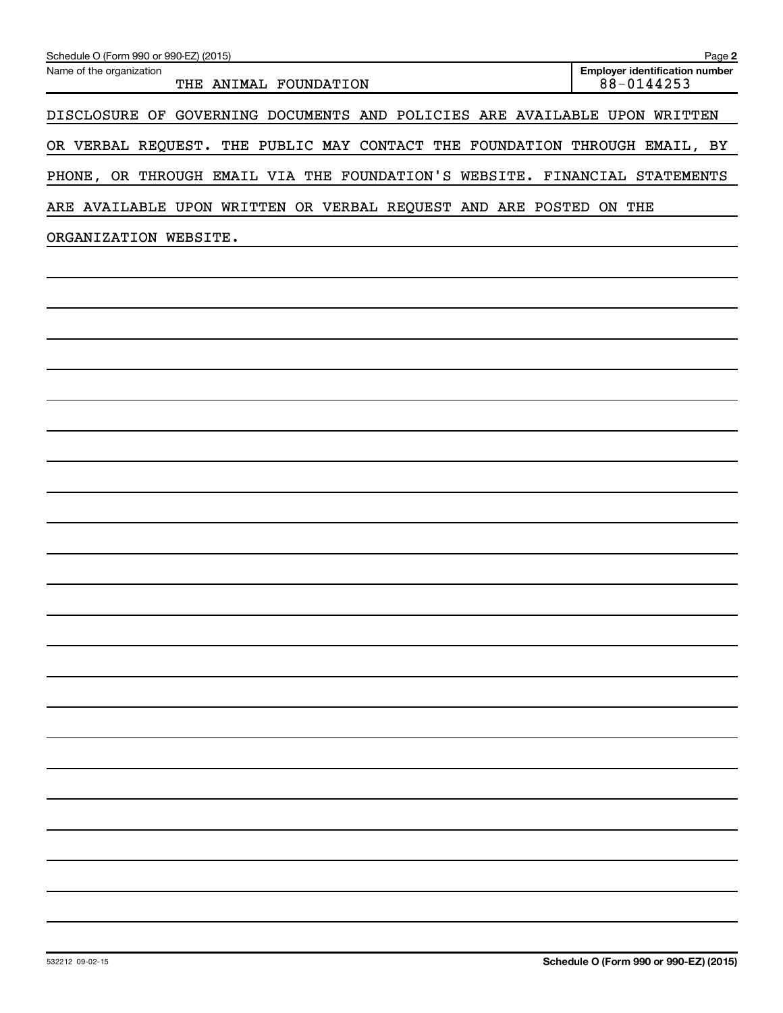| Schedule O (Form 990 or 990-EZ) (2015)                                     | Page 2                                              |
|----------------------------------------------------------------------------|-----------------------------------------------------|
| Name of the organization<br>THE ANIMAL FOUNDATION                          | <b>Employer identification number</b><br>88-0144253 |
| DISCLOSURE OF GOVERNING DOCUMENTS AND POLICIES ARE AVAILABLE UPON WRITTEN  |                                                     |
| OR VERBAL REQUEST. THE PUBLIC MAY CONTACT THE FOUNDATION THROUGH EMAIL, BY |                                                     |
| PHONE, OR THROUGH EMAIL VIA THE FOUNDATION'S WEBSITE. FINANCIAL STATEMENTS |                                                     |
| ARE AVAILABLE UPON WRITTEN OR VERBAL REQUEST AND ARE POSTED ON THE         |                                                     |
| ORGANIZATION WEBSITE.                                                      |                                                     |
|                                                                            |                                                     |
|                                                                            |                                                     |
|                                                                            |                                                     |
|                                                                            |                                                     |
|                                                                            |                                                     |
|                                                                            |                                                     |
|                                                                            |                                                     |
|                                                                            |                                                     |
|                                                                            |                                                     |
|                                                                            |                                                     |
|                                                                            |                                                     |
|                                                                            |                                                     |
|                                                                            |                                                     |
|                                                                            |                                                     |
|                                                                            |                                                     |
|                                                                            |                                                     |
|                                                                            |                                                     |
|                                                                            |                                                     |
|                                                                            |                                                     |
|                                                                            |                                                     |
|                                                                            |                                                     |
|                                                                            |                                                     |